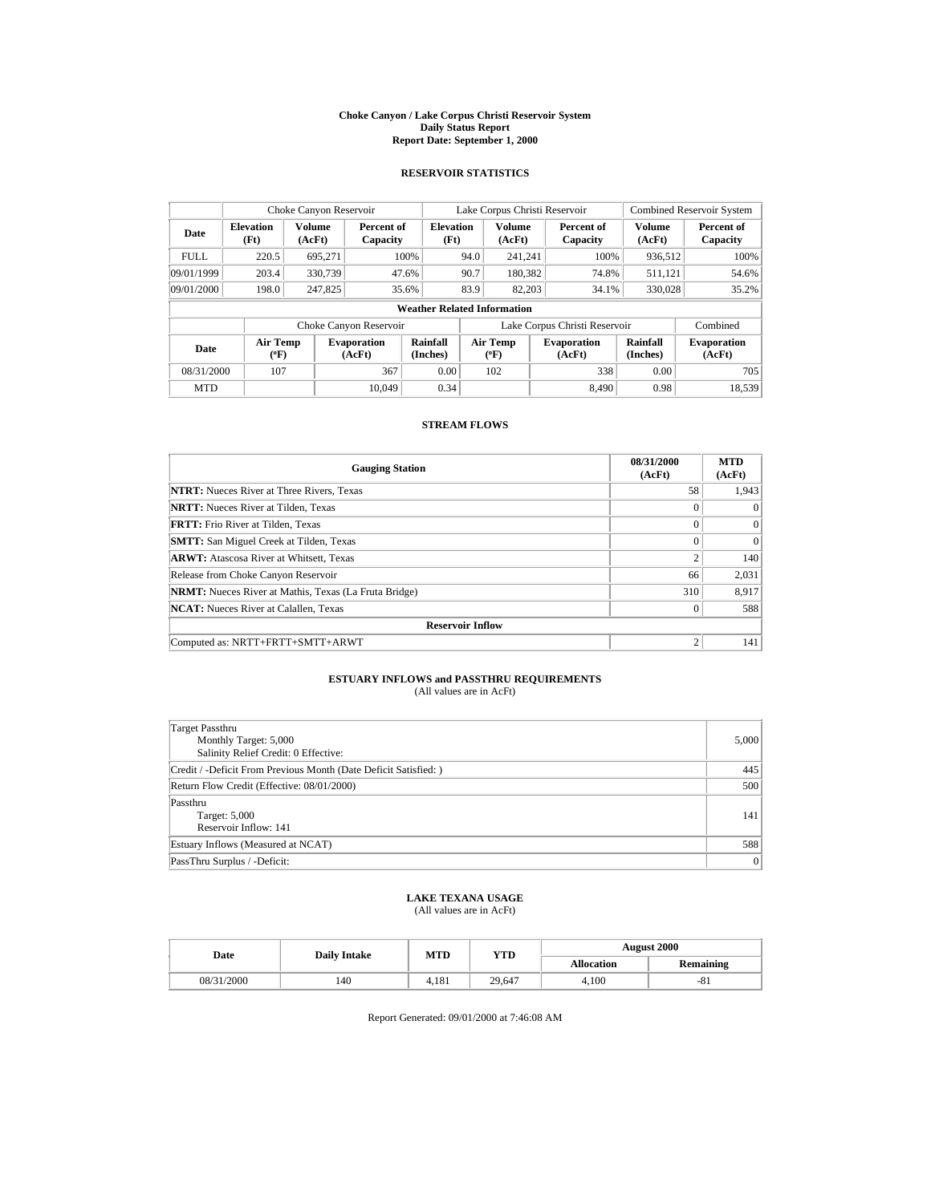#### **Choke Canyon / Lake Corpus Christi Reservoir System Daily Status Report Report Date: September 1, 2000**

## **RESERVOIR STATISTICS**

| Choke Canyon Reservoir |                                    |                  |                              | Lake Corpus Christi Reservoir |      |                                  |  | <b>Combined Reservoir System</b> |                      |                              |
|------------------------|------------------------------------|------------------|------------------------------|-------------------------------|------|----------------------------------|--|----------------------------------|----------------------|------------------------------|
| Date                   | <b>Elevation</b><br>(Ft)           | Volume<br>(AcFt) | Percent of<br>Capacity       | <b>Elevation</b><br>(Ft)      |      | <b>Volume</b><br>(AcFt)          |  | Percent of<br>Capacity           | Volume<br>(AcFt)     | Percent of<br>Capacity       |
| <b>FULL</b>            | 220.5                              | 695,271          |                              | 100%                          | 94.0 | 241,241                          |  | 100%                             | 936,512              | 100%                         |
| 09/01/1999             | 203.4                              | 330,739          |                              | 47.6%                         | 90.7 | 180,382                          |  | 74.8%                            | 511.121              | 54.6%                        |
| 09/01/2000             | 198.0                              | 247,825          |                              | 35.6%                         | 83.9 | 82,203                           |  | 34.1%                            | 330,028              | 35.2%                        |
|                        | <b>Weather Related Information</b> |                  |                              |                               |      |                                  |  |                                  |                      |                              |
|                        |                                    |                  | Choke Canyon Reservoir       |                               |      |                                  |  | Lake Corpus Christi Reservoir    |                      | Combined                     |
| Date                   | Air Temp<br>$(^{\circ}F)$          |                  | <b>Evaporation</b><br>(AcFt) | Rainfall<br>(Inches)          |      | <b>Air Temp</b><br>$(^{\circ}F)$ |  | <b>Evaporation</b><br>(AcFt)     | Rainfall<br>(Inches) | <b>Evaporation</b><br>(AcFt) |
| 08/31/2000             | 107                                |                  | 367                          | 0.00                          |      | 102                              |  | 338                              | 0.00                 | 705                          |
| <b>MTD</b>             |                                    |                  | 10.049                       | 0.34                          |      |                                  |  | 8.490                            | 0.98                 | 18.539                       |

# **STREAM FLOWS**

| <b>Gauging Station</b>                                       | 08/31/2000<br>(AcFt) | <b>MTD</b><br>(AcFt) |
|--------------------------------------------------------------|----------------------|----------------------|
| <b>NTRT:</b> Nueces River at Three Rivers, Texas             | 58                   | 1,943                |
| <b>NRTT:</b> Nueces River at Tilden, Texas                   | $\Omega$             | $\Omega$             |
| <b>FRTT:</b> Frio River at Tilden, Texas                     | $\theta$             | $\Omega$             |
| <b>SMTT:</b> San Miguel Creek at Tilden, Texas               | $\Omega$             | $\Omega$             |
| <b>ARWT:</b> Atascosa River at Whitsett, Texas               | $\overline{c}$       | 140                  |
| Release from Choke Canyon Reservoir                          | 66                   | 2,031                |
| <b>NRMT:</b> Nueces River at Mathis, Texas (La Fruta Bridge) | 310                  | 8,917                |
| <b>NCAT:</b> Nueces River at Calallen, Texas                 | $\theta$             | 588                  |
| <b>Reservoir Inflow</b>                                      |                      |                      |
| Computed as: NRTT+FRTT+SMTT+ARWT                             | $\overline{2}$       | 141                  |

### **ESTUARY INFLOWS and PASSTHRU REQUIREMENTS** (All values are in AcFt)

| Target Passthru<br>Monthly Target: 5,000<br>Salinity Relief Credit: 0 Effective: | 5.000          |
|----------------------------------------------------------------------------------|----------------|
| Credit / -Deficit From Previous Month (Date Deficit Satisfied: )                 | 445            |
| Return Flow Credit (Effective: 08/01/2000)                                       | 500            |
| Passthru<br>Target: 5,000<br>Reservoir Inflow: 141                               | 141            |
| Estuary Inflows (Measured at NCAT)                                               | 588            |
| PassThru Surplus / -Deficit:                                                     | $\overline{0}$ |

# **LAKE TEXANA USAGE**

(All values are in AcFt)

| Date       | <b>Daily Intake</b> | MTD   | YTD    | <b>August 2000</b> |                  |  |
|------------|---------------------|-------|--------|--------------------|------------------|--|
|            |                     |       |        | <b>Allocation</b>  | <b>Remaining</b> |  |
| 08/31/2000 | 140                 | 4.181 | 29.647 | 4.100              | $-81$            |  |

Report Generated: 09/01/2000 at 7:46:08 AM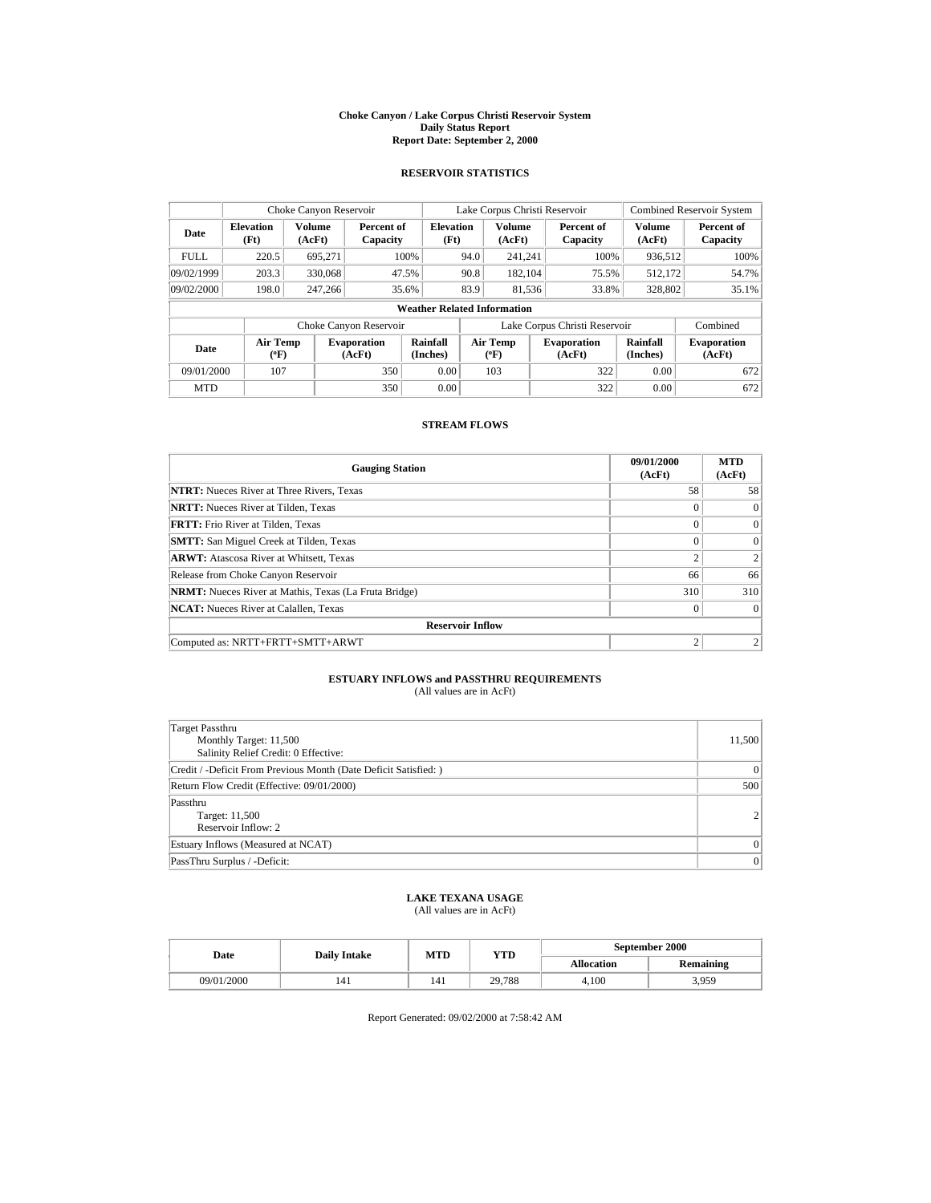#### **Choke Canyon / Lake Corpus Christi Reservoir System Daily Status Report Report Date: September 2, 2000**

### **RESERVOIR STATISTICS**

| Choke Canyon Reservoir |                                    |                         |                              | Lake Corpus Christi Reservoir |      |                           |  | <b>Combined Reservoir System</b> |                         |                              |
|------------------------|------------------------------------|-------------------------|------------------------------|-------------------------------|------|---------------------------|--|----------------------------------|-------------------------|------------------------------|
| Date                   | <b>Elevation</b><br>(Ft)           | <b>Volume</b><br>(AcFt) | Percent of<br>Capacity       | <b>Elevation</b><br>(Ft)      |      | <b>Volume</b><br>(AcFt)   |  | Percent of<br>Capacity           | <b>Volume</b><br>(AcFt) | Percent of<br>Capacity       |
| <b>FULL</b>            | 220.5                              | 695.271                 |                              | 100%                          | 94.0 | 241,241                   |  | 100%                             | 936,512                 | 100%                         |
| 09/02/1999             | 203.3                              | 330,068                 |                              | 47.5%                         | 90.8 | 182,104                   |  | 75.5%                            | 512,172                 | 54.7%                        |
| 09/02/2000             | 198.0                              | 247,266                 |                              | 35.6%                         | 83.9 | 81,536                    |  | 33.8%                            | 328,802                 | 35.1%                        |
|                        | <b>Weather Related Information</b> |                         |                              |                               |      |                           |  |                                  |                         |                              |
|                        |                                    |                         | Choke Canyon Reservoir       |                               |      |                           |  | Lake Corpus Christi Reservoir    |                         | Combined                     |
| Date                   | Air Temp<br>$(^{\circ}F)$          |                         | <b>Evaporation</b><br>(AcFt) | Rainfall<br>(Inches)          |      | Air Temp<br>$(^{\circ}F)$ |  | <b>Evaporation</b><br>(AcFt)     | Rainfall<br>(Inches)    | <b>Evaporation</b><br>(AcFt) |
| 09/01/2000             | 107                                |                         | 350                          | 0.00                          |      | 103                       |  | 322                              | 0.00                    | 672                          |
| <b>MTD</b>             |                                    |                         | 350                          | 0.00                          |      |                           |  | 322                              | 0.00                    | 672                          |

# **STREAM FLOWS**

| <b>Gauging Station</b>                                       | 09/01/2000<br>(AcFt) | <b>MTD</b><br>(AcFt) |  |  |  |  |
|--------------------------------------------------------------|----------------------|----------------------|--|--|--|--|
| <b>NTRT:</b> Nueces River at Three Rivers, Texas             | 58                   | 58                   |  |  |  |  |
| <b>NRTT:</b> Nueces River at Tilden, Texas                   | $\theta$             | $\Omega$             |  |  |  |  |
| <b>FRTT:</b> Frio River at Tilden, Texas                     | $\Omega$             | $\Omega$             |  |  |  |  |
| <b>SMTT:</b> San Miguel Creek at Tilden, Texas               | $\Omega$             | $\Omega$             |  |  |  |  |
| <b>ARWT:</b> Atascosa River at Whitsett, Texas               | ↑                    |                      |  |  |  |  |
| Release from Choke Canyon Reservoir                          | 66                   | 66                   |  |  |  |  |
| <b>NRMT:</b> Nueces River at Mathis, Texas (La Fruta Bridge) | 310                  | 310                  |  |  |  |  |
| <b>NCAT:</b> Nueces River at Calallen, Texas                 | $\theta$             | $\Omega$             |  |  |  |  |
| <b>Reservoir Inflow</b>                                      |                      |                      |  |  |  |  |
| Computed as: NRTT+FRTT+SMTT+ARWT                             | $\overline{c}$       |                      |  |  |  |  |

### **ESTUARY INFLOWS and PASSTHRU REQUIREMENTS** (All values are in AcFt)

| Target Passthru<br>Monthly Target: 11,500<br>Salinity Relief Credit: 0 Effective: | 11,500         |
|-----------------------------------------------------------------------------------|----------------|
| Credit / -Deficit From Previous Month (Date Deficit Satisfied: )                  | $\overline{0}$ |
| Return Flow Credit (Effective: 09/01/2000)                                        | 500            |
| Passthru<br>Target: 11,500<br>Reservoir Inflow: 2                                 | $\mathfrak{D}$ |
| Estuary Inflows (Measured at NCAT)                                                | $\Omega$       |
| PassThru Surplus / -Deficit:                                                      | $\overline{0}$ |

# **LAKE TEXANA USAGE**

(All values are in AcFt)

| Date       | <b>Daily Intake</b> | MTD | YTD    | September 2000    |                  |  |
|------------|---------------------|-----|--------|-------------------|------------------|--|
|            |                     |     |        | <b>Allocation</b> | <b>Remaining</b> |  |
| 09/01/2000 | 141                 | 141 | 29.788 | 4.100             | 3,959            |  |

Report Generated: 09/02/2000 at 7:58:42 AM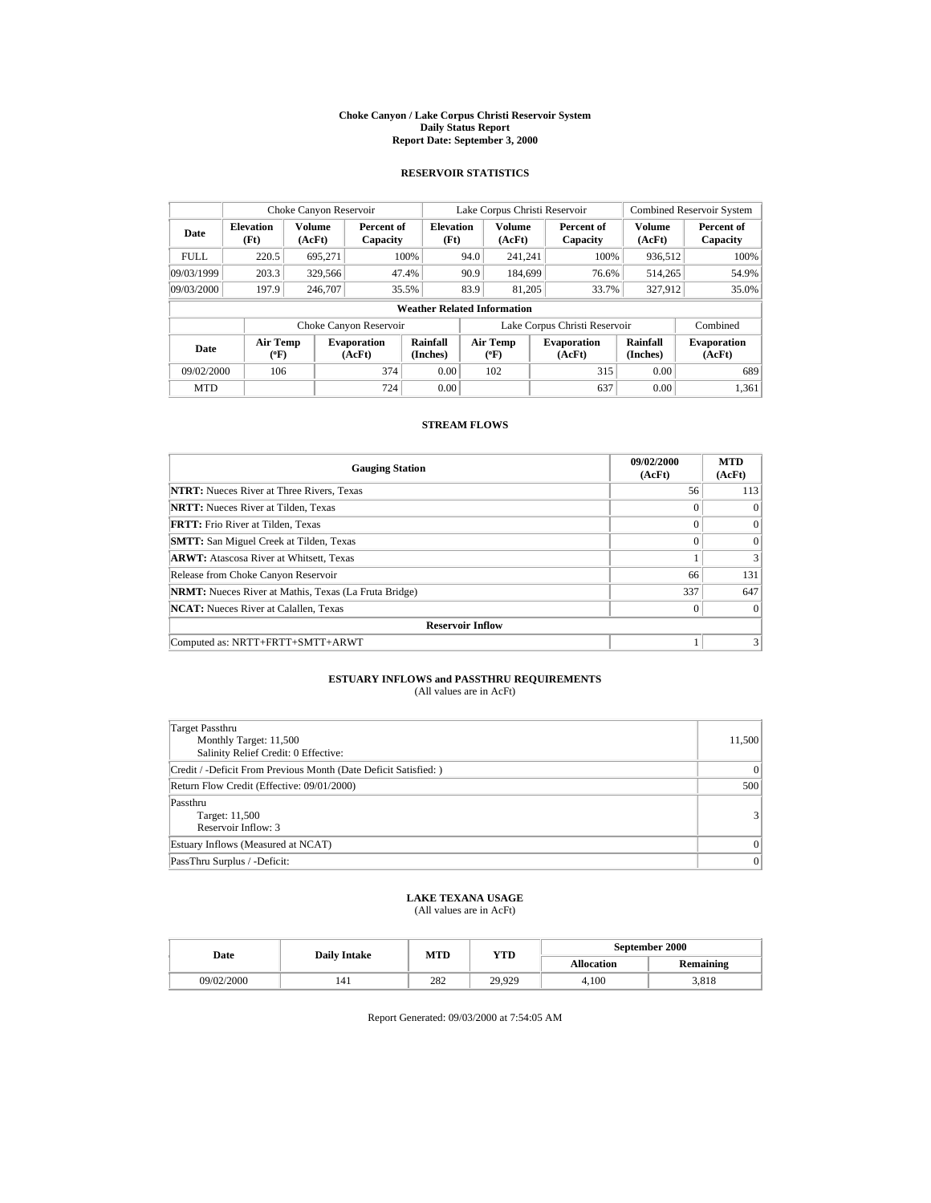#### **Choke Canyon / Lake Corpus Christi Reservoir System Daily Status Report Report Date: September 3, 2000**

### **RESERVOIR STATISTICS**

| Choke Canyon Reservoir             |                           |                  |                              | Lake Corpus Christi Reservoir |      |                                       |  | <b>Combined Reservoir System</b> |                         |                              |
|------------------------------------|---------------------------|------------------|------------------------------|-------------------------------|------|---------------------------------------|--|----------------------------------|-------------------------|------------------------------|
| Date                               | <b>Elevation</b><br>(Ft)  | Volume<br>(AcFt) | Percent of<br>Capacity       | <b>Elevation</b><br>(Ft)      |      | <b>Volume</b><br>(AcFt)               |  | Percent of<br>Capacity           | <b>Volume</b><br>(AcFt) | Percent of<br>Capacity       |
| <b>FULL</b>                        | 220.5                     | 695.271          |                              | 100%                          | 94.0 | 241.241                               |  | 100%                             | 936,512                 | 100%                         |
| 09/03/1999                         | 203.3                     | 329,566          |                              | 47.4%                         | 90.9 | 184.699                               |  | 76.6%                            | 514.265                 | 54.9%                        |
| 09/03/2000                         | 197.9                     | 246,707          |                              | 35.5%                         | 83.9 | 81,205                                |  | 33.7%                            | 327,912                 | 35.0%                        |
| <b>Weather Related Information</b> |                           |                  |                              |                               |      |                                       |  |                                  |                         |                              |
|                                    |                           |                  | Choke Canyon Reservoir       |                               |      |                                       |  | Lake Corpus Christi Reservoir    |                         | Combined                     |
| Date                               | Air Temp<br>$(^{\circ}F)$ |                  | <b>Evaporation</b><br>(AcFt) | Rainfall<br>(Inches)          |      | <b>Air Temp</b><br>$(^{o}\mathrm{F})$ |  | <b>Evaporation</b><br>(AcFt)     | Rainfall<br>(Inches)    | <b>Evaporation</b><br>(AcFt) |
| 09/02/2000                         | 106                       |                  | 374                          | 0.00                          |      | 102                                   |  | 315                              | 0.00                    | 689                          |
| <b>MTD</b>                         |                           |                  | 724                          | 0.00                          |      |                                       |  | 637                              | 0.00                    | 1.361                        |

# **STREAM FLOWS**

| <b>Gauging Station</b>                                       | 09/02/2000<br>(AcFt) | <b>MTD</b><br>(AcFt) |
|--------------------------------------------------------------|----------------------|----------------------|
| <b>NTRT:</b> Nueces River at Three Rivers, Texas             | 56                   | 113                  |
| <b>NRTT:</b> Nueces River at Tilden, Texas                   | $\Omega$             | $\Omega$             |
| <b>FRTT:</b> Frio River at Tilden, Texas                     | $\theta$             | $\Omega$             |
| <b>SMTT:</b> San Miguel Creek at Tilden, Texas               | $\Omega$             | $\Omega$             |
| <b>ARWT:</b> Atascosa River at Whitsett, Texas               |                      | 3                    |
| Release from Choke Canyon Reservoir                          | 66                   | 131                  |
| <b>NRMT:</b> Nueces River at Mathis, Texas (La Fruta Bridge) | 337                  | 647                  |
| <b>NCAT:</b> Nueces River at Calallen, Texas                 | $\theta$             | $\Omega$             |
| <b>Reservoir Inflow</b>                                      |                      |                      |
| Computed as: NRTT+FRTT+SMTT+ARWT                             |                      | 3                    |

### **ESTUARY INFLOWS and PASSTHRU REQUIREMENTS** (All values are in AcFt)

| Target Passthru<br>Monthly Target: 11,500<br>Salinity Relief Credit: 0 Effective: | 11,500         |
|-----------------------------------------------------------------------------------|----------------|
| Credit / -Deficit From Previous Month (Date Deficit Satisfied: )                  | $\overline{0}$ |
| Return Flow Credit (Effective: 09/01/2000)                                        | 500            |
| Passthru<br>Target: 11,500<br>Reservoir Inflow: 3                                 | 3              |
| Estuary Inflows (Measured at NCAT)                                                | $\Omega$       |
| PassThru Surplus / -Deficit:                                                      | $\overline{0}$ |

# **LAKE TEXANA USAGE**

(All values are in AcFt)

| Date       | <b>Daily Intake</b> | MTD | YTD    | September 2000    |                  |  |
|------------|---------------------|-----|--------|-------------------|------------------|--|
|            |                     |     |        | <b>Allocation</b> | <b>Remaining</b> |  |
| 09/02/2000 | 141                 | 282 | 29,929 | 4.100             | 3,818            |  |

Report Generated: 09/03/2000 at 7:54:05 AM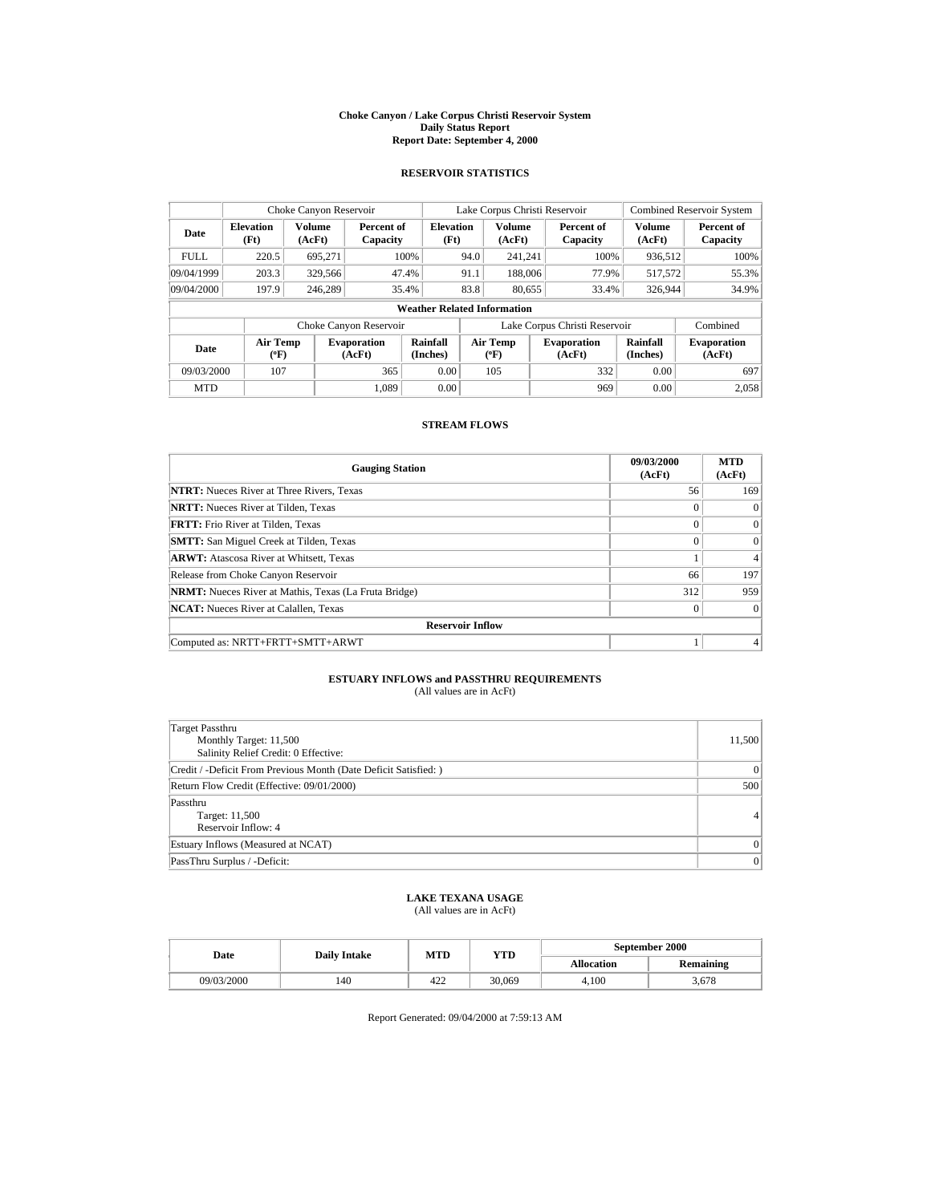#### **Choke Canyon / Lake Corpus Christi Reservoir System Daily Status Report Report Date: September 4, 2000**

## **RESERVOIR STATISTICS**

| Choke Canyon Reservoir |                                    |                  |                              |                          | Lake Corpus Christi Reservoir |                                       |  | <b>Combined Reservoir System</b> |                             |                              |
|------------------------|------------------------------------|------------------|------------------------------|--------------------------|-------------------------------|---------------------------------------|--|----------------------------------|-----------------------------|------------------------------|
| Date                   | <b>Elevation</b><br>(Ft)           | Volume<br>(AcFt) | Percent of<br>Capacity       | <b>Elevation</b><br>(Ft) |                               | <b>Volume</b><br>(AcFt)               |  | Percent of<br>Capacity           | <b>Volume</b><br>(AcFt)     | Percent of<br>Capacity       |
| <b>FULL</b>            | 220.5                              | 695,271          |                              | 100%                     | 94.0                          | 241.241                               |  | 100%                             | 936,512                     | 100%                         |
| 09/04/1999             | 203.3                              | 329,566          |                              | 47.4%                    | 91.1                          | 188,006                               |  | 77.9%                            | 517,572                     | 55.3%                        |
| 09/04/2000             | 197.9                              | 246,289          |                              | 35.4%                    | 83.8                          | 80,655                                |  | 33.4%                            | 326,944                     | 34.9%                        |
|                        | <b>Weather Related Information</b> |                  |                              |                          |                               |                                       |  |                                  |                             |                              |
|                        |                                    |                  | Choke Canyon Reservoir       |                          |                               |                                       |  | Lake Corpus Christi Reservoir    |                             | Combined                     |
| Date                   | Air Temp<br>$(^{\circ}F)$          |                  | <b>Evaporation</b><br>(AcFt) | Rainfall<br>(Inches)     |                               | <b>Air Temp</b><br>$(^{o}\mathrm{F})$ |  | <b>Evaporation</b><br>(AcFt)     | <b>Rainfall</b><br>(Inches) | <b>Evaporation</b><br>(AcFt) |
| 09/03/2000             | 107                                |                  | 365                          | 0.00                     |                               | 105                                   |  | 332                              | 0.00                        | 697                          |
| <b>MTD</b>             |                                    |                  | 1.089                        | 0.00                     |                               |                                       |  | 969                              | 0.00                        | 2.058                        |

# **STREAM FLOWS**

| <b>Gauging Station</b>                                       | 09/03/2000<br>(AcFt) | <b>MTD</b><br>(AcFt) |
|--------------------------------------------------------------|----------------------|----------------------|
| <b>NTRT:</b> Nueces River at Three Rivers, Texas             | 56                   | 169                  |
| <b>NRTT:</b> Nueces River at Tilden, Texas                   | $\Omega$             | $\Omega$             |
| <b>FRTT:</b> Frio River at Tilden, Texas                     | $\theta$             | $\Omega$             |
| <b>SMTT:</b> San Miguel Creek at Tilden, Texas               | $\Omega$             | $\Omega$             |
| <b>ARWT:</b> Atascosa River at Whitsett, Texas               |                      | 4                    |
| Release from Choke Canyon Reservoir                          | 66                   | 197                  |
| <b>NRMT:</b> Nueces River at Mathis, Texas (La Fruta Bridge) | 312                  | 959                  |
| <b>NCAT:</b> Nueces River at Calallen, Texas                 | $\theta$             | $\Omega$             |
| <b>Reservoir Inflow</b>                                      |                      |                      |
| Computed as: NRTT+FRTT+SMTT+ARWT                             |                      |                      |

### **ESTUARY INFLOWS and PASSTHRU REQUIREMENTS** (All values are in AcFt)

| Target Passthru<br>Monthly Target: 11,500<br>Salinity Relief Credit: 0 Effective: | 11,500         |
|-----------------------------------------------------------------------------------|----------------|
| Credit / -Deficit From Previous Month (Date Deficit Satisfied: )                  | $\overline{0}$ |
| Return Flow Credit (Effective: 09/01/2000)                                        | 500            |
| Passthru<br>Target: 11,500<br>Reservoir Inflow: 4                                 | $\overline{4}$ |
| Estuary Inflows (Measured at NCAT)                                                | $\Omega$       |
| PassThru Surplus / -Deficit:                                                      | $\overline{0}$ |

# **LAKE TEXANA USAGE**

(All values are in AcFt)

|  | Date       | <b>Daily Intake</b> | MTD | YTD    | September 2000    |           |  |
|--|------------|---------------------|-----|--------|-------------------|-----------|--|
|  |            |                     |     |        | <b>Allocation</b> | Remaining |  |
|  | 09/03/2000 | 140                 | 422 | 30,069 | 4.100             | 3.678     |  |

Report Generated: 09/04/2000 at 7:59:13 AM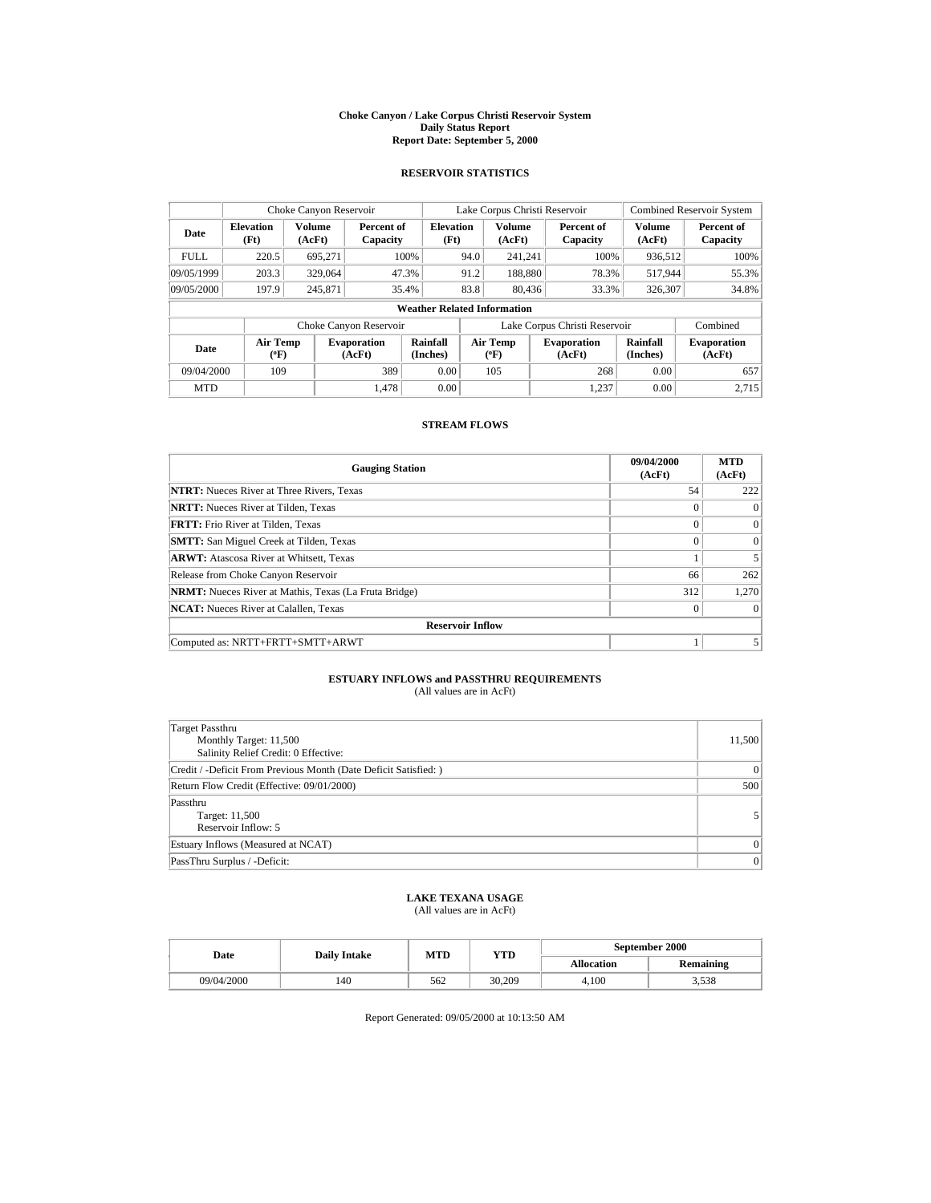#### **Choke Canyon / Lake Corpus Christi Reservoir System Daily Status Report Report Date: September 5, 2000**

## **RESERVOIR STATISTICS**

| Choke Canyon Reservoir   |                                                                     |                  |                              |                                    | Lake Corpus Christi Reservoir |                                |      | <b>Combined Reservoir System</b> |                             |                              |
|--------------------------|---------------------------------------------------------------------|------------------|------------------------------|------------------------------------|-------------------------------|--------------------------------|------|----------------------------------|-----------------------------|------------------------------|
| Date                     | <b>Elevation</b><br>(Ft)                                            | Volume<br>(AcFt) | Percent of<br>Capacity       | <b>Elevation</b><br>(Ft)           |                               | <b>Volume</b><br>(AcFt)        |      | Percent of<br>Capacity           | <b>Volume</b><br>(AcFt)     | Percent of<br>Capacity       |
| <b>FULL</b>              | 220.5                                                               | 695.271          |                              | 100%                               | 94.0                          | 241,241                        |      | 100%                             | 936,512                     | 100%                         |
| 09/05/1999               | 203.3                                                               | 329,064          |                              | 47.3%                              | 91.2                          | 188,880                        |      | 78.3%                            | 517,944                     | 55.3%                        |
| 09/05/2000               | 197.9                                                               | 245,871          |                              | 35.4%                              | 83.8                          | 80,436                         |      | 33.3%                            | 326,307                     | 34.8%                        |
|                          |                                                                     |                  |                              | <b>Weather Related Information</b> |                               |                                |      |                                  |                             |                              |
|                          | Lake Corpus Christi Reservoir<br>Combined<br>Choke Canyon Reservoir |                  |                              |                                    |                               |                                |      |                                  |                             |                              |
| Date                     | Air Temp<br>$(^{\circ}F)$                                           |                  | <b>Evaporation</b><br>(AcFt) | Rainfall<br>(Inches)               |                               | Air Temp<br>$(^{o}\mathrm{F})$ |      | <b>Evaporation</b><br>(AcFt)     | <b>Rainfall</b><br>(Inches) | <b>Evaporation</b><br>(AcFt) |
| 389<br>09/04/2000<br>109 |                                                                     | 0.00             |                              | 105                                |                               | 268                            | 0.00 | 657                              |                             |                              |
| <b>MTD</b>               |                                                                     |                  | 1.478                        | 0.00                               |                               |                                |      | 1.237                            | 0.00                        | 2.715                        |

# **STREAM FLOWS**

| <b>Gauging Station</b>                                       | 09/04/2000<br>(AcFt) | <b>MTD</b><br>(AcFt) |
|--------------------------------------------------------------|----------------------|----------------------|
| <b>NTRT:</b> Nueces River at Three Rivers, Texas             | 54                   | 222                  |
| <b>NRTT:</b> Nueces River at Tilden, Texas                   | $\Omega$             | $\Omega$             |
| <b>FRTT:</b> Frio River at Tilden, Texas                     | $\theta$             | $\Omega$             |
| <b>SMTT:</b> San Miguel Creek at Tilden, Texas               | $\Omega$             | $\Omega$             |
| <b>ARWT:</b> Atascosa River at Whitsett, Texas               |                      |                      |
| Release from Choke Canyon Reservoir                          | 66                   | 262                  |
| <b>NRMT:</b> Nueces River at Mathis, Texas (La Fruta Bridge) | 312                  | 1.270                |
| <b>NCAT:</b> Nueces River at Calallen, Texas                 | $\theta$             | $\Omega$             |
| <b>Reservoir Inflow</b>                                      |                      |                      |
| Computed as: NRTT+FRTT+SMTT+ARWT                             |                      |                      |

### **ESTUARY INFLOWS and PASSTHRU REQUIREMENTS** (All values are in AcFt)

| Target Passthru<br>Monthly Target: 11,500<br>Salinity Relief Credit: 0 Effective: | 11,500       |
|-----------------------------------------------------------------------------------|--------------|
| Credit / -Deficit From Previous Month (Date Deficit Satisfied: )                  | $\mathbf{0}$ |
| Return Flow Credit (Effective: 09/01/2000)                                        | 500          |
| Passthru<br>Target: 11,500<br>Reservoir Inflow: 5                                 |              |
| Estuary Inflows (Measured at NCAT)                                                | $\Omega$     |
| PassThru Surplus / -Deficit:                                                      | $\mathbf{0}$ |

# **LAKE TEXANA USAGE**

(All values are in AcFt)

|  | Date       | <b>Daily Intake</b> | MTD | YTD    | September 2000    |           |  |
|--|------------|---------------------|-----|--------|-------------------|-----------|--|
|  |            |                     |     |        | <b>Allocation</b> | Remaining |  |
|  | 09/04/2000 | 140                 | 562 | 30,209 | 4.100             | 3.538     |  |

Report Generated: 09/05/2000 at 10:13:50 AM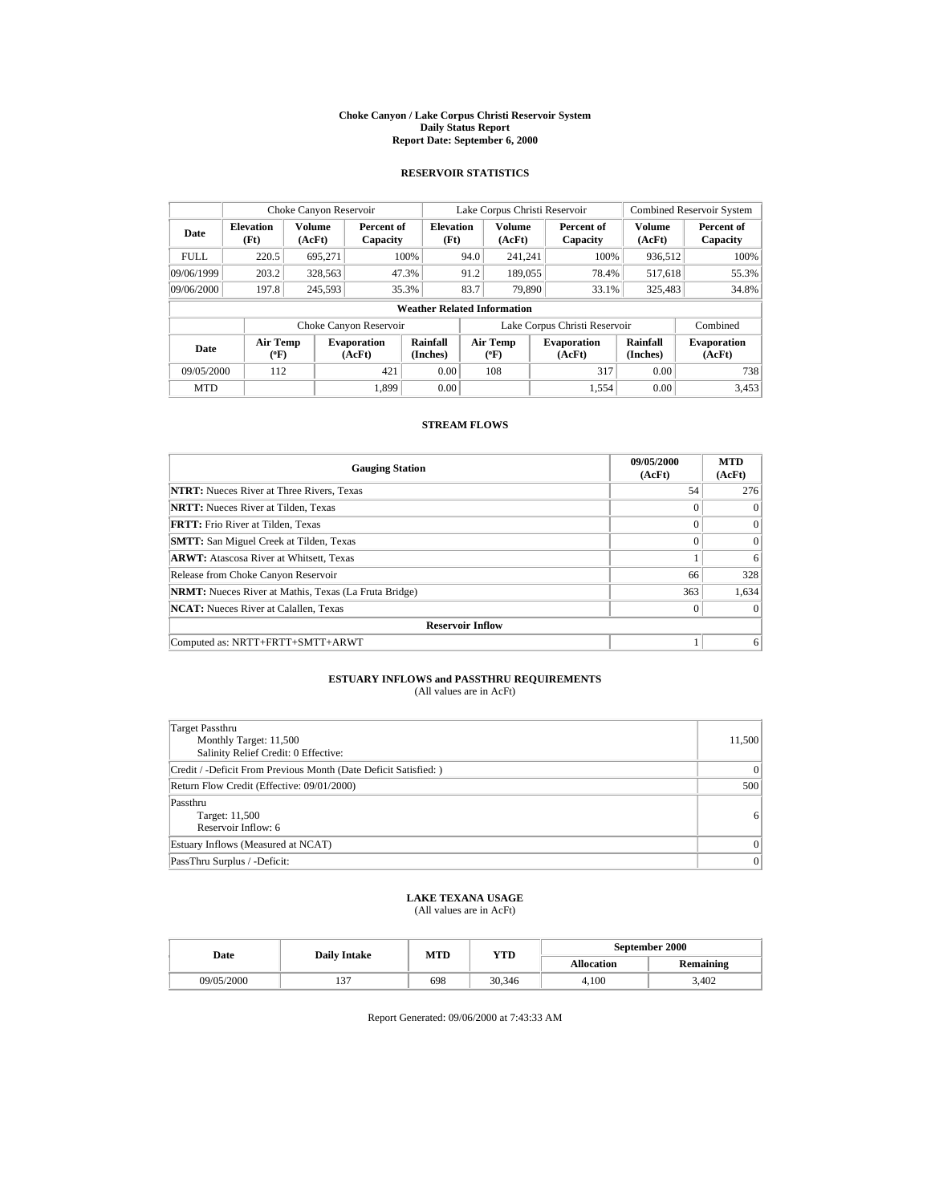#### **Choke Canyon / Lake Corpus Christi Reservoir System Daily Status Report Report Date: September 6, 2000**

## **RESERVOIR STATISTICS**

| Choke Canyon Reservoir   |                                    |                         |                              |                          | Lake Corpus Christi Reservoir |                           |     | <b>Combined Reservoir System</b> |                             |                              |
|--------------------------|------------------------------------|-------------------------|------------------------------|--------------------------|-------------------------------|---------------------------|-----|----------------------------------|-----------------------------|------------------------------|
| Date                     | <b>Elevation</b><br>(Ft)           | <b>Volume</b><br>(AcFt) | Percent of<br>Capacity       | <b>Elevation</b><br>(Ft) |                               | <b>Volume</b><br>(AcFt)   |     | Percent of<br>Capacity           | <b>Volume</b><br>(AcFt)     | Percent of<br>Capacity       |
| <b>FULL</b>              | 220.5                              | 695,271                 |                              | 100%                     | 94.0                          | 241.241                   |     | 100%                             | 936,512                     | 100%                         |
| 09/06/1999               | 203.2                              | 328,563                 |                              | 47.3%                    | 91.2                          | 189,055                   |     | 78.4%                            | 517,618                     | 55.3%                        |
| 09/06/2000               | 197.8                              | 245.593                 |                              | 35.3%                    | 83.7                          | 79.890                    |     | 33.1%                            | 325,483                     | 34.8%                        |
|                          | <b>Weather Related Information</b> |                         |                              |                          |                               |                           |     |                                  |                             |                              |
|                          |                                    |                         | Choke Canyon Reservoir       |                          |                               |                           |     | Lake Corpus Christi Reservoir    |                             | Combined                     |
| Date                     | Air Temp<br>$(^{\circ}F)$          |                         | <b>Evaporation</b><br>(AcFt) | Rainfall<br>(Inches)     |                               | Air Temp<br>$(^{\circ}F)$ |     | <b>Evaporation</b><br>(AcFt)     | <b>Rainfall</b><br>(Inches) | <b>Evaporation</b><br>(AcFt) |
| 09/05/2000<br>421<br>112 |                                    |                         | 0.00                         |                          | 108                           |                           | 317 | 0.00                             | 738                         |                              |
| <b>MTD</b>               |                                    |                         | 1.899                        | 0.00                     |                               |                           |     | 1.554                            | 0.00                        | 3,453                        |

# **STREAM FLOWS**

| <b>Gauging Station</b>                                       | 09/05/2000<br>(AcFt) | <b>MTD</b><br>(AcFt) |
|--------------------------------------------------------------|----------------------|----------------------|
| <b>NTRT:</b> Nueces River at Three Rivers, Texas             | 54                   | 276                  |
| <b>NRTT:</b> Nueces River at Tilden, Texas                   | $\theta$             | $\Omega$             |
| <b>FRTT:</b> Frio River at Tilden, Texas                     | $\Omega$             | $\Omega$             |
| <b>SMTT:</b> San Miguel Creek at Tilden, Texas               | $\Omega$             | $\Omega$             |
| <b>ARWT:</b> Atascosa River at Whitsett, Texas               |                      | 6                    |
| Release from Choke Canyon Reservoir                          | 66                   | 328                  |
| <b>NRMT:</b> Nueces River at Mathis, Texas (La Fruta Bridge) | 363                  | 1.634                |
| <b>NCAT:</b> Nueces River at Calallen, Texas                 | $\theta$             | $\Omega$             |
| <b>Reservoir Inflow</b>                                      |                      |                      |
| Computed as: NRTT+FRTT+SMTT+ARWT                             |                      | 6                    |

### **ESTUARY INFLOWS and PASSTHRU REQUIREMENTS** (All values are in AcFt)

| Target Passthru<br>Monthly Target: 11,500<br>Salinity Relief Credit: 0 Effective: | 11,500       |
|-----------------------------------------------------------------------------------|--------------|
| Credit / -Deficit From Previous Month (Date Deficit Satisfied:)                   | $\mathbf{0}$ |
| Return Flow Credit (Effective: 09/01/2000)                                        | 500          |
| Passthru<br>Target: 11,500<br>Reservoir Inflow: 6                                 | 6            |
| Estuary Inflows (Measured at NCAT)                                                | $\Omega$     |
| PassThru Surplus / -Deficit:                                                      | $\mathbf{0}$ |

# **LAKE TEXANA USAGE**

(All values are in AcFt)

|  | Date       | <b>Daily Intake</b> | MTD | YTD    | September 2000    |                  |  |
|--|------------|---------------------|-----|--------|-------------------|------------------|--|
|  |            |                     |     |        | <b>Allocation</b> | <b>Remaining</b> |  |
|  | 09/05/2000 | 137                 | 698 | 30.346 | 4.100             | 3.402            |  |

Report Generated: 09/06/2000 at 7:43:33 AM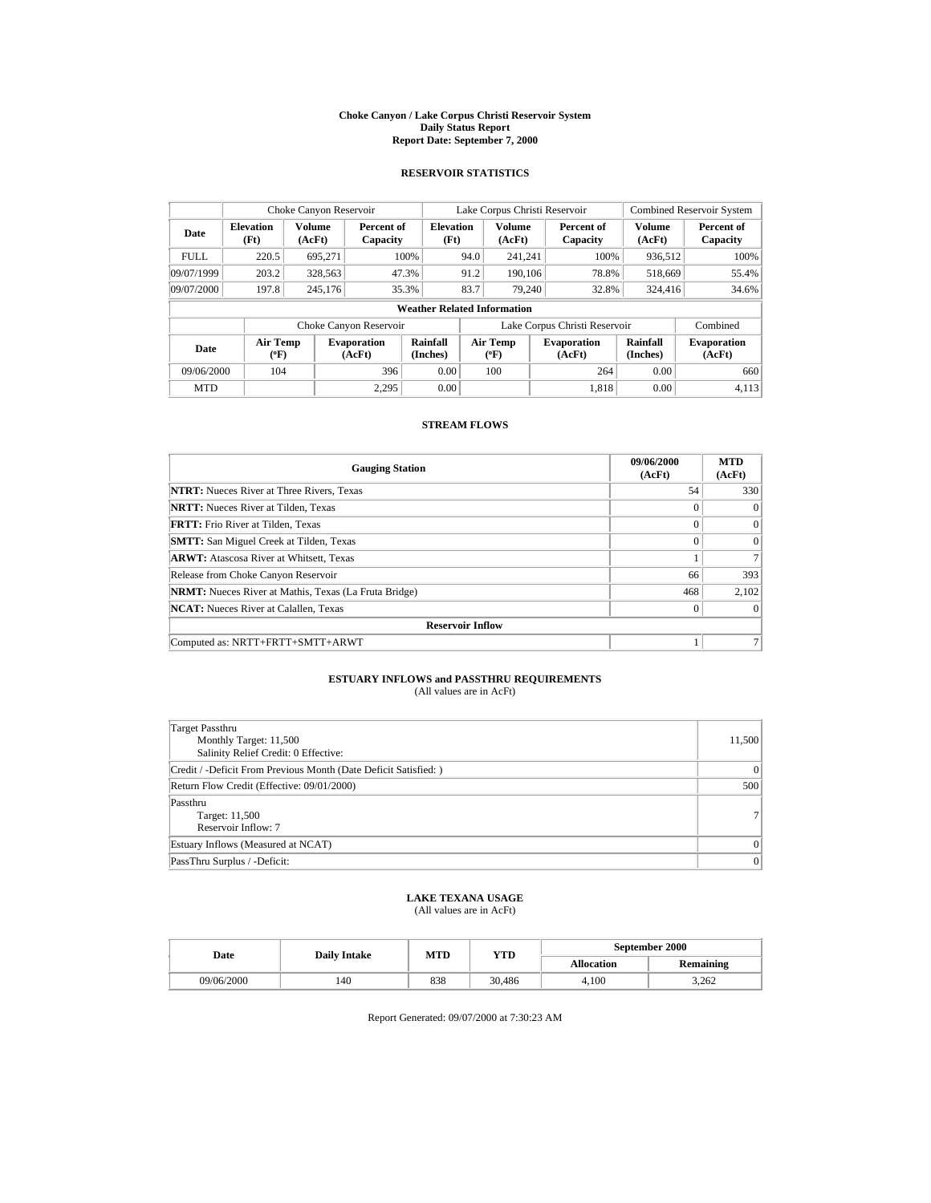#### **Choke Canyon / Lake Corpus Christi Reservoir System Daily Status Report Report Date: September 7, 2000**

### **RESERVOIR STATISTICS**

| Choke Canyon Reservoir |                           |                  |                              |                                    | Lake Corpus Christi Reservoir |                                | <b>Combined Reservoir System</b> |                             |                              |
|------------------------|---------------------------|------------------|------------------------------|------------------------------------|-------------------------------|--------------------------------|----------------------------------|-----------------------------|------------------------------|
| Date                   | <b>Elevation</b><br>(Ft)  | Volume<br>(AcFt) | Percent of<br>Capacity       | <b>Elevation</b><br>(Ft)           |                               | <b>Volume</b><br>(AcFt)        | Percent of<br>Capacity           | <b>Volume</b><br>(AcFt)     | Percent of<br>Capacity       |
| <b>FULL</b>            | 220.5                     | 695,271          |                              | 100%                               | 94.0                          | 241,241                        | 100%                             | 936,512                     | 100%                         |
| 09/07/1999             | 203.2                     | 328,563          |                              | 47.3%                              | 91.2                          | 190,106                        | 78.8%                            | 518,669                     | 55.4%                        |
| 09/07/2000             | 197.8                     | 245,176          |                              | 35.3%                              | 83.7                          | 79,240                         | 32.8%                            | 324,416                     | 34.6%                        |
|                        |                           |                  |                              | <b>Weather Related Information</b> |                               |                                |                                  |                             |                              |
|                        |                           |                  | Choke Canyon Reservoir       |                                    |                               |                                | Lake Corpus Christi Reservoir    |                             | Combined                     |
| Date                   | Air Temp<br>$(^{\circ}F)$ |                  | <b>Evaporation</b><br>(AcFt) | Rainfall<br>(Inches)               |                               | Air Temp<br>$(^{o}\mathrm{F})$ | <b>Evaporation</b><br>(AcFt)     | <b>Rainfall</b><br>(Inches) | <b>Evaporation</b><br>(AcFt) |
| 09/06/2000             | 104                       |                  | 396                          | 0.00                               |                               | 100                            | 264                              | 0.00                        | 660                          |
| <b>MTD</b>             |                           |                  | 2.295                        | 0.00                               |                               |                                | 1.818                            | 0.00                        | 4.113                        |

# **STREAM FLOWS**

| <b>Gauging Station</b>                                       | 09/06/2000<br>(AcFt) | <b>MTD</b><br>(AcFt) |
|--------------------------------------------------------------|----------------------|----------------------|
| <b>NTRT:</b> Nueces River at Three Rivers, Texas             | 54                   | 330                  |
| <b>NRTT:</b> Nueces River at Tilden, Texas                   | $\theta$             | $\Omega$             |
| <b>FRTT:</b> Frio River at Tilden, Texas                     | $\Omega$             | $\Omega$             |
| <b>SMTT:</b> San Miguel Creek at Tilden, Texas               | $\theta$             | $\Omega$             |
| <b>ARWT:</b> Atascosa River at Whitsett, Texas               |                      |                      |
| Release from Choke Canyon Reservoir                          | 66                   | 393                  |
| <b>NRMT:</b> Nueces River at Mathis, Texas (La Fruta Bridge) | 468                  | 2,102                |
| <b>NCAT:</b> Nueces River at Calallen, Texas                 | $\theta$             | $\Omega$             |
| <b>Reservoir Inflow</b>                                      |                      |                      |
| Computed as: NRTT+FRTT+SMTT+ARWT                             |                      |                      |

### **ESTUARY INFLOWS and PASSTHRU REQUIREMENTS** (All values are in AcFt)

| Target Passthru<br>Monthly Target: 11,500<br>Salinity Relief Credit: 0 Effective: | 11,500          |
|-----------------------------------------------------------------------------------|-----------------|
| Credit / -Deficit From Previous Month (Date Deficit Satisfied: )                  | 0               |
| Return Flow Credit (Effective: 09/01/2000)                                        | 500             |
| Passthru<br>Target: 11,500<br>Reservoir Inflow: 7                                 | 7 <sup>1</sup>  |
| Estuary Inflows (Measured at NCAT)                                                | 0               |
| PassThru Surplus / -Deficit:                                                      | $\vert 0 \vert$ |

# **LAKE TEXANA USAGE**

(All values are in AcFt)

|  | Date       | <b>Daily Intake</b> | MTD | YTD    | September 2000    |           |  |
|--|------------|---------------------|-----|--------|-------------------|-----------|--|
|  |            |                     |     |        | <b>Allocation</b> | Remaining |  |
|  | 09/06/2000 | 140                 | 838 | 30.486 | 4.100             | 3.262     |  |

Report Generated: 09/07/2000 at 7:30:23 AM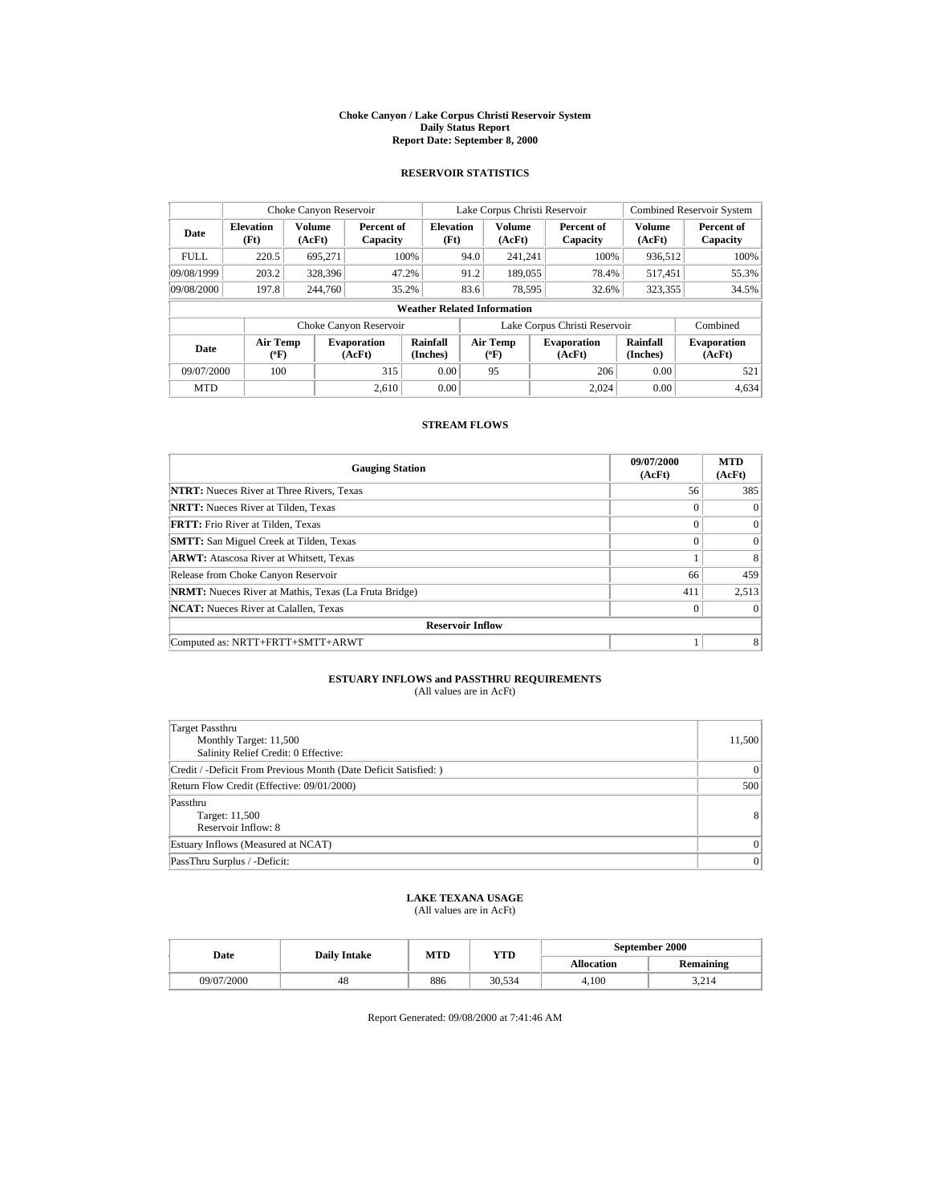#### **Choke Canyon / Lake Corpus Christi Reservoir System Daily Status Report Report Date: September 8, 2000**

### **RESERVOIR STATISTICS**

| Choke Canyon Reservoir |                           |                  |                              |                                    | Lake Corpus Christi Reservoir |                                  | <b>Combined Reservoir System</b> |                             |                              |
|------------------------|---------------------------|------------------|------------------------------|------------------------------------|-------------------------------|----------------------------------|----------------------------------|-----------------------------|------------------------------|
| Date                   | <b>Elevation</b><br>(Ft)  | Volume<br>(AcFt) | Percent of<br>Capacity       | <b>Elevation</b><br>(Ft)           |                               | <b>Volume</b><br>(AcFt)          | Percent of<br>Capacity           | <b>Volume</b><br>(AcFt)     | Percent of<br>Capacity       |
| <b>FULL</b>            | 220.5                     | 695,271          |                              | 100%                               | 94.0                          | 241.241                          | 100%                             | 936,512                     | 100%                         |
| 09/08/1999             | 203.2                     | 328,396          |                              | 47.2%                              | 91.2                          | 189,055                          | 78.4%                            | 517,451                     | 55.3%                        |
| 09/08/2000             | 197.8                     | 244,760          |                              | 35.2%                              | 83.6                          | 78,595                           | 32.6%                            | 323,355                     | 34.5%                        |
|                        |                           |                  |                              | <b>Weather Related Information</b> |                               |                                  |                                  |                             |                              |
|                        |                           |                  | Choke Canyon Reservoir       |                                    |                               |                                  | Lake Corpus Christi Reservoir    |                             | Combined                     |
| Date                   | Air Temp<br>$(^{\circ}F)$ |                  | <b>Evaporation</b><br>(AcFt) | Rainfall<br>(Inches)               |                               | <b>Air Temp</b><br>$(^{\circ}F)$ | <b>Evaporation</b><br>(AcFt)     | <b>Rainfall</b><br>(Inches) | <b>Evaporation</b><br>(AcFt) |
| 09/07/2000             | 100                       |                  | 315                          | 0.00                               |                               | 95                               | 206                              | 0.00                        | 521                          |
| <b>MTD</b>             |                           |                  | 2.610                        | 0.00                               |                               |                                  | 2.024                            | 0.00                        | 4.634                        |

# **STREAM FLOWS**

| <b>Gauging Station</b>                                       | 09/07/2000<br>(AcFt) | <b>MTD</b><br>(AcFt) |
|--------------------------------------------------------------|----------------------|----------------------|
| <b>NTRT:</b> Nueces River at Three Rivers, Texas             | 56                   | 385                  |
| <b>NRTT:</b> Nueces River at Tilden, Texas                   | $\theta$             | $\Omega$             |
| <b>FRTT:</b> Frio River at Tilden, Texas                     | $\Omega$             | $\Omega$             |
| <b>SMTT:</b> San Miguel Creek at Tilden, Texas               | $\Omega$             | $\Omega$             |
| <b>ARWT:</b> Atascosa River at Whitsett, Texas               |                      | 8                    |
| Release from Choke Canyon Reservoir                          | 66                   | 459                  |
| <b>NRMT:</b> Nueces River at Mathis, Texas (La Fruta Bridge) | 411                  | 2,513                |
| <b>NCAT:</b> Nueces River at Calallen, Texas                 | $\theta$             | $\Omega$             |
| <b>Reservoir Inflow</b>                                      |                      |                      |
| Computed as: NRTT+FRTT+SMTT+ARWT                             |                      | 8                    |

### **ESTUARY INFLOWS and PASSTHRU REQUIREMENTS** (All values are in AcFt)

| Target Passthru<br>Monthly Target: 11,500<br>Salinity Relief Credit: 0 Effective: | 11,500       |
|-----------------------------------------------------------------------------------|--------------|
| Credit / -Deficit From Previous Month (Date Deficit Satisfied: )                  | $\mathbf{0}$ |
| Return Flow Credit (Effective: 09/01/2000)                                        | 500          |
| Passthru<br>Target: 11,500<br>Reservoir Inflow: 8                                 | 8            |
| Estuary Inflows (Measured at NCAT)                                                | $\Omega$     |
| PassThru Surplus / -Deficit:                                                      | $\mathbf{0}$ |

# **LAKE TEXANA USAGE**

(All values are in AcFt)

|  | Date       | <b>Daily Intake</b> | MTD | YTD    | September 2000    |           |  |
|--|------------|---------------------|-----|--------|-------------------|-----------|--|
|  |            |                     |     |        | <b>Allocation</b> | Remaining |  |
|  | 09/07/2000 | 48                  | 886 | 30.534 | 4.100             | 3.214     |  |

Report Generated: 09/08/2000 at 7:41:46 AM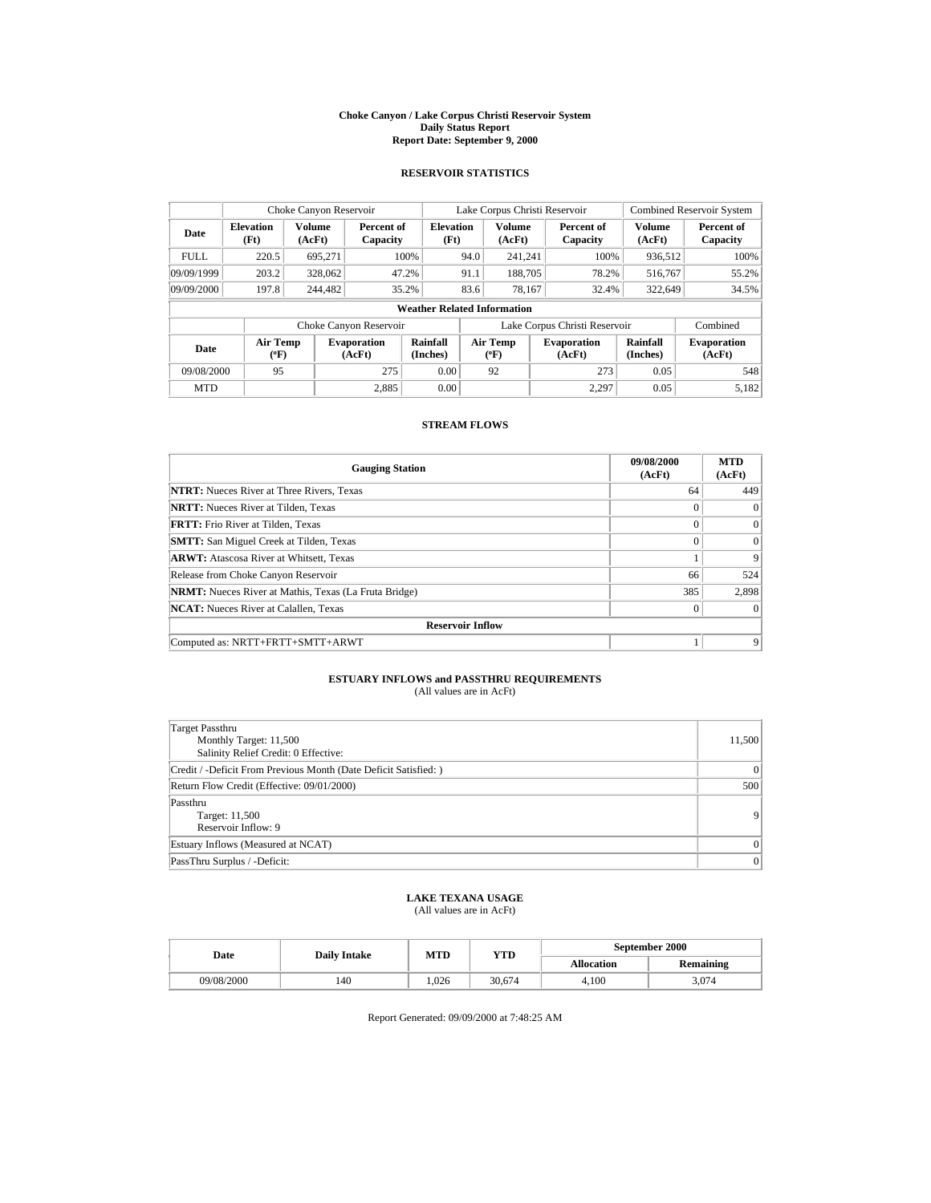#### **Choke Canyon / Lake Corpus Christi Reservoir System Daily Status Report Report Date: September 9, 2000**

### **RESERVOIR STATISTICS**

| Choke Canyon Reservoir |                           |                  |                              |                                    | Lake Corpus Christi Reservoir |                                  | <b>Combined Reservoir System</b> |                             |                              |
|------------------------|---------------------------|------------------|------------------------------|------------------------------------|-------------------------------|----------------------------------|----------------------------------|-----------------------------|------------------------------|
| Date                   | <b>Elevation</b><br>(Ft)  | Volume<br>(AcFt) | Percent of<br>Capacity       | <b>Elevation</b><br>(Ft)           |                               | <b>Volume</b><br>(AcFt)          | Percent of<br>Capacity           | <b>Volume</b><br>(AcFt)     | Percent of<br>Capacity       |
| <b>FULL</b>            | 220.5                     | 695,271          |                              | 100%                               | 94.0                          | 241.241                          | 100%                             | 936,512                     | 100%                         |
| 09/09/1999             | 203.2                     | 328,062          |                              | 47.2%                              | 91.1                          | 188,705                          | 78.2%                            | 516,767                     | 55.2%                        |
| 09/09/2000             | 197.8                     | 244,482          |                              | 35.2%                              | 83.6                          | 78,167                           | 32.4%                            | 322,649                     | 34.5%                        |
|                        |                           |                  |                              | <b>Weather Related Information</b> |                               |                                  |                                  |                             |                              |
|                        |                           |                  | Choke Canyon Reservoir       |                                    |                               |                                  | Lake Corpus Christi Reservoir    |                             | Combined                     |
| Date                   | Air Temp<br>$(^{\circ}F)$ |                  | <b>Evaporation</b><br>(AcFt) | Rainfall<br>(Inches)               |                               | <b>Air Temp</b><br>$(^{\circ}F)$ | <b>Evaporation</b><br>(AcFt)     | <b>Rainfall</b><br>(Inches) | <b>Evaporation</b><br>(AcFt) |
| 09/08/2000             | 95                        |                  | 275                          | 0.00                               |                               | 92                               | 273                              | 0.05                        | 548                          |
| <b>MTD</b>             |                           |                  | 2.885                        | 0.00                               |                               |                                  | 2.297                            | 0.05                        | 5.182                        |

# **STREAM FLOWS**

| <b>Gauging Station</b>                                       | 09/08/2000<br>(AcFt) | <b>MTD</b><br>(AcFt) |
|--------------------------------------------------------------|----------------------|----------------------|
| <b>NTRT:</b> Nueces River at Three Rivers, Texas             | 64                   | 449                  |
| <b>NRTT:</b> Nueces River at Tilden, Texas                   | $\Omega$             | $\Omega$             |
| <b>FRTT:</b> Frio River at Tilden, Texas                     | $\theta$             | $\Omega$             |
| <b>SMTT:</b> San Miguel Creek at Tilden, Texas               | $\Omega$             | $\Omega$             |
| <b>ARWT:</b> Atascosa River at Whitsett, Texas               |                      | 9                    |
| Release from Choke Canyon Reservoir                          | 66                   | 524                  |
| <b>NRMT:</b> Nueces River at Mathis, Texas (La Fruta Bridge) | 385                  | 2.898                |
| <b>NCAT:</b> Nueces River at Calallen, Texas                 | $\theta$             | $\Omega$             |
| <b>Reservoir Inflow</b>                                      |                      |                      |
| Computed as: NRTT+FRTT+SMTT+ARWT                             |                      | 9                    |

### **ESTUARY INFLOWS and PASSTHRU REQUIREMENTS** (All values are in AcFt)

| Target Passthru<br>Monthly Target: 11,500<br>Salinity Relief Credit: 0 Effective: | 11,500       |
|-----------------------------------------------------------------------------------|--------------|
| Credit / -Deficit From Previous Month (Date Deficit Satisfied:)                   | $\mathbf{0}$ |
| Return Flow Credit (Effective: 09/01/2000)                                        | 500          |
| Passthru<br>Target: 11,500<br>Reservoir Inflow: 9                                 | 9            |
| Estuary Inflows (Measured at NCAT)                                                | $\Omega$     |
| PassThru Surplus / -Deficit:                                                      | $\mathbf{0}$ |

# **LAKE TEXANA USAGE**

(All values are in AcFt)

|  | Date       | <b>Daily Intake</b> | MTD  | YTD    | September 2000    |           |  |
|--|------------|---------------------|------|--------|-------------------|-----------|--|
|  |            |                     |      |        | <b>Allocation</b> | Remaining |  |
|  | 09/08/2000 | 140                 | .026 | 30.674 | 4.100             | 3.074     |  |

Report Generated: 09/09/2000 at 7:48:25 AM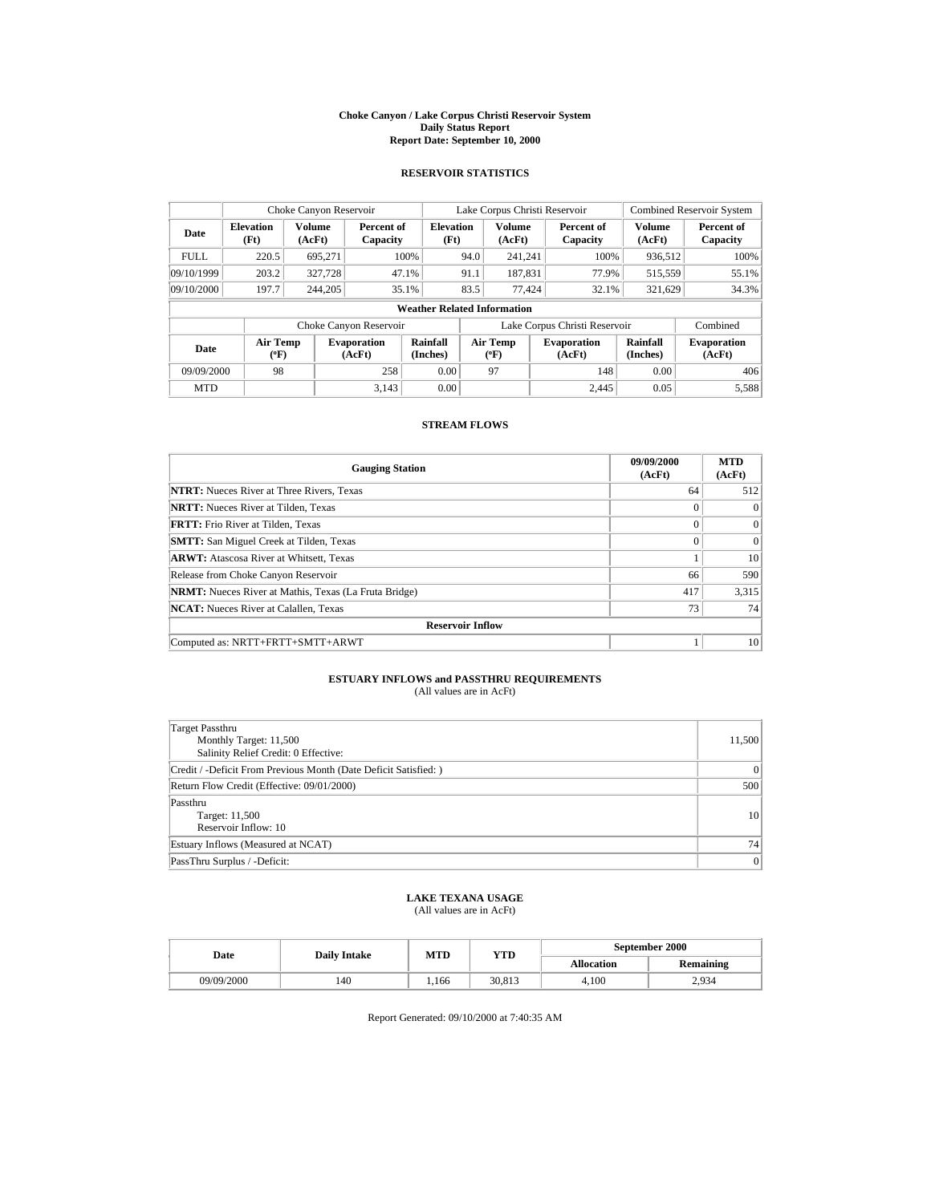#### **Choke Canyon / Lake Corpus Christi Reservoir System Daily Status Report Report Date: September 10, 2000**

### **RESERVOIR STATISTICS**

| Choke Canyon Reservoir  |                                                                     |                         |                              |                                    | Lake Corpus Christi Reservoir |                           |      |                              |                         | <b>Combined Reservoir System</b> |  |
|-------------------------|---------------------------------------------------------------------|-------------------------|------------------------------|------------------------------------|-------------------------------|---------------------------|------|------------------------------|-------------------------|----------------------------------|--|
| Date                    | <b>Elevation</b><br>(Ft)                                            | <b>Volume</b><br>(AcFt) | Percent of<br>Capacity       | <b>Elevation</b><br>(Ft)           |                               | <b>Volume</b><br>(AcFt)   |      | Percent of<br>Capacity       | <b>Volume</b><br>(AcFt) | Percent of<br>Capacity           |  |
| <b>FULL</b>             | 220.5                                                               | 695,271                 |                              | 100%                               | 94.0                          | 241,241                   |      | 100%                         | 936,512                 | 100%                             |  |
| 09/10/1999              | 203.2                                                               | 327,728                 |                              | 47.1%                              | 91.1                          | 187,831                   |      | 77.9%                        | 515,559                 | 55.1%                            |  |
| 09/10/2000              | 197.7                                                               | 244,205                 |                              | 35.1%                              | 83.5                          | 77,424                    |      | 32.1%                        | 321,629                 | 34.3%                            |  |
|                         |                                                                     |                         |                              | <b>Weather Related Information</b> |                               |                           |      |                              |                         |                                  |  |
|                         | Lake Corpus Christi Reservoir<br>Combined<br>Choke Canyon Reservoir |                         |                              |                                    |                               |                           |      |                              |                         |                                  |  |
| Date                    | Air Temp<br>$(^{\circ}F)$                                           |                         | <b>Evaporation</b><br>(AcFt) | Rainfall<br>(Inches)               |                               | Air Temp<br>$(^{\circ}F)$ |      | <b>Evaporation</b><br>(AcFt) | Rainfall<br>(Inches)    | <b>Evaporation</b><br>(AcFt)     |  |
| 09/09/2000<br>98<br>258 |                                                                     | 0.00                    |                              | 97                                 |                               | 148                       | 0.00 | 406                          |                         |                                  |  |
| <b>MTD</b>              |                                                                     |                         | 3,143                        | 0.00                               |                               |                           |      | 2.445                        | 0.05                    | 5,588                            |  |

# **STREAM FLOWS**

| <b>Gauging Station</b>                                       | 09/09/2000<br>(AcFt) | <b>MTD</b><br>(AcFt) |  |  |  |  |
|--------------------------------------------------------------|----------------------|----------------------|--|--|--|--|
| <b>NTRT:</b> Nueces River at Three Rivers, Texas             | 64                   | 512                  |  |  |  |  |
| <b>NRTT:</b> Nueces River at Tilden, Texas                   | $\Omega$             | $\Omega$             |  |  |  |  |
| <b>FRTT:</b> Frio River at Tilden, Texas                     | $\Omega$             | $\Omega$             |  |  |  |  |
| <b>SMTT:</b> San Miguel Creek at Tilden, Texas               | $\Omega$             | $\Omega$             |  |  |  |  |
| <b>ARWT:</b> Atascosa River at Whitsett, Texas               |                      | 10                   |  |  |  |  |
| Release from Choke Canyon Reservoir                          | 66                   | 590                  |  |  |  |  |
| <b>NRMT:</b> Nueces River at Mathis, Texas (La Fruta Bridge) | 417                  | 3,315                |  |  |  |  |
| <b>NCAT:</b> Nueces River at Calallen, Texas                 | 73                   | 74                   |  |  |  |  |
| <b>Reservoir Inflow</b>                                      |                      |                      |  |  |  |  |
| Computed as: NRTT+FRTT+SMTT+ARWT                             |                      | 10                   |  |  |  |  |

### **ESTUARY INFLOWS and PASSTHRU REQUIREMENTS** (All values are in AcFt)

| Target Passthru<br>Monthly Target: 11,500<br>Salinity Relief Credit: 0 Effective: | 11,500         |
|-----------------------------------------------------------------------------------|----------------|
| Credit / -Deficit From Previous Month (Date Deficit Satisfied: )                  | $\mathbf{0}$   |
| Return Flow Credit (Effective: 09/01/2000)                                        | 500            |
| Passthru<br>Target: 11,500<br>Reservoir Inflow: 10                                | 10             |
| Estuary Inflows (Measured at NCAT)                                                | 74             |
| PassThru Surplus / -Deficit:                                                      | $\overline{0}$ |

# **LAKE TEXANA USAGE**

(All values are in AcFt)

| Date       | <b>Daily Intake</b> | MTD   | YTD    | September 2000 |                  |  |
|------------|---------------------|-------|--------|----------------|------------------|--|
|            |                     |       |        | Allocation     | <b>Remaining</b> |  |
| 09/09/2000 | 140                 | 1.166 | 30,813 | 4.100          | 2.934            |  |

Report Generated: 09/10/2000 at 7:40:35 AM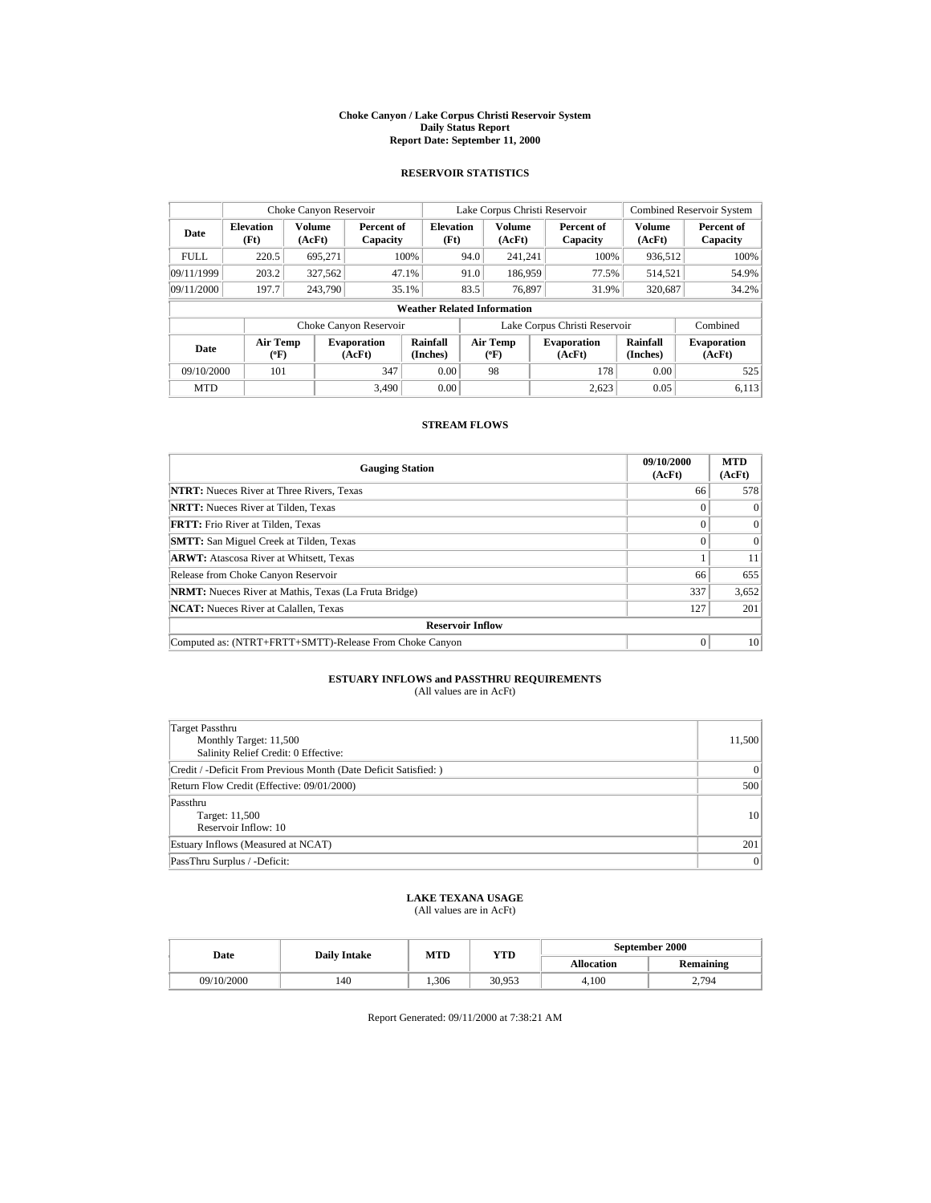#### **Choke Canyon / Lake Corpus Christi Reservoir System Daily Status Report Report Date: September 11, 2000**

## **RESERVOIR STATISTICS**

| Choke Canyon Reservoir |                                                                     |                         |                              |                                    | Lake Corpus Christi Reservoir |                           |                              |       |                      | <b>Combined Reservoir System</b> |  |
|------------------------|---------------------------------------------------------------------|-------------------------|------------------------------|------------------------------------|-------------------------------|---------------------------|------------------------------|-------|----------------------|----------------------------------|--|
| Date                   | <b>Elevation</b><br>(Ft)                                            | <b>Volume</b><br>(AcFt) | Percent of<br>Capacity       | <b>Elevation</b><br>(Ft)           |                               | Volume<br>(AcFt)          | Percent of<br>Capacity       |       | Volume<br>(AcFt)     | Percent of<br>Capacity           |  |
| <b>FULL</b>            | 220.5                                                               | 695.271                 |                              | 100%                               | 94.0                          | 241,241                   |                              | 100%  | 936,512              | 100%                             |  |
| 09/11/1999             | 203.2                                                               | 327,562                 |                              | 47.1%                              | 91.0                          | 186,959                   |                              | 77.5% | 514,521              | 54.9%                            |  |
| 09/11/2000             | 197.7                                                               | 243,790                 |                              | 35.1%                              | 83.5                          | 76.897                    |                              | 31.9% | 320,687              | 34.2%                            |  |
|                        |                                                                     |                         |                              | <b>Weather Related Information</b> |                               |                           |                              |       |                      |                                  |  |
|                        | Lake Corpus Christi Reservoir<br>Combined<br>Choke Canyon Reservoir |                         |                              |                                    |                               |                           |                              |       |                      |                                  |  |
| Date                   | Air Temp<br>$(^{\circ}F)$                                           |                         | <b>Evaporation</b><br>(AcFt) | Rainfall<br>(Inches)               |                               | Air Temp<br>$(^{\circ}F)$ | <b>Evaporation</b><br>(AcFt) |       | Rainfall<br>(Inches) | <b>Evaporation</b><br>(AcFt)     |  |
| 09/10/2000             | 101                                                                 |                         | 347                          | 0.00                               |                               | 98                        |                              | 178   | 0.00                 | 525                              |  |
| <b>MTD</b>             |                                                                     |                         | 3.490                        | 0.00                               |                               |                           |                              | 2.623 | 0.05                 | 6.113                            |  |

# **STREAM FLOWS**

| <b>Gauging Station</b>                                       | 09/10/2000<br>(AcFt) | <b>MTD</b><br>(AcFt) |
|--------------------------------------------------------------|----------------------|----------------------|
| <b>NTRT:</b> Nueces River at Three Rivers, Texas             | 66                   | 578                  |
| <b>NRTT:</b> Nueces River at Tilden, Texas                   | 0                    | $\Omega$             |
| <b>FRTT:</b> Frio River at Tilden, Texas                     | $\Omega$             | $\Omega$             |
| <b>SMTT:</b> San Miguel Creek at Tilden, Texas               | $\Omega$             | $\Omega$             |
| <b>ARWT:</b> Atascosa River at Whitsett, Texas               |                      | 11                   |
| Release from Choke Canyon Reservoir                          | 66                   | 655                  |
| <b>NRMT:</b> Nueces River at Mathis, Texas (La Fruta Bridge) | 337                  | 3,652                |
| <b>NCAT:</b> Nueces River at Calallen, Texas                 | 127                  | 201                  |
| <b>Reservoir Inflow</b>                                      |                      |                      |
| Computed as: (NTRT+FRTT+SMTT)-Release From Choke Canyon      | $\Omega$             | 10                   |

### **ESTUARY INFLOWS and PASSTHRU REQUIREMENTS** (All values are in AcFt)

| Target Passthru<br>Monthly Target: 11,500<br>Salinity Relief Credit: 0 Effective: | 11,500         |
|-----------------------------------------------------------------------------------|----------------|
| Credit / -Deficit From Previous Month (Date Deficit Satisfied:)                   | $\mathbf{0}$   |
| Return Flow Credit (Effective: 09/01/2000)                                        | 500            |
| Passthru<br>Target: 11,500<br>Reservoir Inflow: 10                                | 10             |
| Estuary Inflows (Measured at NCAT)                                                | 201            |
| PassThru Surplus / -Deficit:                                                      | $\overline{0}$ |

# **LAKE TEXANA USAGE**

(All values are in AcFt)

|  | Date       | <b>Daily Intake</b> | MTD              | YTD    | September 2000    |                  |  |
|--|------------|---------------------|------------------|--------|-------------------|------------------|--|
|  |            |                     |                  |        | <b>Allocation</b> | <b>Remaining</b> |  |
|  | 09/10/2000 | 140                 | <sup>1.306</sup> | 30,953 | 4.100             | 2.794            |  |

Report Generated: 09/11/2000 at 7:38:21 AM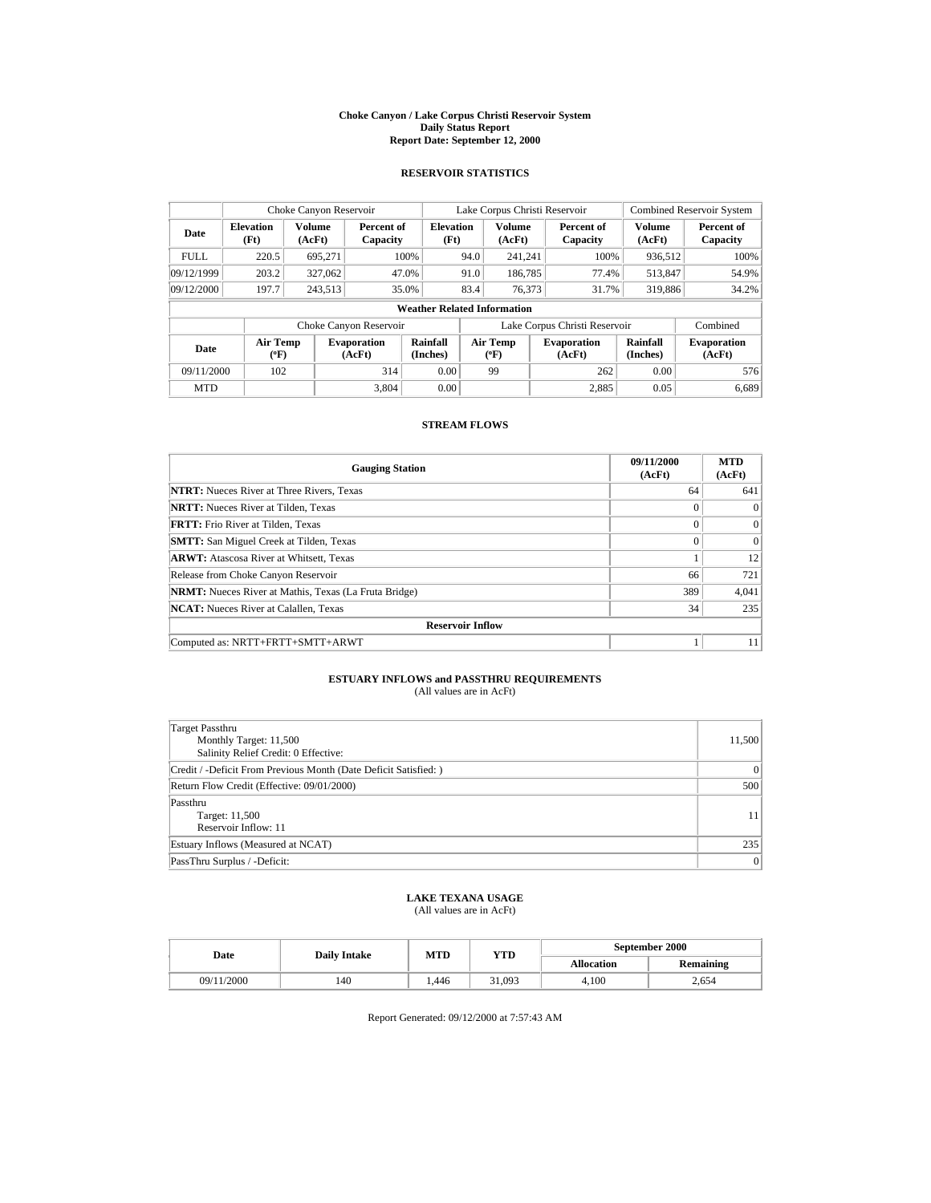#### **Choke Canyon / Lake Corpus Christi Reservoir System Daily Status Report Report Date: September 12, 2000**

## **RESERVOIR STATISTICS**

| Choke Canyon Reservoir |                           |                  |                              |                                    | Lake Corpus Christi Reservoir |                                  |  |                               | <b>Combined Reservoir System</b> |                              |
|------------------------|---------------------------|------------------|------------------------------|------------------------------------|-------------------------------|----------------------------------|--|-------------------------------|----------------------------------|------------------------------|
| Date                   | <b>Elevation</b><br>(Ft)  | Volume<br>(AcFt) | Percent of<br>Capacity       | <b>Elevation</b><br>(Ft)           |                               | <b>Volume</b><br>(AcFt)          |  | Percent of<br>Capacity        | <b>Volume</b><br>(AcFt)          | Percent of<br>Capacity       |
| <b>FULL</b>            | 220.5                     | 695,271          |                              | 100%                               | 94.0                          | 241.241                          |  | 100%                          | 936,512                          | 100%                         |
| 09/12/1999             | 203.2                     | 327,062          |                              | 47.0%                              | 91.0                          | 186,785                          |  | 77.4%                         | 513,847                          | 54.9%                        |
| 09/12/2000             | 197.7                     | 243,513          |                              | 35.0%                              | 83.4                          | 76,373                           |  | 31.7%                         | 319,886                          | 34.2%                        |
|                        |                           |                  |                              | <b>Weather Related Information</b> |                               |                                  |  |                               |                                  |                              |
|                        |                           |                  | Choke Canyon Reservoir       |                                    |                               |                                  |  | Lake Corpus Christi Reservoir |                                  | Combined                     |
| Date                   | Air Temp<br>$(^{\circ}F)$ |                  | <b>Evaporation</b><br>(AcFt) | Rainfall<br>(Inches)               |                               | <b>Air Temp</b><br>$(^{\circ}F)$ |  | <b>Evaporation</b><br>(AcFt)  | <b>Rainfall</b><br>(Inches)      | <b>Evaporation</b><br>(AcFt) |
| 09/11/2000             | 102                       |                  | 314                          | 0.00                               |                               | 99                               |  | 262                           | 0.00                             | 576                          |
| <b>MTD</b>             |                           |                  | 3.804                        | 0.00                               |                               |                                  |  | 2.885                         | 0.05                             | 6.689                        |

# **STREAM FLOWS**

| <b>Gauging Station</b>                                       | 09/11/2000<br>(AcFt) | <b>MTD</b><br>(AcFt) |  |  |  |  |
|--------------------------------------------------------------|----------------------|----------------------|--|--|--|--|
| <b>NTRT:</b> Nueces River at Three Rivers, Texas             | 64                   | 641                  |  |  |  |  |
| <b>NRTT:</b> Nueces River at Tilden, Texas                   | $\Omega$             | $\Omega$             |  |  |  |  |
| <b>FRTT:</b> Frio River at Tilden, Texas                     | $\Omega$             | $\Omega$             |  |  |  |  |
| <b>SMTT:</b> San Miguel Creek at Tilden, Texas               | $\Omega$             | $\Omega$             |  |  |  |  |
| <b>ARWT:</b> Atascosa River at Whitsett, Texas               |                      | 12                   |  |  |  |  |
| Release from Choke Canyon Reservoir                          | 66                   | 721                  |  |  |  |  |
| <b>NRMT:</b> Nueces River at Mathis, Texas (La Fruta Bridge) | 389                  | 4,041                |  |  |  |  |
| <b>NCAT:</b> Nueces River at Calallen, Texas                 | 34                   | 235                  |  |  |  |  |
| <b>Reservoir Inflow</b>                                      |                      |                      |  |  |  |  |
| Computed as: NRTT+FRTT+SMTT+ARWT                             |                      | 11                   |  |  |  |  |

### **ESTUARY INFLOWS and PASSTHRU REQUIREMENTS** (All values are in AcFt)

| Target Passthru<br>Monthly Target: 11,500<br>Salinity Relief Credit: 0 Effective: | 11,500         |
|-----------------------------------------------------------------------------------|----------------|
| Credit / -Deficit From Previous Month (Date Deficit Satisfied:)                   | $\mathbf{0}$   |
| Return Flow Credit (Effective: 09/01/2000)                                        | 500            |
| Passthru<br>Target: 11,500<br>Reservoir Inflow: 11                                | 11             |
| Estuary Inflows (Measured at NCAT)                                                | 235            |
| PassThru Surplus / -Deficit:                                                      | $\overline{0}$ |

# **LAKE TEXANA USAGE**

(All values are in AcFt)

|  | Date       | <b>Daily Intake</b> | MTD  | YTD    | September 2000    |                  |  |
|--|------------|---------------------|------|--------|-------------------|------------------|--|
|  |            |                     |      |        | <b>Allocation</b> | <b>Remaining</b> |  |
|  | 09/11/2000 | 140                 | .446 | 31.093 | 4.100             | 2.654            |  |

Report Generated: 09/12/2000 at 7:57:43 AM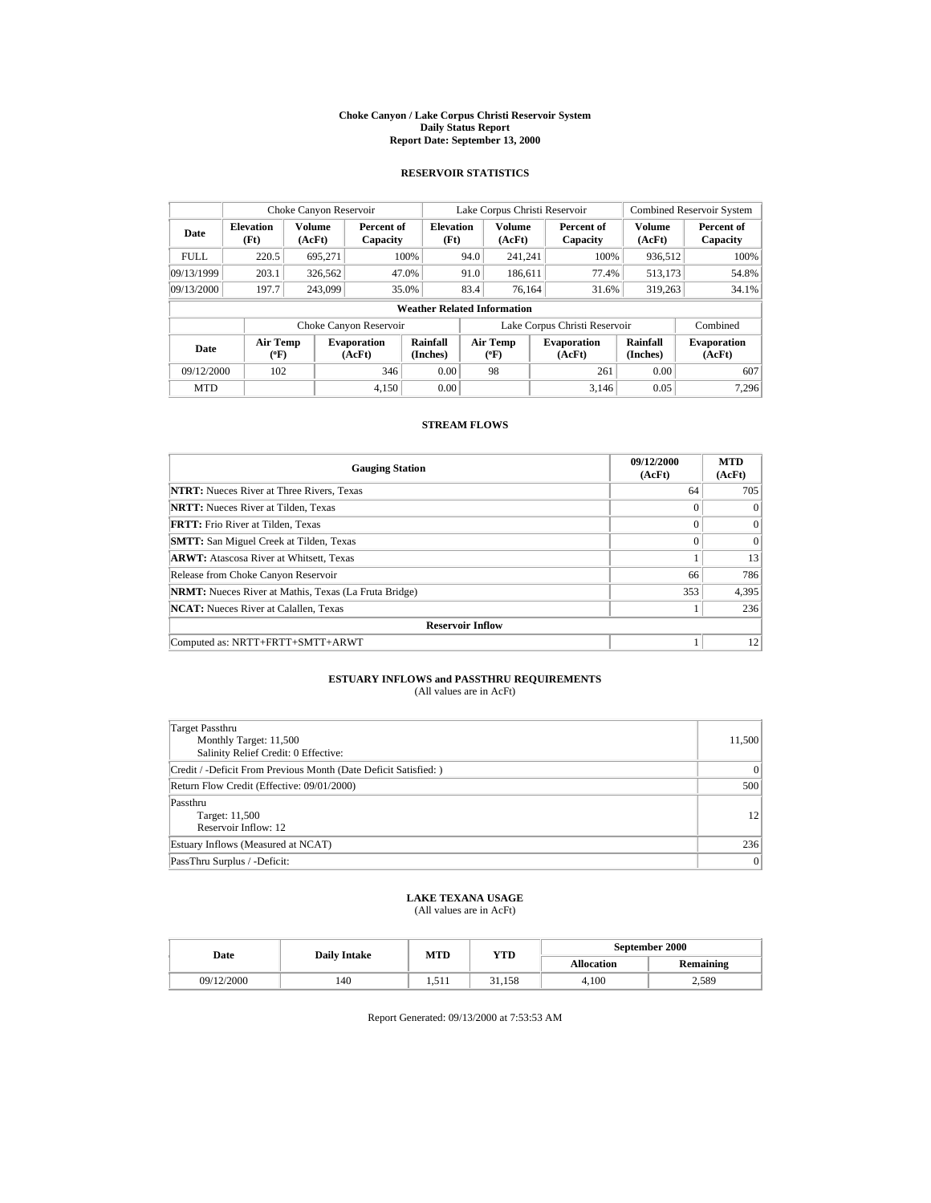#### **Choke Canyon / Lake Corpus Christi Reservoir System Daily Status Report Report Date: September 13, 2000**

### **RESERVOIR STATISTICS**

| Choke Canyon Reservoir |                           |                         |                              | Lake Corpus Christi Reservoir      |      |                           |  | <b>Combined Reservoir System</b> |                         |                              |
|------------------------|---------------------------|-------------------------|------------------------------|------------------------------------|------|---------------------------|--|----------------------------------|-------------------------|------------------------------|
| Date                   | <b>Elevation</b><br>(Ft)  | <b>Volume</b><br>(AcFt) | Percent of<br>Capacity       | <b>Elevation</b><br>(Ft)           |      | <b>Volume</b><br>(AcFt)   |  | Percent of<br>Capacity           | <b>Volume</b><br>(AcFt) | Percent of<br>Capacity       |
| <b>FULL</b>            | 220.5                     | 695,271                 |                              | 100%                               | 94.0 | 241,241                   |  | 100%                             | 936,512                 | 100%                         |
| 09/13/1999             | 203.1                     | 326,562                 |                              | 47.0%                              | 91.0 | 186,611                   |  | 77.4%                            | 513,173                 | 54.8%                        |
| 09/13/2000             | 197.7                     | 243,099                 |                              | 35.0%                              | 83.4 | 76.164                    |  | 31.6%                            | 319,263                 | 34.1%                        |
|                        |                           |                         |                              | <b>Weather Related Information</b> |      |                           |  |                                  |                         |                              |
|                        |                           |                         | Choke Canyon Reservoir       |                                    |      |                           |  | Lake Corpus Christi Reservoir    |                         | Combined                     |
| Date                   | Air Temp<br>$(^{\circ}F)$ |                         | <b>Evaporation</b><br>(AcFt) | Rainfall<br>(Inches)               |      | Air Temp<br>$(^{\circ}F)$ |  | <b>Evaporation</b><br>(AcFt)     | Rainfall<br>(Inches)    | <b>Evaporation</b><br>(AcFt) |
| 09/12/2000             | 102                       |                         | 346                          | 0.00                               |      | 98                        |  | 261                              | 0.00                    | 607                          |
| <b>MTD</b>             |                           |                         | 4,150                        | 0.00                               |      |                           |  | 3,146                            | 0.05                    | 7.296                        |

# **STREAM FLOWS**

| <b>Gauging Station</b>                                       | 09/12/2000<br>(AcFt) | <b>MTD</b><br>(AcFt) |
|--------------------------------------------------------------|----------------------|----------------------|
| <b>NTRT:</b> Nueces River at Three Rivers, Texas             | 64                   | 705                  |
| <b>NRTT:</b> Nueces River at Tilden, Texas                   | $\theta$             | $\Omega$             |
| <b>FRTT:</b> Frio River at Tilden, Texas                     | $\Omega$             | $\Omega$             |
| <b>SMTT:</b> San Miguel Creek at Tilden, Texas               | $\Omega$             | $\Omega$             |
| <b>ARWT:</b> Atascosa River at Whitsett, Texas               |                      | 13                   |
| Release from Choke Canyon Reservoir                          | 66                   | 786                  |
| <b>NRMT:</b> Nueces River at Mathis, Texas (La Fruta Bridge) | 353                  | 4,395                |
| <b>NCAT:</b> Nueces River at Calallen, Texas                 |                      | 236                  |
| <b>Reservoir Inflow</b>                                      |                      |                      |
| Computed as: NRTT+FRTT+SMTT+ARWT                             |                      | 12                   |

### **ESTUARY INFLOWS and PASSTHRU REQUIREMENTS** (All values are in AcFt)

| Target Passthru                                                  |                |
|------------------------------------------------------------------|----------------|
| Monthly Target: 11,500                                           | 11,500         |
| Salinity Relief Credit: 0 Effective:                             |                |
| Credit / -Deficit From Previous Month (Date Deficit Satisfied: ) | $\overline{0}$ |
| Return Flow Credit (Effective: 09/01/2000)                       | 500            |
| Passthru                                                         |                |
| Target: 11,500                                                   | 12             |
| Reservoir Inflow: 12                                             |                |
| Estuary Inflows (Measured at NCAT)                               | 236            |
| PassThru Surplus / -Deficit:                                     | $\overline{0}$ |

# **LAKE TEXANA USAGE**

(All values are in AcFt)

|  | Date       | <b>Daily Intake</b> | MTD   | YTD    | September 2000    |                  |  |
|--|------------|---------------------|-------|--------|-------------------|------------------|--|
|  |            |                     |       |        | <b>Allocation</b> | <b>Remaining</b> |  |
|  | 09/12/2000 | 140                 | 1.711 | 31.158 | 4.100             | 2,589            |  |

Report Generated: 09/13/2000 at 7:53:53 AM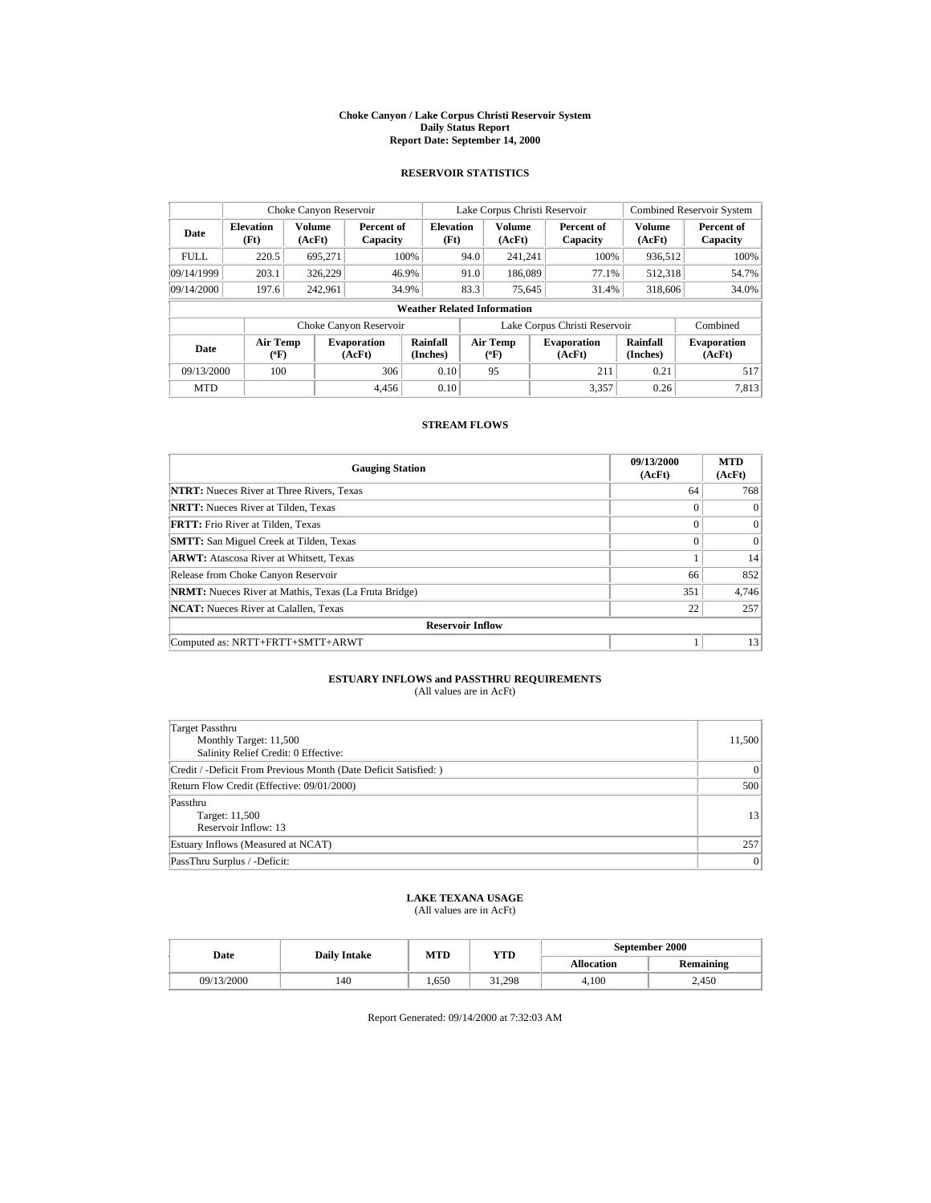#### **Choke Canyon / Lake Corpus Christi Reservoir System Daily Status Report Report Date: September 14, 2000**

## **RESERVOIR STATISTICS**

| Choke Canyon Reservoir |                           |                  |                              |                                    | Lake Corpus Christi Reservoir |                                  | <b>Combined Reservoir System</b> |                             |                              |
|------------------------|---------------------------|------------------|------------------------------|------------------------------------|-------------------------------|----------------------------------|----------------------------------|-----------------------------|------------------------------|
| Date                   | <b>Elevation</b><br>(Ft)  | Volume<br>(AcFt) | Percent of<br>Capacity       | <b>Elevation</b><br>(Ft)           |                               | <b>Volume</b><br>(AcFt)          | Percent of<br>Capacity           | <b>Volume</b><br>(AcFt)     | Percent of<br>Capacity       |
| <b>FULL</b>            | 220.5                     | 695,271          |                              | 100%                               | 94.0                          | 241.241                          | 100%                             | 936,512                     | 100%                         |
| 09/14/1999             | 203.1                     | 326,229          |                              | 46.9%                              | 91.0                          | 186,089                          | 77.1%                            | 512,318                     | 54.7%                        |
| 09/14/2000             | 197.6                     | 242,961          |                              | 34.9%                              | 83.3                          | 75,645                           | 31.4%                            | 318,606                     | 34.0%                        |
|                        |                           |                  |                              | <b>Weather Related Information</b> |                               |                                  |                                  |                             |                              |
|                        |                           |                  | Choke Canyon Reservoir       |                                    |                               |                                  | Lake Corpus Christi Reservoir    |                             | Combined                     |
| Date                   | Air Temp<br>$(^{\circ}F)$ |                  | <b>Evaporation</b><br>(AcFt) | Rainfall<br>(Inches)               |                               | <b>Air Temp</b><br>$(^{\circ}F)$ | <b>Evaporation</b><br>(AcFt)     | <b>Rainfall</b><br>(Inches) | <b>Evaporation</b><br>(AcFt) |
| 09/13/2000             | 100                       |                  | 306                          | 0.10                               |                               | 95                               | 211                              | 0.21                        | 517                          |
| <b>MTD</b>             |                           |                  | 4.456                        | 0.10                               |                               |                                  | 3.357                            | 0.26                        | 7.813                        |

# **STREAM FLOWS**

| <b>Gauging Station</b>                                       | 09/13/2000<br>(AcFt) | <b>MTD</b><br>(AcFt) |
|--------------------------------------------------------------|----------------------|----------------------|
| <b>NTRT:</b> Nueces River at Three Rivers, Texas             | 64                   | 768                  |
| <b>NRTT:</b> Nueces River at Tilden, Texas                   | $\Omega$             | $\Omega$             |
| <b>FRTT:</b> Frio River at Tilden, Texas                     | $\theta$             | $\Omega$             |
| <b>SMTT:</b> San Miguel Creek at Tilden, Texas               | $\theta$             | $\Omega$             |
| <b>ARWT:</b> Atascosa River at Whitsett, Texas               |                      | 14                   |
| Release from Choke Canyon Reservoir                          | 66                   | 852                  |
| <b>NRMT:</b> Nueces River at Mathis, Texas (La Fruta Bridge) | 351                  | 4.746                |
| <b>NCAT:</b> Nueces River at Calallen, Texas                 | 22                   | 257                  |
| <b>Reservoir Inflow</b>                                      |                      |                      |
| Computed as: NRTT+FRTT+SMTT+ARWT                             |                      | 13                   |

### **ESTUARY INFLOWS and PASSTHRU REQUIREMENTS** (All values are in AcFt)

| Target Passthru<br>Monthly Target: 11,500<br>Salinity Relief Credit: 0 Effective: | 11,500         |
|-----------------------------------------------------------------------------------|----------------|
| Credit / -Deficit From Previous Month (Date Deficit Satisfied:)                   | $\mathbf{0}$   |
| Return Flow Credit (Effective: 09/01/2000)                                        | 500            |
| Passthru<br>Target: 11,500<br>Reservoir Inflow: 13                                | 13             |
| Estuary Inflows (Measured at NCAT)                                                | 257            |
| PassThru Surplus / -Deficit:                                                      | $\overline{0}$ |

# **LAKE TEXANA USAGE**

(All values are in AcFt)

|  | Date       | <b>Daily Intake</b> | MTD | YTD    | September 2000    |                  |  |
|--|------------|---------------------|-----|--------|-------------------|------------------|--|
|  |            |                     |     |        | <b>Allocation</b> | <b>Remaining</b> |  |
|  | 09/13/2000 | 140                 | 650 | 31.298 | 4.100             | 2.450            |  |

Report Generated: 09/14/2000 at 7:32:03 AM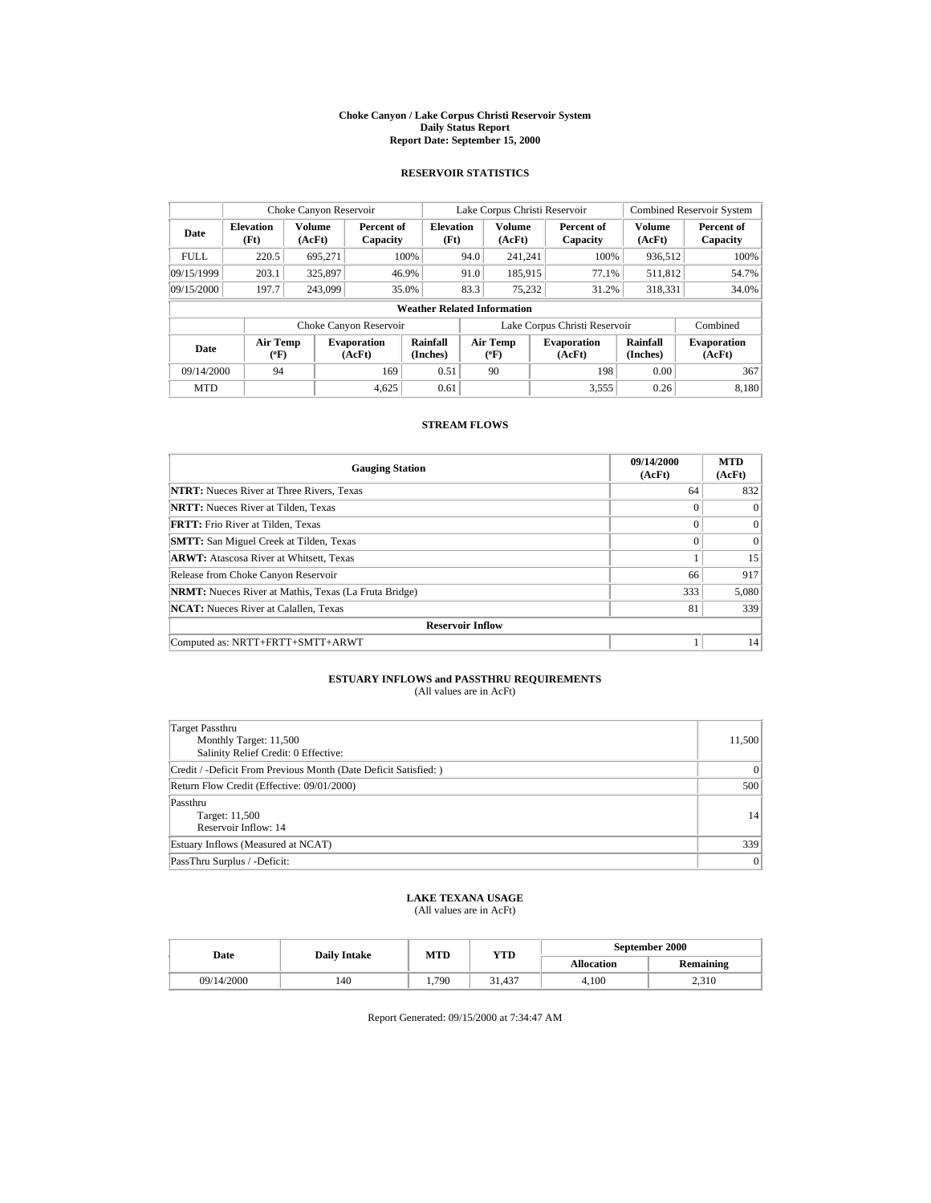#### **Choke Canyon / Lake Corpus Christi Reservoir System Daily Status Report Report Date: September 15, 2000**

### **RESERVOIR STATISTICS**

| Choke Canyon Reservoir |                           |                  |                              |                                    |      | Lake Corpus Christi Reservoir    |                               | <b>Combined Reservoir System</b> |                              |
|------------------------|---------------------------|------------------|------------------------------|------------------------------------|------|----------------------------------|-------------------------------|----------------------------------|------------------------------|
| Date                   | <b>Elevation</b><br>(Ft)  | Volume<br>(AcFt) | Percent of<br>Capacity       | <b>Elevation</b><br>(Ft)           |      | <b>Volume</b><br>(AcFt)          | Percent of<br>Capacity        | Volume<br>(AcFt)                 | Percent of<br>Capacity       |
| <b>FULL</b>            | 220.5                     | 695,271          |                              | 100%                               | 94.0 | 241,241                          | 100%                          | 936,512                          | 100%                         |
| 09/15/1999             | 203.1                     | 325,897          |                              | 46.9%                              | 91.0 | 185,915                          | 77.1%                         | 511,812                          | 54.7%                        |
| 09/15/2000             | 197.7                     | 243,099          |                              | 35.0%                              | 83.3 | 75,232                           | 31.2%                         | 318,331                          | 34.0%                        |
|                        |                           |                  |                              | <b>Weather Related Information</b> |      |                                  |                               |                                  |                              |
|                        |                           |                  | Choke Canyon Reservoir       |                                    |      |                                  | Lake Corpus Christi Reservoir |                                  | Combined                     |
| Date                   | Air Temp<br>$(^{\circ}F)$ |                  | <b>Evaporation</b><br>(AcFt) | Rainfall<br>(Inches)               |      | <b>Air Temp</b><br>$(^{\circ}F)$ | <b>Evaporation</b><br>(AcFt)  | Rainfall<br>(Inches)             | <b>Evaporation</b><br>(AcFt) |
| 09/14/2000             | 94                        |                  | 169                          | 0.51                               |      | 90                               | 198                           | 0.00                             | 367                          |
| <b>MTD</b>             |                           |                  | 4.625                        | 0.61                               |      |                                  | 3,555                         | 0.26                             | 8.180                        |

# **STREAM FLOWS**

| <b>Gauging Station</b>                                       | 09/14/2000<br>(AcFt) | <b>MTD</b><br>(AcFt) |
|--------------------------------------------------------------|----------------------|----------------------|
| <b>NTRT:</b> Nueces River at Three Rivers, Texas             | 64                   | 832                  |
| <b>NRTT:</b> Nueces River at Tilden, Texas                   | $\Omega$             | $\Omega$             |
| <b>FRTT:</b> Frio River at Tilden, Texas                     | $\Omega$             | $\Omega$             |
| <b>SMTT:</b> San Miguel Creek at Tilden, Texas               | $\Omega$             | $\Omega$             |
| <b>ARWT:</b> Atascosa River at Whitsett, Texas               |                      | 15                   |
| Release from Choke Canyon Reservoir                          | 66                   | 917                  |
| <b>NRMT:</b> Nueces River at Mathis, Texas (La Fruta Bridge) | 333                  | 5,080                |
| <b>NCAT:</b> Nueces River at Calallen, Texas                 | 81                   | 339                  |
| <b>Reservoir Inflow</b>                                      |                      |                      |
| Computed as: NRTT+FRTT+SMTT+ARWT                             |                      | 14                   |

### **ESTUARY INFLOWS and PASSTHRU REQUIREMENTS** (All values are in AcFt)

| Target Passthru<br>Monthly Target: 11,500<br>Salinity Relief Credit: 0 Effective: | 11,500         |
|-----------------------------------------------------------------------------------|----------------|
| Credit / -Deficit From Previous Month (Date Deficit Satisfied:)                   | $\mathbf{0}$   |
| Return Flow Credit (Effective: 09/01/2000)                                        | 500            |
| Passthru<br>Target: 11,500<br>Reservoir Inflow: 14                                | 14             |
| Estuary Inflows (Measured at NCAT)                                                | 339            |
| PassThru Surplus / -Deficit:                                                      | $\overline{0}$ |

# **LAKE TEXANA USAGE**

(All values are in AcFt)

|  | Date       | <b>Daily Intake</b> | MTD   | YTD    | September 2000    |                  |  |
|--|------------|---------------------|-------|--------|-------------------|------------------|--|
|  |            |                     |       |        | <b>Allocation</b> | <b>Remaining</b> |  |
|  | 09/14/2000 | 140                 | 1.790 | 31.437 | 4.100             | 2.310            |  |

Report Generated: 09/15/2000 at 7:34:47 AM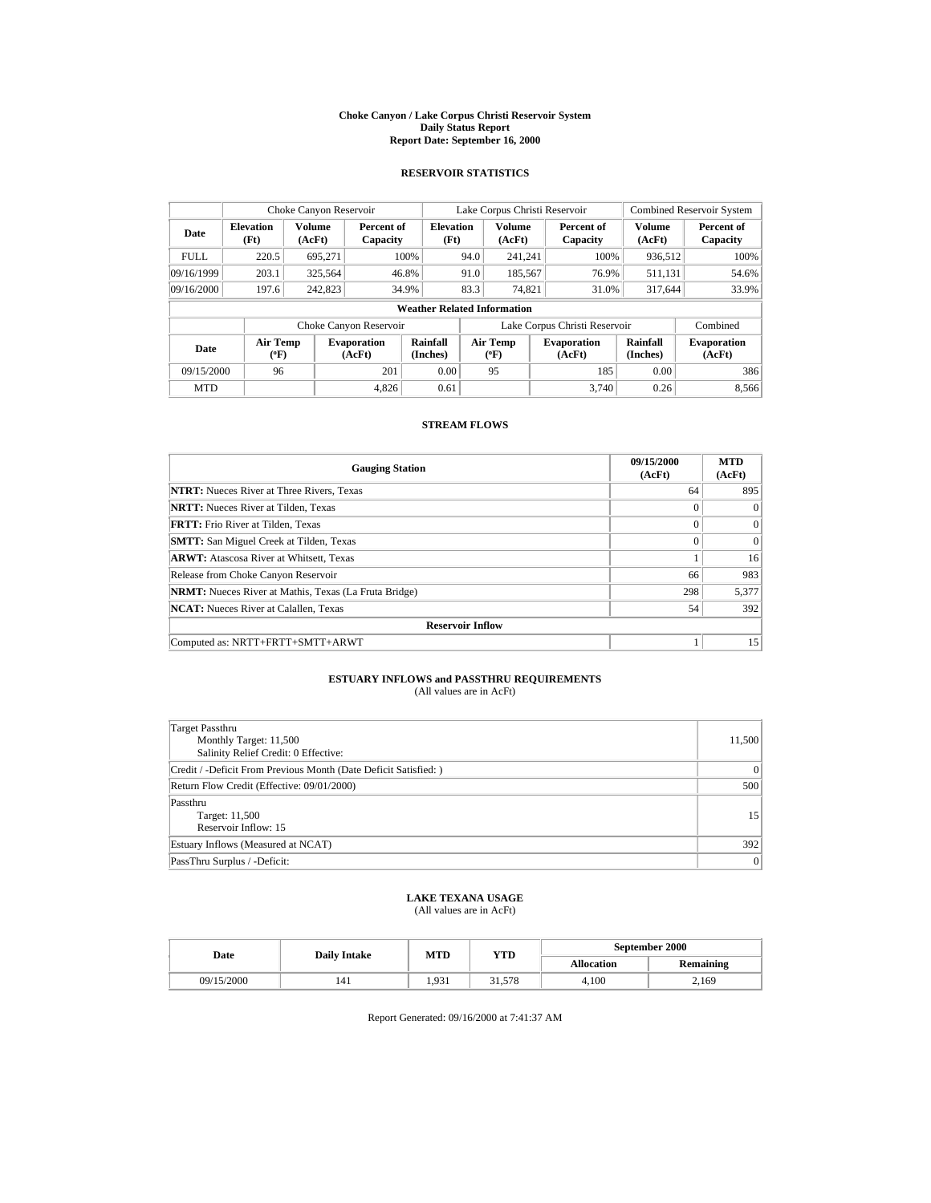#### **Choke Canyon / Lake Corpus Christi Reservoir System Daily Status Report Report Date: September 16, 2000**

## **RESERVOIR STATISTICS**

| Choke Canyon Reservoir |                                                                     |                         |                              |                                    |                           | Lake Corpus Christi Reservoir |  |                              | <b>Combined Reservoir System</b> |                              |
|------------------------|---------------------------------------------------------------------|-------------------------|------------------------------|------------------------------------|---------------------------|-------------------------------|--|------------------------------|----------------------------------|------------------------------|
| Date                   | <b>Elevation</b><br>(Ft)                                            | <b>Volume</b><br>(AcFt) | Percent of<br>Capacity       | <b>Elevation</b><br>(Ft)           |                           | <b>Volume</b><br>(AcFt)       |  | Percent of<br>Capacity       | <b>Volume</b><br>(AcFt)          | Percent of<br>Capacity       |
| <b>FULL</b>            | 220.5                                                               | 695,271                 |                              | 100%                               | 94.0                      | 241.241                       |  | 100%                         | 936,512                          | 100%                         |
| 09/16/1999             | 203.1                                                               | 325,564                 |                              | 46.8%                              | 91.0                      | 185,567                       |  | 76.9%                        | 511,131                          | 54.6%                        |
| 09/16/2000             | 197.6                                                               | 242,823                 |                              | 34.9%                              | 83.3                      | 74.821                        |  | 31.0%                        | 317.644                          | 33.9%                        |
|                        |                                                                     |                         |                              | <b>Weather Related Information</b> |                           |                               |  |                              |                                  |                              |
|                        | Lake Corpus Christi Reservoir<br>Combined<br>Choke Canyon Reservoir |                         |                              |                                    |                           |                               |  |                              |                                  |                              |
| Date                   | Air Temp<br>$(^{\circ}F)$                                           |                         | <b>Evaporation</b><br>(AcFt) | <b>Rainfall</b><br>(Inches)        | Air Temp<br>$(^{\circ}F)$ |                               |  | <b>Evaporation</b><br>(AcFt) | <b>Rainfall</b><br>(Inches)      | <b>Evaporation</b><br>(AcFt) |
| 09/15/2000             | 96                                                                  |                         | 201                          | 0.00                               |                           | 95                            |  | 185                          | 0.00                             | 386                          |
| <b>MTD</b>             |                                                                     |                         | 4,826                        | 0.61                               |                           |                               |  | 3.740                        | 0.26                             | 8.566                        |

# **STREAM FLOWS**

| <b>Gauging Station</b>                                       | 09/15/2000<br>(AcFt) | <b>MTD</b><br>(AcFt) |
|--------------------------------------------------------------|----------------------|----------------------|
| <b>NTRT:</b> Nueces River at Three Rivers, Texas             | 64                   | 895                  |
| <b>NRTT:</b> Nueces River at Tilden, Texas                   | $\Omega$             | $\Omega$             |
| <b>FRTT:</b> Frio River at Tilden, Texas                     | $\Omega$             | $\Omega$             |
| <b>SMTT:</b> San Miguel Creek at Tilden, Texas               | $\Omega$             | $\Omega$             |
| <b>ARWT:</b> Atascosa River at Whitsett, Texas               |                      | 16                   |
| Release from Choke Canyon Reservoir                          | 66                   | 983                  |
| <b>NRMT:</b> Nueces River at Mathis, Texas (La Fruta Bridge) | 298                  | 5,377                |
| <b>NCAT:</b> Nueces River at Calallen, Texas                 | 54                   | 392                  |
| <b>Reservoir Inflow</b>                                      |                      |                      |
| Computed as: NRTT+FRTT+SMTT+ARWT                             |                      | 15                   |

### **ESTUARY INFLOWS and PASSTHRU REQUIREMENTS** (All values are in AcFt)

| Target Passthru<br>Monthly Target: 11,500<br>Salinity Relief Credit: 0 Effective: | 11,500         |
|-----------------------------------------------------------------------------------|----------------|
| Credit / -Deficit From Previous Month (Date Deficit Satisfied: )                  | $\mathbf{0}$   |
| Return Flow Credit (Effective: 09/01/2000)                                        | 500            |
| Passthru<br>Target: 11,500<br>Reservoir Inflow: 15                                | 15             |
| Estuary Inflows (Measured at NCAT)                                                | 392            |
| PassThru Surplus / -Deficit:                                                      | $\overline{0}$ |

# **LAKE TEXANA USAGE**

(All values are in AcFt)

|  | Date       | <b>Daily Intake</b> | MTD   | YTD    | September 2000    |                  |  |
|--|------------|---------------------|-------|--------|-------------------|------------------|--|
|  |            |                     |       |        | <b>Allocation</b> | <b>Remaining</b> |  |
|  | 09/15/2000 | 141                 | 1.931 | 31.578 | 4.100             | 2,169            |  |

Report Generated: 09/16/2000 at 7:41:37 AM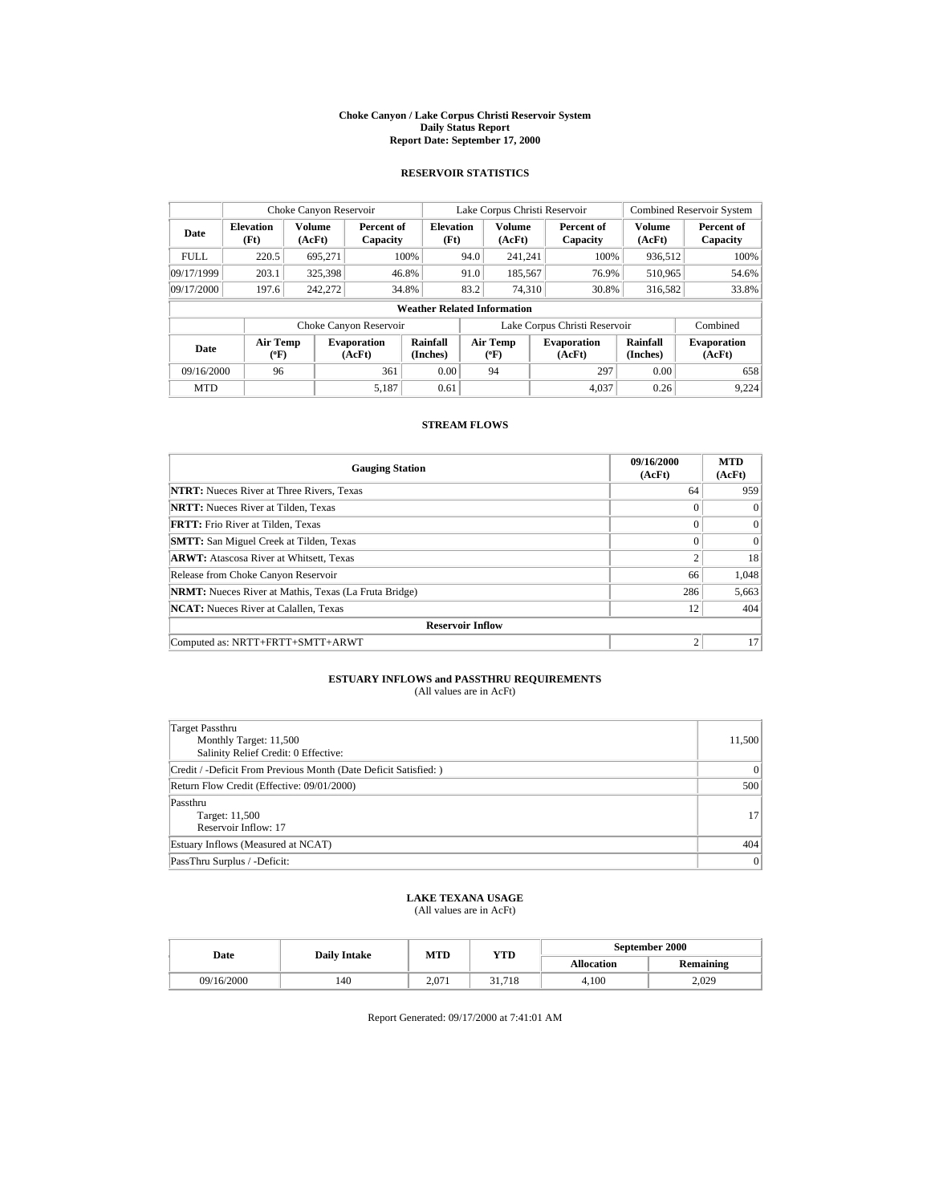#### **Choke Canyon / Lake Corpus Christi Reservoir System Daily Status Report Report Date: September 17, 2000**

## **RESERVOIR STATISTICS**

| Choke Canyon Reservoir          |                           |                  |                              |                                    |                                                                  | Lake Corpus Christi Reservoir |     |                               | <b>Combined Reservoir System</b> |                        |
|---------------------------------|---------------------------|------------------|------------------------------|------------------------------------|------------------------------------------------------------------|-------------------------------|-----|-------------------------------|----------------------------------|------------------------|
| Date                            | <b>Elevation</b><br>(Ft)  | Volume<br>(AcFt) | Percent of<br>Capacity       | <b>Elevation</b><br>(Ft)           |                                                                  | <b>Volume</b><br>(AcFt)       |     | Percent of<br>Capacity        | <b>Volume</b><br>(AcFt)          | Percent of<br>Capacity |
| <b>FULL</b>                     | 220.5                     | 695,271          |                              | 100%                               | 94.0                                                             | 241.241                       |     | 100%                          | 936,512                          | 100%                   |
| 09/17/1999                      | 203.1                     | 325,398          |                              | 46.8%                              | 91.0                                                             | 185,567                       |     | 76.9%                         | 510,965                          | 54.6%                  |
| 09/17/2000                      | 197.6                     | 242,272          |                              | 34.8%                              | 83.2                                                             | 74.310                        |     | 30.8%                         | 316,582                          | 33.8%                  |
|                                 |                           |                  |                              | <b>Weather Related Information</b> |                                                                  |                               |     |                               |                                  |                        |
|                                 |                           |                  | Choke Canyon Reservoir       |                                    |                                                                  |                               |     | Lake Corpus Christi Reservoir |                                  | Combined               |
| Date                            | Air Temp<br>$(^{\circ}F)$ |                  | <b>Evaporation</b><br>(AcFt) | Rainfall<br>(Inches)               | <b>Air Temp</b><br><b>Evaporation</b><br>(AcFt)<br>$(^{\circ}F)$ |                               |     | <b>Rainfall</b><br>(Inches)   | <b>Evaporation</b><br>(AcFt)     |                        |
| 0.00<br>09/16/2000<br>361<br>96 |                           |                  | 94                           |                                    | 297                                                              | 0.00                          | 658 |                               |                                  |                        |
| <b>MTD</b>                      |                           |                  | 5,187                        | 0.61                               |                                                                  |                               |     | 4.037                         | 0.26                             | 9.224                  |

# **STREAM FLOWS**

| <b>Gauging Station</b>                                       | 09/16/2000<br>(AcFt) | <b>MTD</b><br>(AcFt) |
|--------------------------------------------------------------|----------------------|----------------------|
| <b>NTRT:</b> Nueces River at Three Rivers, Texas             | 64                   | 959                  |
| <b>NRTT:</b> Nueces River at Tilden, Texas                   | $\Omega$             | $\Omega$             |
| <b>FRTT:</b> Frio River at Tilden, Texas                     | $\Omega$             | $\Omega$             |
| <b>SMTT:</b> San Miguel Creek at Tilden, Texas               | $\Omega$             | $\Omega$             |
| <b>ARWT:</b> Atascosa River at Whitsett, Texas               | $\overline{c}$       | 18                   |
| Release from Choke Canyon Reservoir                          | 66                   | 1,048                |
| <b>NRMT:</b> Nueces River at Mathis, Texas (La Fruta Bridge) | 286                  | 5,663                |
| <b>NCAT:</b> Nueces River at Calallen, Texas                 | 12                   | 404                  |
| <b>Reservoir Inflow</b>                                      |                      |                      |
| Computed as: NRTT+FRTT+SMTT+ARWT                             | $\overline{c}$       | 17                   |

### **ESTUARY INFLOWS and PASSTHRU REQUIREMENTS** (All values are in AcFt)

| Target Passthru<br>Monthly Target: 11,500<br>Salinity Relief Credit: 0 Effective: | 11,500         |
|-----------------------------------------------------------------------------------|----------------|
| Credit / -Deficit From Previous Month (Date Deficit Satisfied:)                   | $\mathbf{0}$   |
| Return Flow Credit (Effective: 09/01/2000)                                        | 500            |
| Passthru<br>Target: 11,500<br>Reservoir Inflow: 17                                | 17             |
| Estuary Inflows (Measured at NCAT)                                                | 404            |
| PassThru Surplus / -Deficit:                                                      | $\overline{0}$ |

# **LAKE TEXANA USAGE**

(All values are in AcFt)

| Date       | <b>Daily Intake</b> | YTD<br>MTD |        | September 2000    |                  |  |
|------------|---------------------|------------|--------|-------------------|------------------|--|
|            |                     |            |        | <b>Allocation</b> | <b>Remaining</b> |  |
| 09/16/2000 | 140                 | 2.071      | 31.718 | 4.100             | 2.029            |  |

Report Generated: 09/17/2000 at 7:41:01 AM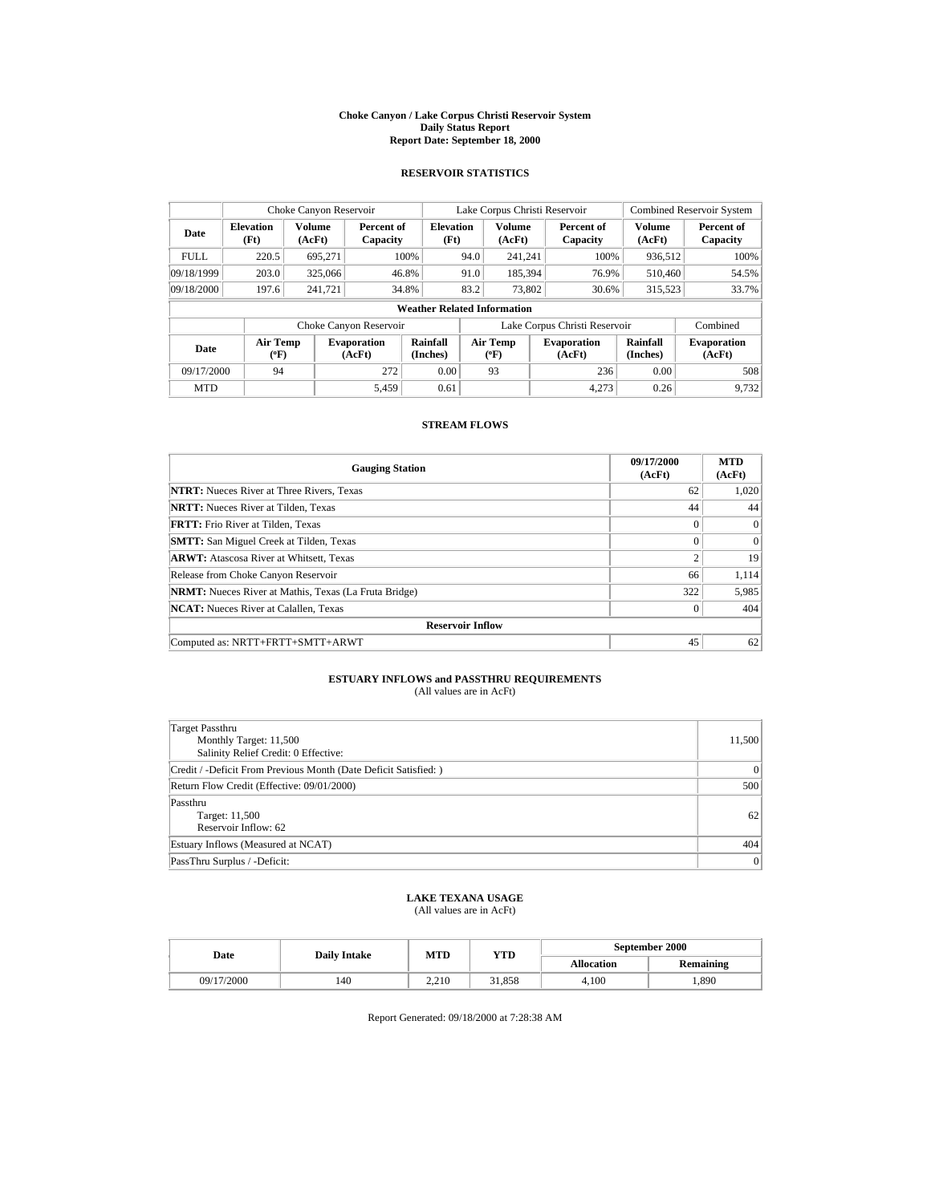#### **Choke Canyon / Lake Corpus Christi Reservoir System Daily Status Report Report Date: September 18, 2000**

### **RESERVOIR STATISTICS**

| Choke Canyon Reservoir            |                                                                     |                         |                              |                          | Lake Corpus Christi Reservoir |                           |  |                              | <b>Combined Reservoir System</b> |                              |
|-----------------------------------|---------------------------------------------------------------------|-------------------------|------------------------------|--------------------------|-------------------------------|---------------------------|--|------------------------------|----------------------------------|------------------------------|
| <b>Elevation</b><br>Date<br>(Ft)  |                                                                     | <b>Volume</b><br>(AcFt) | Percent of<br>Capacity       | <b>Elevation</b><br>(Ft) |                               | <b>Volume</b><br>(AcFt)   |  | Percent of<br>Capacity       | <b>Volume</b><br>(AcFt)          | Percent of<br>Capacity       |
| <b>FULL</b>                       | 220.5                                                               | 695,271                 |                              | 100%                     | 94.0                          | 241,241                   |  | 100%                         | 936,512                          | 100%                         |
| 09/18/1999                        | 203.0                                                               | 325,066                 |                              | 46.8%                    | 91.0                          | 185,394                   |  | 76.9%                        | 510,460                          | 54.5%                        |
| 09/18/2000                        | 197.6                                                               | 241.721                 |                              | 34.8%                    | 83.2                          | 73,802                    |  | 30.6%                        | 315,523                          | 33.7%                        |
|                                   | <b>Weather Related Information</b>                                  |                         |                              |                          |                               |                           |  |                              |                                  |                              |
|                                   | Lake Corpus Christi Reservoir<br>Combined<br>Choke Canyon Reservoir |                         |                              |                          |                               |                           |  |                              |                                  |                              |
| Air Temp<br>Date<br>$(^{\circ}F)$ |                                                                     |                         | <b>Evaporation</b><br>(AcFt) | Rainfall<br>(Inches)     |                               | Air Temp<br>$(^{\circ}F)$ |  | <b>Evaporation</b><br>(AcFt) | Rainfall<br>(Inches)             | <b>Evaporation</b><br>(AcFt) |
| 09/17/2000                        | 94                                                                  |                         | 272                          | 0.00                     |                               | 93                        |  | 236                          | 0.00                             | 508                          |
| <b>MTD</b>                        |                                                                     |                         | 5,459                        | 0.61                     |                               |                           |  | 4.273                        | 0.26                             | 9.732                        |

# **STREAM FLOWS**

| <b>Gauging Station</b>                                       | 09/17/2000<br>(AcFt) | <b>MTD</b><br>(AcFt) |
|--------------------------------------------------------------|----------------------|----------------------|
| <b>NTRT:</b> Nueces River at Three Rivers, Texas             | 62                   | 1,020                |
| <b>NRTT:</b> Nueces River at Tilden, Texas                   | 44                   | 44                   |
| <b>FRTT:</b> Frio River at Tilden, Texas                     | $\Omega$             | $\Omega$             |
| <b>SMTT:</b> San Miguel Creek at Tilden, Texas               | $\Omega$             | $\Omega$             |
| <b>ARWT:</b> Atascosa River at Whitsett, Texas               | $\overline{c}$       | 19                   |
| Release from Choke Canyon Reservoir                          | 66                   | 1,114                |
| <b>NRMT:</b> Nueces River at Mathis, Texas (La Fruta Bridge) | 322                  | 5,985                |
| <b>NCAT:</b> Nueces River at Calallen, Texas                 | $\mathbf{0}$         | 404                  |
| <b>Reservoir Inflow</b>                                      |                      |                      |
| Computed as: NRTT+FRTT+SMTT+ARWT                             | 45                   | 62                   |

### **ESTUARY INFLOWS and PASSTHRU REQUIREMENTS** (All values are in AcFt)

| Target Passthru<br>Monthly Target: 11,500<br>Salinity Relief Credit: 0 Effective: | 11,500         |
|-----------------------------------------------------------------------------------|----------------|
| Credit / -Deficit From Previous Month (Date Deficit Satisfied: )                  | $\mathbf{0}$   |
| Return Flow Credit (Effective: 09/01/2000)                                        | 500            |
| Passthru<br>Target: 11,500<br>Reservoir Inflow: 62                                | 62             |
| Estuary Inflows (Measured at NCAT)                                                | 404            |
| PassThru Surplus / -Deficit:                                                      | $\overline{0}$ |

# **LAKE TEXANA USAGE**

(All values are in AcFt)

|  | Date       | <b>Daily Intake</b> | MTD   | YTD    | September 2000    |                  |  |
|--|------------|---------------------|-------|--------|-------------------|------------------|--|
|  |            |                     |       |        | <b>Allocation</b> | <b>Remaining</b> |  |
|  | 09/17/2000 | 140                 | 2.210 | 31,858 | 4.100             | .,890            |  |

Report Generated: 09/18/2000 at 7:28:38 AM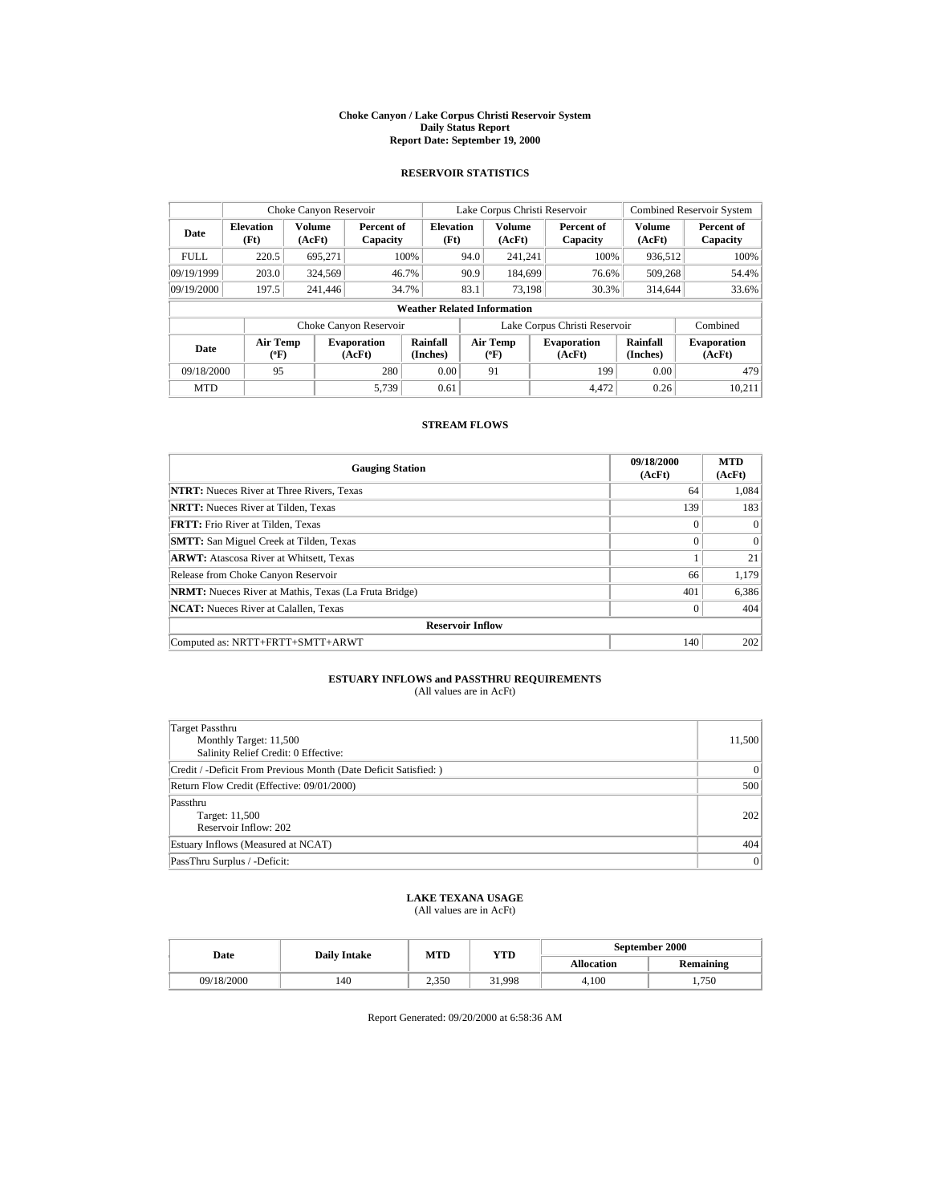#### **Choke Canyon / Lake Corpus Christi Reservoir System Daily Status Report Report Date: September 19, 2000**

## **RESERVOIR STATISTICS**

| Choke Canyon Reservoir            |                                                                     |                  |                              |                                    |          | Lake Corpus Christi Reservoir |      |                              | <b>Combined Reservoir System</b> |                              |
|-----------------------------------|---------------------------------------------------------------------|------------------|------------------------------|------------------------------------|----------|-------------------------------|------|------------------------------|----------------------------------|------------------------------|
| Date                              | <b>Elevation</b><br>(Ft)                                            | Volume<br>(AcFt) | Percent of<br>Capacity       | <b>Elevation</b><br>(Ft)           |          | <b>Volume</b><br>(AcFt)       |      | Percent of<br>Capacity       | Volume<br>(AcFt)                 | Percent of<br>Capacity       |
| <b>FULL</b>                       | 220.5                                                               | 695,271          |                              | 100%                               | 94.0     | 241,241                       |      | 100%                         | 936,512                          | 100%                         |
| 09/19/1999                        | 203.0                                                               | 324,569          |                              | 46.7%                              | 90.9     | 184.699                       |      | 76.6%                        | 509,268                          | 54.4%                        |
| 09/19/2000                        | 197.5                                                               | 241,446          |                              | 34.7%                              | 83.1     | 73.198                        |      | 30.3%                        | 314,644                          | 33.6%                        |
|                                   |                                                                     |                  |                              | <b>Weather Related Information</b> |          |                               |      |                              |                                  |                              |
|                                   | Lake Corpus Christi Reservoir<br>Combined<br>Choke Canyon Reservoir |                  |                              |                                    |          |                               |      |                              |                                  |                              |
| Air Temp<br>Date<br>$(^{\circ}F)$ |                                                                     |                  | <b>Evaporation</b><br>(AcFt) | Rainfall<br>(Inches)               | Air Temp |                               |      | <b>Evaporation</b><br>(AcFt) | Rainfall<br>(Inches)             | <b>Evaporation</b><br>(AcFt) |
| 280<br>09/18/2000<br>95           |                                                                     | 0.00             |                              | 91                                 |          | 199                           | 0.00 | 479                          |                                  |                              |
| <b>MTD</b>                        |                                                                     |                  | 5,739                        | 0.61                               |          |                               |      | 4.472                        | 0.26                             | 10.211                       |

# **STREAM FLOWS**

| <b>Gauging Station</b>                                       | 09/18/2000<br>(AcFt) | <b>MTD</b><br>(AcFt) |
|--------------------------------------------------------------|----------------------|----------------------|
| <b>NTRT:</b> Nueces River at Three Rivers, Texas             | 64                   | 1,084                |
| <b>NRTT:</b> Nueces River at Tilden, Texas                   | 139                  | 183                  |
| <b>FRTT:</b> Frio River at Tilden, Texas                     | $\Omega$             | $\Omega$             |
| <b>SMTT:</b> San Miguel Creek at Tilden, Texas               | $\Omega$             | $\Omega$             |
| <b>ARWT:</b> Atascosa River at Whitsett, Texas               |                      | 21                   |
| Release from Choke Canyon Reservoir                          | 66                   | 1,179                |
| <b>NRMT:</b> Nueces River at Mathis, Texas (La Fruta Bridge) | 401                  | 6,386                |
| <b>NCAT:</b> Nueces River at Calallen, Texas                 | $\mathbf{0}$         | 404                  |
| <b>Reservoir Inflow</b>                                      |                      |                      |
| Computed as: NRTT+FRTT+SMTT+ARWT                             | 140                  | 202                  |

### **ESTUARY INFLOWS and PASSTHRU REQUIREMENTS** (All values are in AcFt)

| Target Passthru<br>Monthly Target: 11,500<br>Salinity Relief Credit: 0 Effective: | 11,500         |
|-----------------------------------------------------------------------------------|----------------|
| Credit / -Deficit From Previous Month (Date Deficit Satisfied:)                   | $\mathbf{0}$   |
| Return Flow Credit (Effective: 09/01/2000)                                        | 500            |
| Passthru<br>Target: 11,500<br>Reservoir Inflow: 202                               | 202            |
| Estuary Inflows (Measured at NCAT)                                                | 404            |
| PassThru Surplus / -Deficit:                                                      | $\overline{0}$ |

# **LAKE TEXANA USAGE**

(All values are in AcFt)

| Date       | <b>Daily Intake</b> | MTD   | YTD    | September 2000    |                  |  |
|------------|---------------------|-------|--------|-------------------|------------------|--|
|            |                     |       |        | <b>Allocation</b> | <b>Remaining</b> |  |
| 09/18/2000 | 140                 | 2,350 | 31.998 | 4.100             | 1,750            |  |

Report Generated: 09/20/2000 at 6:58:36 AM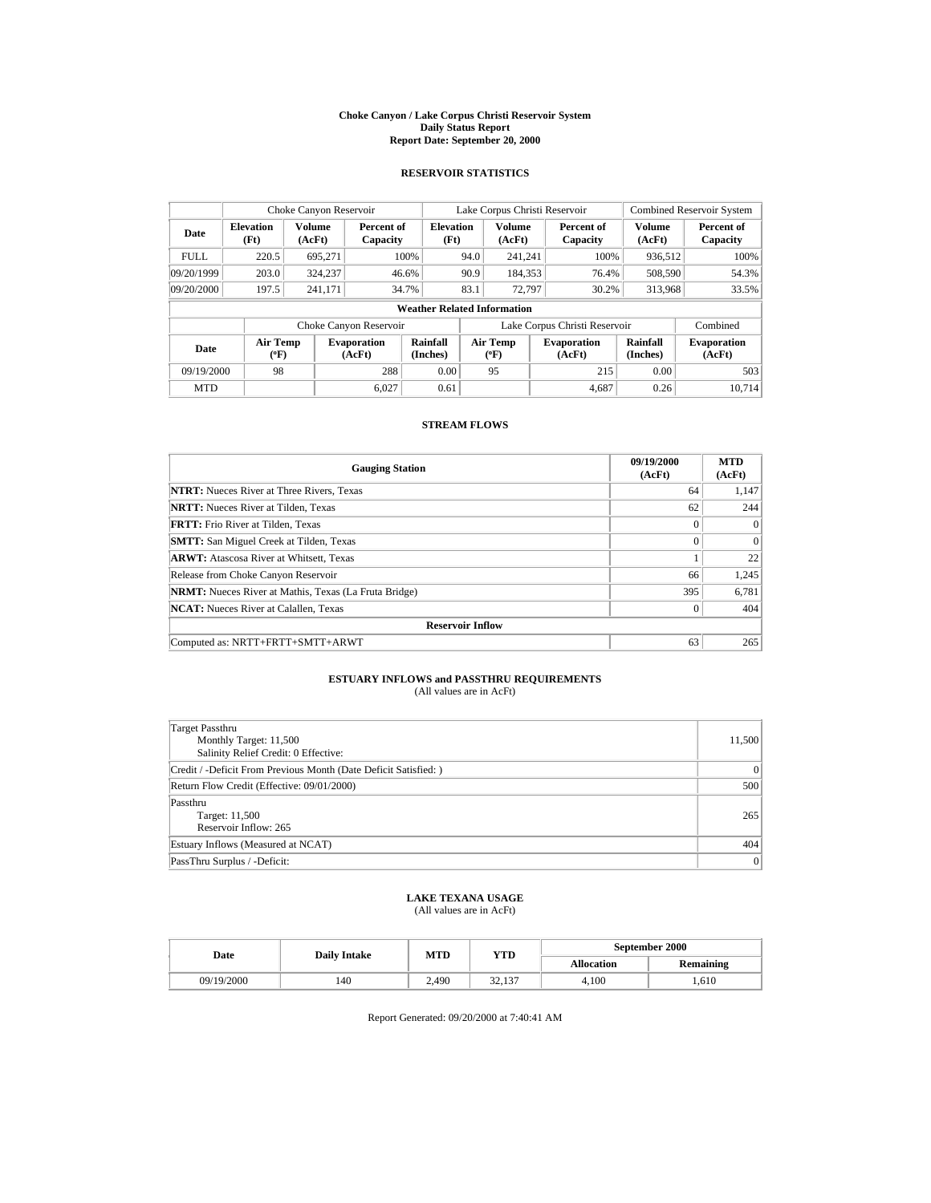#### **Choke Canyon / Lake Corpus Christi Reservoir System Daily Status Report Report Date: September 20, 2000**

## **RESERVOIR STATISTICS**

| Choke Canyon Reservoir |                           |                         |                              |                                    |      | Lake Corpus Christi Reservoir |                               | <b>Combined Reservoir System</b> |                              |
|------------------------|---------------------------|-------------------------|------------------------------|------------------------------------|------|-------------------------------|-------------------------------|----------------------------------|------------------------------|
| Date                   | <b>Elevation</b><br>(Ft)  | <b>Volume</b><br>(AcFt) | Percent of<br>Capacity       | <b>Elevation</b><br>(Ft)           |      | <b>Volume</b><br>(AcFt)       | Percent of<br>Capacity        | Volume<br>(AcFt)                 | Percent of<br>Capacity       |
| <b>FULL</b>            | 220.5                     | 695,271                 |                              | 100%                               | 94.0 | 241,241                       | 100%                          | 936,512                          | 100%                         |
| 09/20/1999             | 203.0                     | 324,237                 |                              | 46.6%                              | 90.9 | 184,353                       | 76.4%                         | 508,590                          | 54.3%                        |
| 09/20/2000             | 197.5                     | 241,171                 |                              | 34.7%                              | 83.1 | 72,797                        | 30.2%                         | 313.968                          | 33.5%                        |
|                        |                           |                         |                              | <b>Weather Related Information</b> |      |                               |                               |                                  |                              |
|                        |                           |                         | Choke Canyon Reservoir       |                                    |      |                               | Lake Corpus Christi Reservoir |                                  | Combined                     |
| Date                   | Air Temp<br>$(^{\circ}F)$ |                         | <b>Evaporation</b><br>(AcFt) | <b>Rainfall</b><br>(Inches)        |      | Air Temp<br>$(^{\circ}F)$     | <b>Evaporation</b><br>(AcFt)  | Rainfall<br>(Inches)             | <b>Evaporation</b><br>(AcFt) |
| 09/19/2000             | 98                        |                         | 288                          | 0.00                               |      | 95                            | 215                           | 0.00                             | 503                          |
| <b>MTD</b>             |                           |                         | 6.027                        | 0.61                               |      |                               | 4.687                         | 0.26                             | 10.714                       |

# **STREAM FLOWS**

| <b>Gauging Station</b>                                       | 09/19/2000<br>(AcFt) | <b>MTD</b><br>(AcFt) |  |  |  |
|--------------------------------------------------------------|----------------------|----------------------|--|--|--|
| <b>NTRT:</b> Nueces River at Three Rivers, Texas             | 64                   | 1,147                |  |  |  |
| <b>NRTT:</b> Nueces River at Tilden, Texas                   | 62                   | 244                  |  |  |  |
| <b>FRTT:</b> Frio River at Tilden. Texas                     | $\Omega$             | $\Omega$             |  |  |  |
| <b>SMTT:</b> San Miguel Creek at Tilden, Texas               | $\Omega$             | $\Omega$             |  |  |  |
| <b>ARWT:</b> Atascosa River at Whitsett, Texas               |                      | 22                   |  |  |  |
| Release from Choke Canyon Reservoir                          | 66                   | 1,245                |  |  |  |
| <b>NRMT:</b> Nueces River at Mathis, Texas (La Fruta Bridge) | 395                  | 6,781                |  |  |  |
| <b>NCAT:</b> Nueces River at Calallen, Texas                 | $\mathbf{0}$         | 404                  |  |  |  |
| <b>Reservoir Inflow</b>                                      |                      |                      |  |  |  |
| Computed as: NRTT+FRTT+SMTT+ARWT                             | 63                   | 265                  |  |  |  |

### **ESTUARY INFLOWS and PASSTHRU REQUIREMENTS** (All values are in AcFt)

| Target Passthru<br>Monthly Target: 11,500<br>Salinity Relief Credit: 0 Effective: | 11,500         |
|-----------------------------------------------------------------------------------|----------------|
| Credit / -Deficit From Previous Month (Date Deficit Satisfied: )                  | $\mathbf{0}$   |
| Return Flow Credit (Effective: 09/01/2000)                                        | 500            |
| Passthru<br>Target: 11,500<br>Reservoir Inflow: 265                               | 265            |
| Estuary Inflows (Measured at NCAT)                                                | 404            |
| PassThru Surplus / -Deficit:                                                      | $\overline{0}$ |

# **LAKE TEXANA USAGE**

(All values are in AcFt)

| Date       | <b>Daily Intake</b> | MTD   | YTD    | September 2000 |                  |  |
|------------|---------------------|-------|--------|----------------|------------------|--|
|            |                     |       |        | Allocation     | <b>Remaining</b> |  |
| 09/19/2000 | 140                 | 2.490 | 32,137 | 4.100          | .,610            |  |

Report Generated: 09/20/2000 at 7:40:41 AM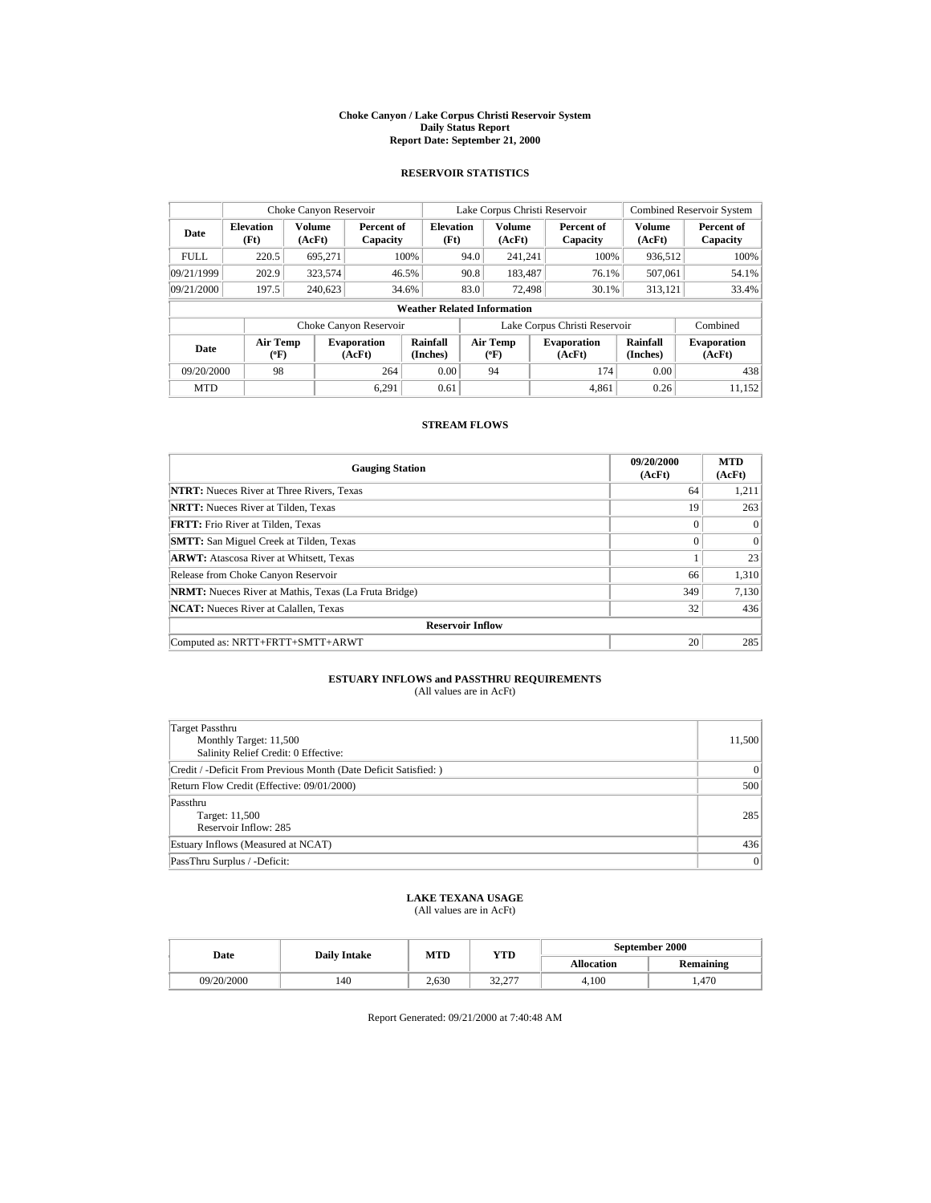#### **Choke Canyon / Lake Corpus Christi Reservoir System Daily Status Report Report Date: September 21, 2000**

### **RESERVOIR STATISTICS**

| Choke Canyon Reservoir |                                                                     |                         |                              |                                    | Lake Corpus Christi Reservoir |                           |  |                              | <b>Combined Reservoir System</b> |                              |
|------------------------|---------------------------------------------------------------------|-------------------------|------------------------------|------------------------------------|-------------------------------|---------------------------|--|------------------------------|----------------------------------|------------------------------|
| Date                   | <b>Elevation</b><br>(Ft)                                            | <b>Volume</b><br>(AcFt) | Percent of<br>Capacity       | <b>Elevation</b><br>(Ft)           |                               | <b>Volume</b><br>(AcFt)   |  | Percent of<br>Capacity       | <b>Volume</b><br>(AcFt)          | Percent of<br>Capacity       |
| <b>FULL</b>            | 220.5                                                               | 695,271                 |                              | 100%                               | 94.0                          | 241,241                   |  | 100%                         | 936,512                          | 100%                         |
| 09/21/1999             | 202.9                                                               | 323,574                 |                              | 46.5%                              | 90.8                          | 183,487                   |  | 76.1%                        | 507,061                          | 54.1%                        |
| 09/21/2000             | 197.5                                                               | 240,623                 |                              | 34.6%                              | 83.0                          | 72,498                    |  | 30.1%                        | 313,121                          | 33.4%                        |
|                        |                                                                     |                         |                              | <b>Weather Related Information</b> |                               |                           |  |                              |                                  |                              |
|                        | Lake Corpus Christi Reservoir<br>Combined<br>Choke Canyon Reservoir |                         |                              |                                    |                               |                           |  |                              |                                  |                              |
| Date                   | Air Temp<br>$(^{\circ}F)$                                           |                         | <b>Evaporation</b><br>(AcFt) | Rainfall<br>(Inches)               |                               | Air Temp<br>$(^{\circ}F)$ |  | <b>Evaporation</b><br>(AcFt) | Rainfall<br>(Inches)             | <b>Evaporation</b><br>(AcFt) |
| 09/20/2000             | 98                                                                  |                         | 264                          | 0.00                               |                               | 94                        |  | 174                          | 0.00                             | 438                          |
| <b>MTD</b>             |                                                                     |                         | 6.291                        | 0.61                               |                               |                           |  | 4.861                        | 0.26                             | 11.152                       |

# **STREAM FLOWS**

| <b>Gauging Station</b>                                       | 09/20/2000<br>(AcFt) | <b>MTD</b><br>(AcFt) |
|--------------------------------------------------------------|----------------------|----------------------|
| <b>NTRT:</b> Nueces River at Three Rivers, Texas             | 64                   | 1,211                |
| <b>NRTT:</b> Nueces River at Tilden, Texas                   | 19                   | 263                  |
| <b>FRTT:</b> Frio River at Tilden, Texas                     | $\Omega$             | $\Omega$             |
| <b>SMTT:</b> San Miguel Creek at Tilden, Texas               | $\Omega$             | $\Omega$             |
| <b>ARWT:</b> Atascosa River at Whitsett, Texas               |                      | 23                   |
| Release from Choke Canyon Reservoir                          | 66                   | 1,310                |
| <b>NRMT:</b> Nueces River at Mathis, Texas (La Fruta Bridge) | 349                  | 7,130                |
| <b>NCAT:</b> Nueces River at Calallen, Texas                 | 32                   | 436                  |
| <b>Reservoir Inflow</b>                                      |                      |                      |
| Computed as: NRTT+FRTT+SMTT+ARWT                             | 20                   | 285                  |

### **ESTUARY INFLOWS and PASSTHRU REQUIREMENTS** (All values are in AcFt)

| Target Passthru<br>Monthly Target: 11,500<br>Salinity Relief Credit: 0 Effective: | 11,500         |
|-----------------------------------------------------------------------------------|----------------|
| Credit / -Deficit From Previous Month (Date Deficit Satisfied: )                  | $\mathbf{0}$   |
| Return Flow Credit (Effective: 09/01/2000)                                        | 500            |
| Passthru<br>Target: 11,500<br>Reservoir Inflow: 285                               | 285            |
| Estuary Inflows (Measured at NCAT)                                                | 436            |
| PassThru Surplus / -Deficit:                                                      | $\overline{0}$ |

# **LAKE TEXANA USAGE**

(All values are in AcFt)

| Date       | <b>Daily Intake</b> | MTD   | YTD                | September 2000    |                  |  |
|------------|---------------------|-------|--------------------|-------------------|------------------|--|
|            |                     |       |                    | <b>Allocation</b> | <b>Remaining</b> |  |
| 09/20/2000 | 140                 | 2.630 | 22.277<br>ا ہے ۔ ک | 4.100             | .470             |  |

Report Generated: 09/21/2000 at 7:40:48 AM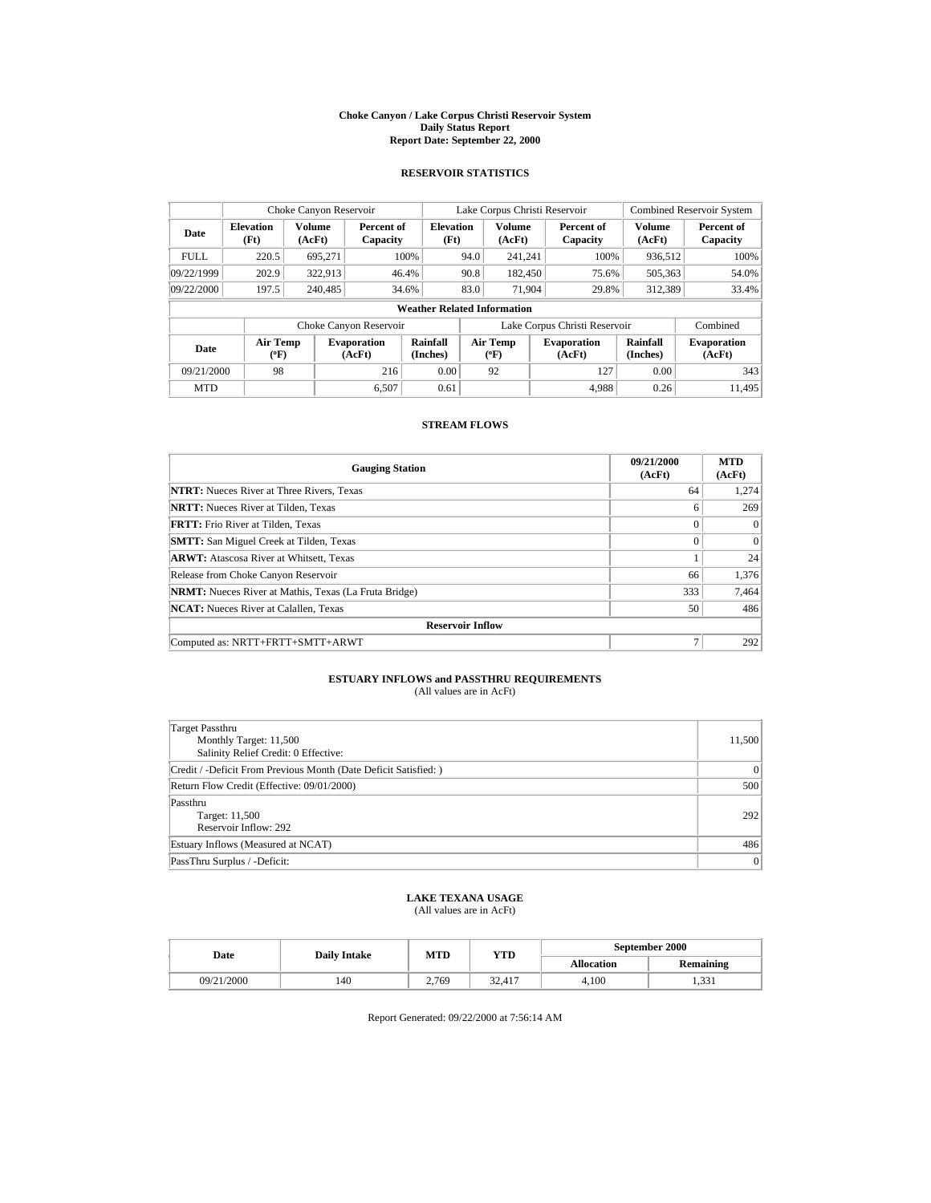#### **Choke Canyon / Lake Corpus Christi Reservoir System Daily Status Report Report Date: September 22, 2000**

## **RESERVOIR STATISTICS**

| Choke Canyon Reservoir |                           |                  |                              |                                    | Lake Corpus Christi Reservoir |                                  |  |                               | <b>Combined Reservoir System</b> |                              |
|------------------------|---------------------------|------------------|------------------------------|------------------------------------|-------------------------------|----------------------------------|--|-------------------------------|----------------------------------|------------------------------|
| Date                   | <b>Elevation</b><br>(Ft)  | Volume<br>(AcFt) | Percent of<br>Capacity       | <b>Elevation</b><br>(Ft)           |                               | <b>Volume</b><br>(AcFt)          |  | Percent of<br>Capacity        | <b>Volume</b><br>(AcFt)          | Percent of<br>Capacity       |
| <b>FULL</b>            | 220.5                     | 695,271          |                              | 100%                               | 94.0                          | 241,241                          |  | 100%                          | 936,512                          | 100%                         |
| 09/22/1999             | 202.9                     | 322,913          |                              | 46.4%                              | 90.8                          | 182,450                          |  | 75.6%                         | 505,363                          | 54.0%                        |
| 09/22/2000             | 197.5                     | 240,485          |                              | 34.6%                              | 83.0                          | 71,904                           |  | 29.8%                         | 312,389                          | 33.4%                        |
|                        |                           |                  |                              | <b>Weather Related Information</b> |                               |                                  |  |                               |                                  |                              |
|                        |                           |                  | Choke Canyon Reservoir       |                                    |                               |                                  |  | Lake Corpus Christi Reservoir |                                  | Combined                     |
| Date                   | Air Temp<br>$(^{\circ}F)$ |                  | <b>Evaporation</b><br>(AcFt) | Rainfall<br>(Inches)               |                               | <b>Air Temp</b><br>$(^{\circ}F)$ |  | <b>Evaporation</b><br>(AcFt)  | <b>Rainfall</b><br>(Inches)      | <b>Evaporation</b><br>(AcFt) |
| 09/21/2000             | 98                        |                  | 216                          | 0.00                               |                               | 92                               |  | 127                           | 0.00                             | 343                          |
| <b>MTD</b>             |                           |                  | 6.507                        | 0.61                               |                               |                                  |  | 4.988                         | 0.26                             | 11.495                       |

# **STREAM FLOWS**

| <b>Gauging Station</b>                                       | 09/21/2000<br>(AcFt) | <b>MTD</b><br>(AcFt) |  |  |  |  |
|--------------------------------------------------------------|----------------------|----------------------|--|--|--|--|
| <b>NTRT:</b> Nueces River at Three Rivers, Texas             | 64                   | 1,274                |  |  |  |  |
| <b>NRTT:</b> Nueces River at Tilden, Texas                   | 6                    | 269                  |  |  |  |  |
| <b>FRTT:</b> Frio River at Tilden, Texas                     | $\Omega$             | $\Omega$             |  |  |  |  |
| <b>SMTT:</b> San Miguel Creek at Tilden, Texas               | $\Omega$             | $\Omega$             |  |  |  |  |
| <b>ARWT:</b> Atascosa River at Whitsett, Texas               |                      | 24                   |  |  |  |  |
| Release from Choke Canyon Reservoir                          | 66                   | 1,376                |  |  |  |  |
| <b>NRMT:</b> Nueces River at Mathis, Texas (La Fruta Bridge) | 333                  | 7,464                |  |  |  |  |
| <b>NCAT:</b> Nueces River at Calallen, Texas                 | 50                   | 486                  |  |  |  |  |
| <b>Reservoir Inflow</b>                                      |                      |                      |  |  |  |  |
| Computed as: NRTT+FRTT+SMTT+ARWT                             | 7                    | 292                  |  |  |  |  |

### **ESTUARY INFLOWS and PASSTHRU REQUIREMENTS** (All values are in AcFt)

| Target Passthru<br>Monthly Target: 11,500<br>Salinity Relief Credit: 0 Effective: | 11,500         |
|-----------------------------------------------------------------------------------|----------------|
| Credit / -Deficit From Previous Month (Date Deficit Satisfied: )                  | $\mathbf{0}$   |
| Return Flow Credit (Effective: 09/01/2000)                                        | 500            |
| Passthru<br>Target: 11,500<br>Reservoir Inflow: 292                               | 292            |
| Estuary Inflows (Measured at NCAT)                                                | 486            |
| PassThru Surplus / -Deficit:                                                      | $\overline{0}$ |

# **LAKE TEXANA USAGE**

(All values are in AcFt)

| Date       | <b>Daily Intake</b> | MTD   | YTD    | September 2000    |                  |  |
|------------|---------------------|-------|--------|-------------------|------------------|--|
|            |                     |       |        | <b>Allocation</b> | <b>Remaining</b> |  |
| 09/21/2000 | 140                 | 2.769 | 32.417 | 4.100             | 1.331            |  |

Report Generated: 09/22/2000 at 7:56:14 AM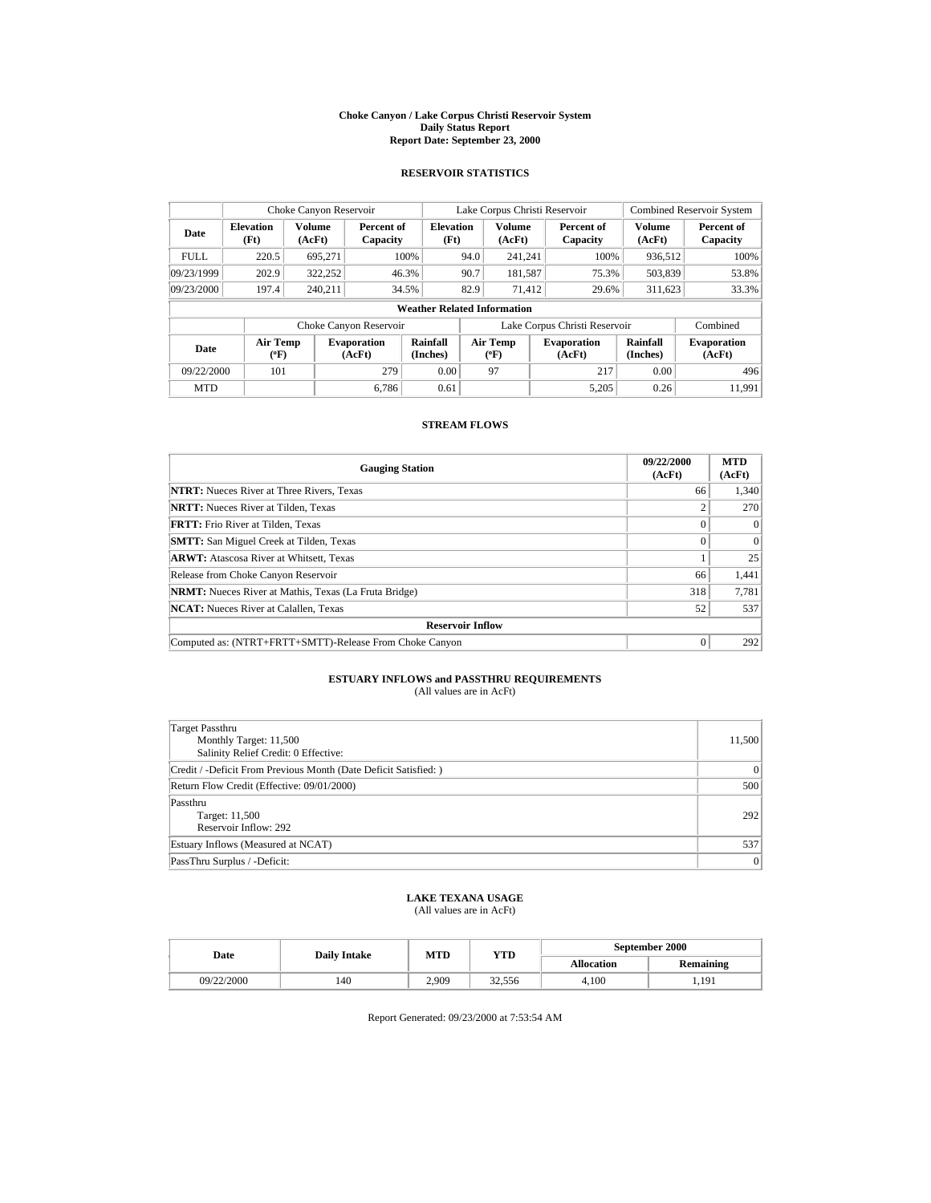#### **Choke Canyon / Lake Corpus Christi Reservoir System Daily Status Report Report Date: September 23, 2000**

## **RESERVOIR STATISTICS**

|                                   | Choke Canyon Reservoir   |                  |                              |                                    |      | Lake Corpus Christi Reservoir    |  |                               | <b>Combined Reservoir System</b> |                              |
|-----------------------------------|--------------------------|------------------|------------------------------|------------------------------------|------|----------------------------------|--|-------------------------------|----------------------------------|------------------------------|
| Date                              | <b>Elevation</b><br>(Ft) | Volume<br>(AcFt) | Percent of<br>Capacity       | <b>Elevation</b><br>(Ft)           |      | <b>Volume</b><br>(AcFt)          |  | Percent of<br>Capacity        | Volume<br>(AcFt)                 | Percent of<br>Capacity       |
| <b>FULL</b>                       | 220.5                    | 695,271          |                              | 100%                               | 94.0 | 241,241                          |  | 100%                          | 936,512                          | 100%                         |
| 09/23/1999                        | 202.9                    | 322,252          |                              | 46.3%                              | 90.7 | 181,587                          |  | 75.3%                         | 503,839                          | 53.8%                        |
| 09/23/2000                        | 197.4                    | 240.211          |                              | 34.5%                              | 82.9 | 71,412                           |  | 29.6%                         | 311,623                          | 33.3%                        |
|                                   |                          |                  |                              | <b>Weather Related Information</b> |      |                                  |  |                               |                                  |                              |
|                                   |                          |                  | Choke Canyon Reservoir       |                                    |      |                                  |  | Lake Corpus Christi Reservoir |                                  | Combined                     |
| Air Temp<br>Date<br>$(^{\circ}F)$ |                          |                  | <b>Evaporation</b><br>(AcFt) | <b>Rainfall</b><br>(Inches)        |      | <b>Air Temp</b><br>$(^{\circ}F)$ |  | <b>Evaporation</b><br>(AcFt)  | Rainfall<br>(Inches)             | <b>Evaporation</b><br>(AcFt) |
| 09/22/2000                        | 101                      |                  | 279                          | 0.00                               |      | 97                               |  | 217                           | 0.00                             | 496                          |
| <b>MTD</b>                        |                          |                  | 6.786                        | 0.61                               |      |                                  |  | 5.205                         | 0.26                             | 11.991                       |

# **STREAM FLOWS**

| <b>Gauging Station</b>                                       | 09/22/2000<br>(AcFt) | <b>MTD</b><br>(AcFt) |  |  |  |
|--------------------------------------------------------------|----------------------|----------------------|--|--|--|
| <b>NTRT:</b> Nueces River at Three Rivers, Texas             | 66                   | 1,340                |  |  |  |
| <b>NRTT:</b> Nueces River at Tilden, Texas                   | ↑                    | 270                  |  |  |  |
| <b>FRTT:</b> Frio River at Tilden, Texas                     | $\Omega$             | $\Omega$             |  |  |  |
| <b>SMTT:</b> San Miguel Creek at Tilden, Texas               | $\Omega$             | $\Omega$             |  |  |  |
| <b>ARWT:</b> Atascosa River at Whitsett, Texas               |                      | 25                   |  |  |  |
| Release from Choke Canyon Reservoir                          | 66                   | 1,441                |  |  |  |
| <b>NRMT:</b> Nueces River at Mathis, Texas (La Fruta Bridge) | 318                  | 7,781                |  |  |  |
| <b>NCAT:</b> Nueces River at Calallen, Texas                 | 52                   | 537                  |  |  |  |
| <b>Reservoir Inflow</b>                                      |                      |                      |  |  |  |
| Computed as: (NTRT+FRTT+SMTT)-Release From Choke Canyon      | $\Omega$             | 292                  |  |  |  |

### **ESTUARY INFLOWS and PASSTHRU REQUIREMENTS** (All values are in AcFt)

| Target Passthru<br>Monthly Target: 11,500<br>Salinity Relief Credit: 0 Effective: | 11,500         |
|-----------------------------------------------------------------------------------|----------------|
| Credit / -Deficit From Previous Month (Date Deficit Satisfied: )                  | $\mathbf{0}$   |
| Return Flow Credit (Effective: 09/01/2000)                                        | 500            |
| Passthru<br>Target: 11,500<br>Reservoir Inflow: 292                               | 292            |
| Estuary Inflows (Measured at NCAT)                                                | 537            |
| PassThru Surplus / -Deficit:                                                      | $\overline{0}$ |

# **LAKE TEXANA USAGE**

(All values are in AcFt)

| Date       | <b>Daily Intake</b> | MTD   | YTD    | September 2000    |                  |  |
|------------|---------------------|-------|--------|-------------------|------------------|--|
|            |                     |       |        | <b>Allocation</b> | <b>Remaining</b> |  |
| 09/22/2000 | 140                 | 2.909 | 32,556 | 4.100             | 1,191            |  |

Report Generated: 09/23/2000 at 7:53:54 AM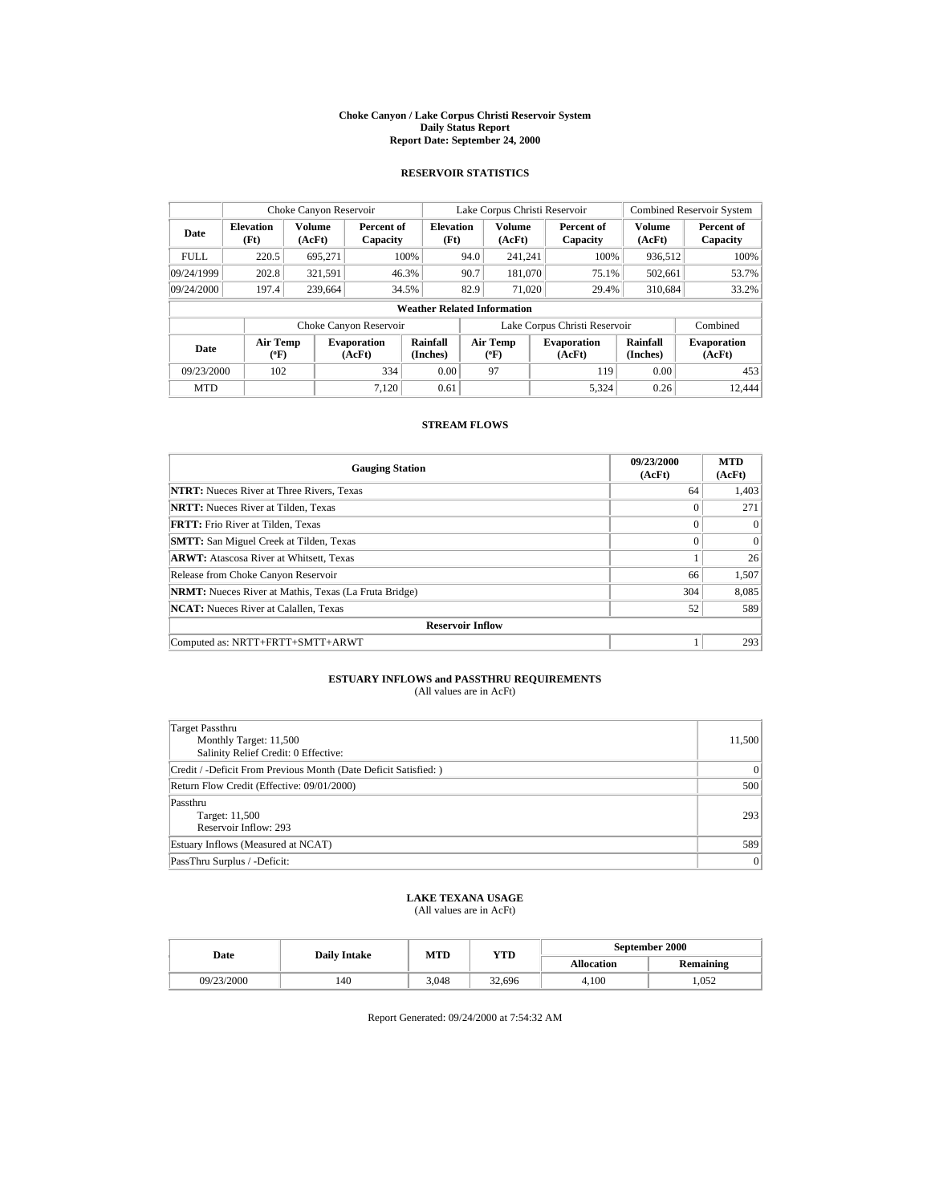#### **Choke Canyon / Lake Corpus Christi Reservoir System Daily Status Report Report Date: September 24, 2000**

### **RESERVOIR STATISTICS**

| Choke Canyon Reservoir            |                          |                  |                              |                                    |      | Lake Corpus Christi Reservoir    |                               | <b>Combined Reservoir System</b> |                              |
|-----------------------------------|--------------------------|------------------|------------------------------|------------------------------------|------|----------------------------------|-------------------------------|----------------------------------|------------------------------|
| Date                              | <b>Elevation</b><br>(Ft) | Volume<br>(AcFt) | Percent of<br>Capacity       | <b>Elevation</b><br>(Ft)           |      | <b>Volume</b><br>(AcFt)          | Percent of<br>Capacity        | Volume<br>(AcFt)                 | Percent of<br>Capacity       |
| <b>FULL</b>                       | 220.5                    | 695,271          |                              | 100%                               | 94.0 | 241,241                          | 100%                          | 936,512                          | 100%                         |
| 09/24/1999                        | 202.8                    | 321,591          |                              | 46.3%                              | 90.7 | 181,070                          | 75.1%                         | 502,661                          | 53.7%                        |
| 09/24/2000                        | 197.4                    | 239,664          |                              | 34.5%                              | 82.9 | 71,020                           | 29.4%                         | 310,684                          | 33.2%                        |
|                                   |                          |                  |                              | <b>Weather Related Information</b> |      |                                  |                               |                                  |                              |
|                                   |                          |                  | Choke Canyon Reservoir       |                                    |      |                                  | Lake Corpus Christi Reservoir |                                  | Combined                     |
| Air Temp<br>Date<br>$(^{\circ}F)$ |                          |                  | <b>Evaporation</b><br>(AcFt) | Rainfall<br>(Inches)               |      | <b>Air Temp</b><br>$(^{\circ}F)$ | <b>Evaporation</b><br>(AcFt)  | Rainfall<br>(Inches)             | <b>Evaporation</b><br>(AcFt) |
| 09/23/2000                        | 102                      |                  | 334                          | 0.00                               |      | 97                               | 119                           | 0.00                             | 453                          |
| <b>MTD</b>                        |                          |                  | 7.120                        | 0.61                               |      |                                  | 5.324                         | 0.26                             | 12.444                       |

# **STREAM FLOWS**

| <b>Gauging Station</b>                                       | 09/23/2000<br>(AcFt) | <b>MTD</b><br>(AcFt) |  |  |  |
|--------------------------------------------------------------|----------------------|----------------------|--|--|--|
| <b>NTRT:</b> Nueces River at Three Rivers, Texas             | 64                   | 1,403                |  |  |  |
| <b>NRTT:</b> Nueces River at Tilden, Texas                   | $\Omega$             | 271                  |  |  |  |
| <b>FRTT:</b> Frio River at Tilden, Texas                     | $\Omega$             | $\Omega$             |  |  |  |
| <b>SMTT:</b> San Miguel Creek at Tilden, Texas               | $\Omega$             | $\Omega$             |  |  |  |
| <b>ARWT:</b> Atascosa River at Whitsett, Texas               |                      | 26                   |  |  |  |
| Release from Choke Canyon Reservoir                          | 66                   | 1,507                |  |  |  |
| <b>NRMT:</b> Nueces River at Mathis, Texas (La Fruta Bridge) | 304                  | 8,085                |  |  |  |
| <b>NCAT:</b> Nueces River at Calallen, Texas                 | 52                   | 589                  |  |  |  |
| <b>Reservoir Inflow</b>                                      |                      |                      |  |  |  |
| Computed as: NRTT+FRTT+SMTT+ARWT                             |                      | 293                  |  |  |  |

### **ESTUARY INFLOWS and PASSTHRU REQUIREMENTS** (All values are in AcFt)

| Target Passthru<br>Monthly Target: 11,500<br>Salinity Relief Credit: 0 Effective: | 11,500         |
|-----------------------------------------------------------------------------------|----------------|
| Credit / -Deficit From Previous Month (Date Deficit Satisfied: )                  | $\mathbf{0}$   |
| Return Flow Credit (Effective: 09/01/2000)                                        | 500            |
| Passthru<br>Target: 11,500<br>Reservoir Inflow: 293                               | 293            |
| Estuary Inflows (Measured at NCAT)                                                | 589            |
| PassThru Surplus / -Deficit:                                                      | $\overline{0}$ |

# **LAKE TEXANA USAGE**

(All values are in AcFt)

| Date       | <b>Daily Intake</b> | MTD   | YTD    | September 2000    |                  |  |
|------------|---------------------|-------|--------|-------------------|------------------|--|
|            |                     |       |        | <b>Allocation</b> | <b>Remaining</b> |  |
| 09/23/2000 | 140                 | 3.048 | 32.696 | 4.100             | .052             |  |

Report Generated: 09/24/2000 at 7:54:32 AM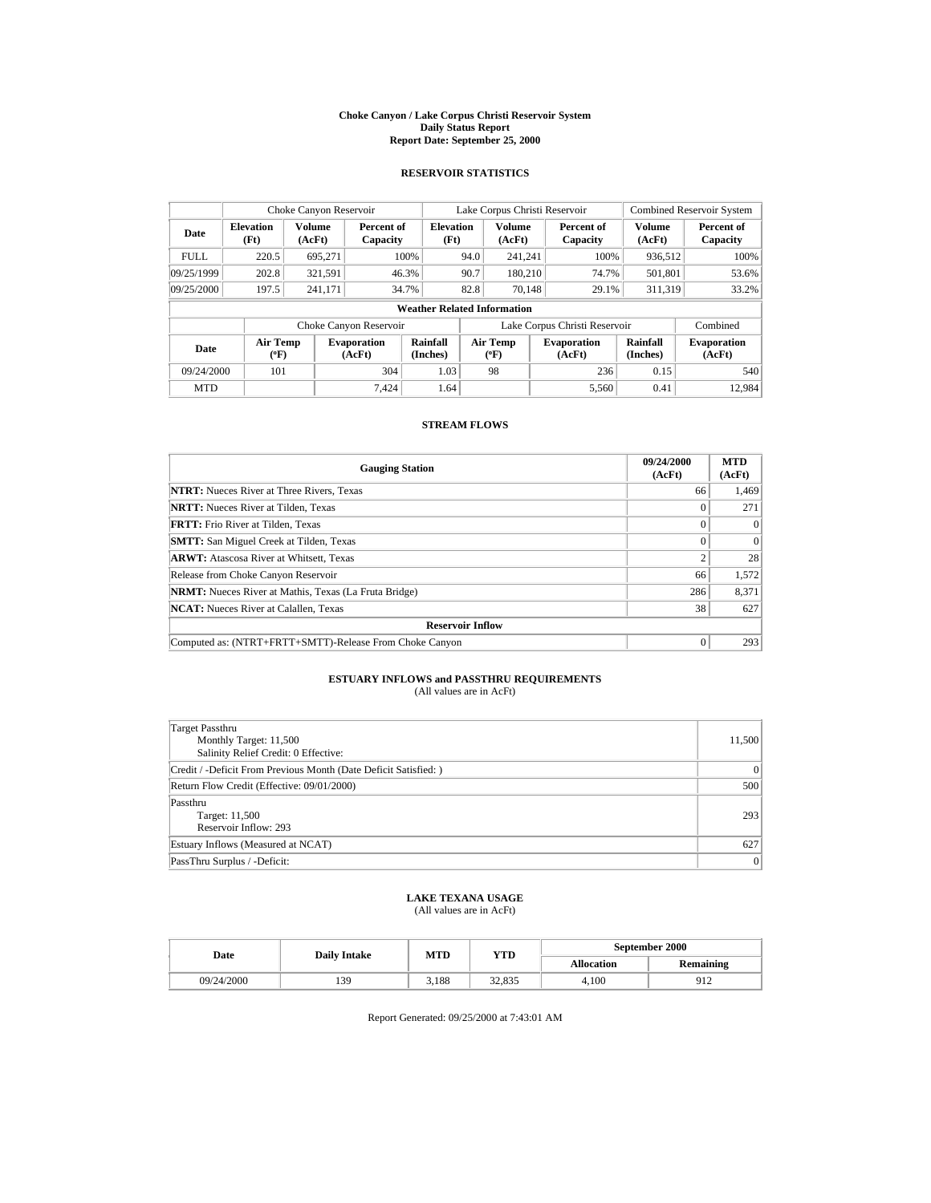#### **Choke Canyon / Lake Corpus Christi Reservoir System Daily Status Report Report Date: September 25, 2000**

## **RESERVOIR STATISTICS**

|             | Choke Canyon Reservoir    |                         |                              |                                    |      | Lake Corpus Christi Reservoir |                               | <b>Combined Reservoir System</b> |                              |
|-------------|---------------------------|-------------------------|------------------------------|------------------------------------|------|-------------------------------|-------------------------------|----------------------------------|------------------------------|
| Date        | <b>Elevation</b><br>(Ft)  | <b>Volume</b><br>(AcFt) | Percent of<br>Capacity       | <b>Elevation</b><br>(Ft)           |      | <b>Volume</b><br>(AcFt)       | Percent of<br>Capacity        | Volume<br>(AcFt)                 | Percent of<br>Capacity       |
| <b>FULL</b> | 220.5                     | 695,271                 |                              | 100%                               | 94.0 | 241,241                       | 100%                          | 936,512                          | 100%                         |
| 09/25/1999  | 202.8                     | 321,591                 |                              | 46.3%                              | 90.7 | 180,210                       | 74.7%                         | 501,801                          | 53.6%                        |
| 09/25/2000  | 197.5                     | 241,171                 |                              | 34.7%                              | 82.8 | 70.148                        | 29.1%                         | 311.319                          | 33.2%                        |
|             |                           |                         |                              | <b>Weather Related Information</b> |      |                               |                               |                                  |                              |
|             |                           |                         | Choke Canyon Reservoir       |                                    |      |                               | Lake Corpus Christi Reservoir |                                  | Combined                     |
| Date        | Air Temp<br>$(^{\circ}F)$ |                         | <b>Evaporation</b><br>(AcFt) | <b>Rainfall</b><br>(Inches)        |      | Air Temp<br>$(^{\circ}F)$     | <b>Evaporation</b><br>(AcFt)  | Rainfall<br>(Inches)             | <b>Evaporation</b><br>(AcFt) |
| 09/24/2000  | 101                       |                         | 304                          | 1.03                               |      | 98                            | 236                           | 0.15                             | 540                          |
| <b>MTD</b>  |                           |                         | 7.424                        | 1.64                               |      |                               | 5,560                         | 0.41                             | 12,984                       |

# **STREAM FLOWS**

| <b>Gauging Station</b>                                       | 09/24/2000<br>(AcFt) | <b>MTD</b><br>(AcFt) |
|--------------------------------------------------------------|----------------------|----------------------|
| <b>NTRT:</b> Nueces River at Three Rivers, Texas             | 66                   | 1,469                |
| <b>NRTT:</b> Nueces River at Tilden, Texas                   | 0                    | 271                  |
| <b>FRTT:</b> Frio River at Tilden, Texas                     | $\Omega$             | $\Omega$             |
| <b>SMTT:</b> San Miguel Creek at Tilden, Texas               | $\Omega$             | $\Omega$             |
| <b>ARWT:</b> Atascosa River at Whitsett, Texas               | C                    | 28                   |
| Release from Choke Canyon Reservoir                          | 66                   | 1,572                |
| <b>NRMT:</b> Nueces River at Mathis, Texas (La Fruta Bridge) | 286                  | 8,371                |
| <b>NCAT:</b> Nueces River at Calallen, Texas                 | 38                   | 627                  |
| <b>Reservoir Inflow</b>                                      |                      |                      |
| Computed as: (NTRT+FRTT+SMTT)-Release From Choke Canyon      | 0                    | 293                  |

### **ESTUARY INFLOWS and PASSTHRU REQUIREMENTS** (All values are in AcFt)

| Target Passthru<br>Monthly Target: 11,500<br>Salinity Relief Credit: 0 Effective: | 11,500         |
|-----------------------------------------------------------------------------------|----------------|
| Credit / -Deficit From Previous Month (Date Deficit Satisfied: )                  | $\overline{0}$ |
| Return Flow Credit (Effective: 09/01/2000)                                        | 500            |
| Passthru<br>Target: 11,500<br>Reservoir Inflow: 293                               | 293            |
| Estuary Inflows (Measured at NCAT)                                                | 627            |
| PassThru Surplus / -Deficit:                                                      | $\overline{0}$ |

## **LAKE TEXANA USAGE**

(All values are in AcFt)

|  | Date       | <b>Daily Intake</b> | MTD   | YTD    | September 2000    |           |  |
|--|------------|---------------------|-------|--------|-------------------|-----------|--|
|  |            |                     |       |        | <b>Allocation</b> | Remaining |  |
|  | 09/24/2000 | 139                 | 3.188 | 32.835 | 4.100             | 912       |  |

Report Generated: 09/25/2000 at 7:43:01 AM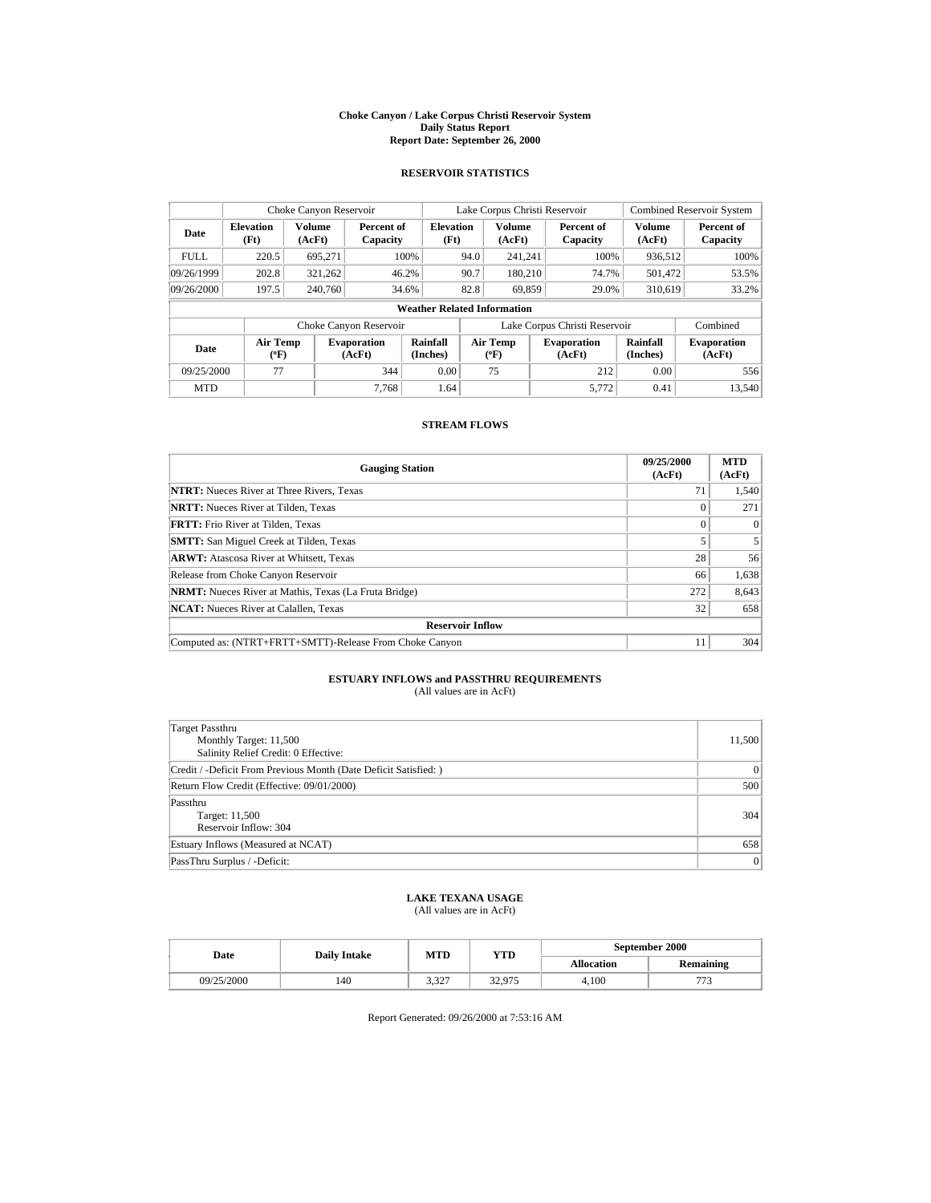#### **Choke Canyon / Lake Corpus Christi Reservoir System Daily Status Report Report Date: September 26, 2000**

## **RESERVOIR STATISTICS**

|             | Choke Canyon Reservoir    |                  |                              |                                    |      | Lake Corpus Christi Reservoir    |                               | <b>Combined Reservoir System</b> |                              |
|-------------|---------------------------|------------------|------------------------------|------------------------------------|------|----------------------------------|-------------------------------|----------------------------------|------------------------------|
| Date        | <b>Elevation</b><br>(Ft)  | Volume<br>(AcFt) | Percent of<br>Capacity       | <b>Elevation</b><br>(Ft)           |      | <b>Volume</b><br>(AcFt)          | Percent of<br>Capacity        | Volume<br>(AcFt)                 | Percent of<br>Capacity       |
| <b>FULL</b> | 220.5                     | 695,271          |                              | 100%                               | 94.0 | 241,241                          | 100%                          | 936,512                          | 100%                         |
| 09/26/1999  | 202.8                     | 321,262          |                              | 46.2%                              | 90.7 | 180,210                          | 74.7%                         | 501,472                          | 53.5%                        |
| 09/26/2000  | 197.5                     | 240,760          |                              | 34.6%                              | 82.8 | 69,859                           | 29.0%                         | 310,619                          | 33.2%                        |
|             |                           |                  |                              | <b>Weather Related Information</b> |      |                                  |                               |                                  |                              |
|             |                           |                  | Choke Canyon Reservoir       |                                    |      |                                  | Lake Corpus Christi Reservoir |                                  | Combined                     |
| Date        | Air Temp<br>$(^{\circ}F)$ |                  | <b>Evaporation</b><br>(AcFt) | <b>Rainfall</b><br>(Inches)        |      | <b>Air Temp</b><br>$(^{\circ}F)$ | <b>Evaporation</b><br>(AcFt)  | Rainfall<br>(Inches)             | <b>Evaporation</b><br>(AcFt) |
| 09/25/2000  | 77                        |                  | 344                          | 0.00                               |      | 75                               | 212                           | 0.00                             | 556                          |
| <b>MTD</b>  |                           |                  | 7.768                        | 1.64                               |      |                                  | 5.772                         | 0.41                             | 13.540                       |

# **STREAM FLOWS**

| <b>Gauging Station</b>                                       | 09/25/2000<br>(AcFt) | <b>MTD</b><br>(AcFt) |
|--------------------------------------------------------------|----------------------|----------------------|
| <b>NTRT:</b> Nueces River at Three Rivers, Texas             | 71                   | 1,540                |
| <b>NRTT:</b> Nueces River at Tilden, Texas                   | 0                    | 271                  |
| <b>FRTT:</b> Frio River at Tilden, Texas                     | $\Omega$             | $\Omega$             |
| <b>SMTT:</b> San Miguel Creek at Tilden, Texas               |                      |                      |
| <b>ARWT:</b> Atascosa River at Whitsett, Texas               | 28                   | 56                   |
| Release from Choke Canyon Reservoir                          | 66                   | 1,638                |
| <b>NRMT:</b> Nueces River at Mathis, Texas (La Fruta Bridge) | 272                  | 8,643                |
| <b>NCAT:</b> Nueces River at Calallen, Texas                 | 32                   | 658                  |
| <b>Reservoir Inflow</b>                                      |                      |                      |
| Computed as: (NTRT+FRTT+SMTT)-Release From Choke Canyon      | 11                   | 304                  |

### **ESTUARY INFLOWS and PASSTHRU REQUIREMENTS** (All values are in AcFt)

| Target Passthru<br>Monthly Target: 11,500<br>Salinity Relief Credit: 0 Effective: | 11,500         |
|-----------------------------------------------------------------------------------|----------------|
| Credit / -Deficit From Previous Month (Date Deficit Satisfied: )                  | $\overline{0}$ |
| Return Flow Credit (Effective: 09/01/2000)                                        | 500            |
| Passthru<br>Target: 11,500<br>Reservoir Inflow: 304                               | 304            |
| Estuary Inflows (Measured at NCAT)                                                | 658            |
| PassThru Surplus / -Deficit:                                                      | $\overline{0}$ |

## **LAKE TEXANA USAGE**

(All values are in AcFt)

| Date       | <b>Daily Intake</b> | MTD                | YTD    | September 2000    |                  |  |
|------------|---------------------|--------------------|--------|-------------------|------------------|--|
|            |                     |                    |        | <b>Allocation</b> | <b>Remaining</b> |  |
| 09/25/2000 | 140                 | 2.207<br>، ے د ، د | 32.975 | 4.100             |                  |  |

Report Generated: 09/26/2000 at 7:53:16 AM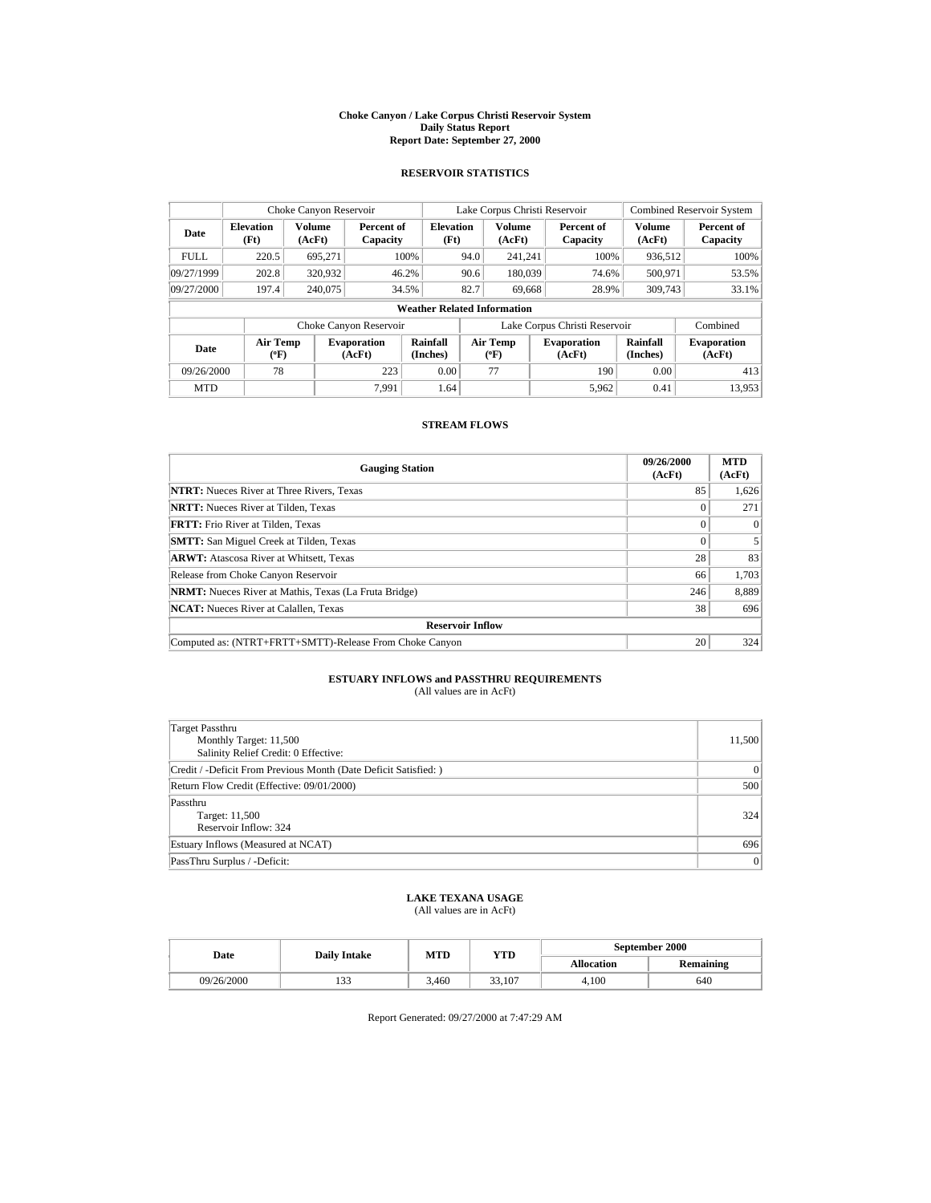#### **Choke Canyon / Lake Corpus Christi Reservoir System Daily Status Report Report Date: September 27, 2000**

## **RESERVOIR STATISTICS**

|             | Choke Canyon Reservoir                                              |                  |                              |                                    |      | Lake Corpus Christi Reservoir |  |                              | <b>Combined Reservoir System</b> |                              |
|-------------|---------------------------------------------------------------------|------------------|------------------------------|------------------------------------|------|-------------------------------|--|------------------------------|----------------------------------|------------------------------|
| Date        | <b>Elevation</b><br>(Ft)                                            | Volume<br>(AcFt) | Percent of<br>Capacity       | <b>Elevation</b><br>(Ft)           |      | Volume<br>(AcFt)              |  | Percent of<br>Capacity       | Volume<br>(AcFt)                 | Percent of<br>Capacity       |
| <b>FULL</b> | 220.5                                                               | 695,271          |                              | 100%                               | 94.0 | 241,241                       |  | 100%                         | 936,512                          | 100%                         |
| 09/27/1999  | 202.8                                                               | 320,932          |                              | 46.2%                              | 90.6 | 180,039                       |  | 74.6%                        | 500,971                          | 53.5%                        |
| 09/27/2000  | 197.4                                                               | 240,075          |                              | 34.5%                              | 82.7 | 69,668                        |  | 28.9%                        | 309,743                          | 33.1%                        |
|             |                                                                     |                  |                              | <b>Weather Related Information</b> |      |                               |  |                              |                                  |                              |
|             | Lake Corpus Christi Reservoir<br>Combined<br>Choke Canyon Reservoir |                  |                              |                                    |      |                               |  |                              |                                  |                              |
| Date        | Air Temp<br>$(^{\circ}F)$                                           |                  | <b>Evaporation</b><br>(AcFt) | Rainfall<br>(Inches)               |      | Air Temp<br>$(^{\circ}F)$     |  | <b>Evaporation</b><br>(AcFt) | Rainfall<br>(Inches)             | <b>Evaporation</b><br>(AcFt) |
| 09/26/2000  | 78                                                                  |                  | 223                          | 0.00                               |      | 77                            |  | 190                          | 0.00                             | 413                          |
| <b>MTD</b>  |                                                                     |                  | 7.991                        | 1.64                               |      |                               |  | 5.962                        | 0.41                             | 13.953                       |

# **STREAM FLOWS**

| <b>Gauging Station</b>                                       | 09/26/2000<br>(AcFt) | <b>MTD</b><br>(AcFt) |
|--------------------------------------------------------------|----------------------|----------------------|
| <b>NTRT:</b> Nueces River at Three Rivers, Texas             | 85                   | 1,626                |
| <b>NRTT:</b> Nueces River at Tilden, Texas                   | 0                    | 271                  |
| <b>FRTT:</b> Frio River at Tilden, Texas                     | $\Omega$             | $\Omega$             |
| <b>SMTT:</b> San Miguel Creek at Tilden, Texas               | $\Omega$             |                      |
| <b>ARWT:</b> Atascosa River at Whitsett, Texas               | 28                   | 83                   |
| Release from Choke Canyon Reservoir                          | 66                   | 1,703                |
| <b>NRMT:</b> Nueces River at Mathis, Texas (La Fruta Bridge) | 246                  | 8,889                |
| <b>NCAT:</b> Nueces River at Calallen, Texas                 | 38                   | 696                  |
| <b>Reservoir Inflow</b>                                      |                      |                      |
| Computed as: (NTRT+FRTT+SMTT)-Release From Choke Canyon      | 20                   | 324                  |

### **ESTUARY INFLOWS and PASSTHRU REQUIREMENTS** (All values are in AcFt)

| Target Passthru<br>Monthly Target: 11,500<br>Salinity Relief Credit: 0 Effective: | 11,500         |
|-----------------------------------------------------------------------------------|----------------|
| Credit / -Deficit From Previous Month (Date Deficit Satisfied: )                  | $\mathbf{0}$   |
| Return Flow Credit (Effective: 09/01/2000)                                        | 500            |
| Passthru<br>Target: 11,500<br>Reservoir Inflow: 324                               | 324            |
| Estuary Inflows (Measured at NCAT)                                                | 696            |
| PassThru Surplus / -Deficit:                                                      | $\overline{0}$ |

# **LAKE TEXANA USAGE**

(All values are in AcFt)

|  | Date       | <b>Daily Intake</b> | MTD   | YTD    | September 2000    |                  |  |
|--|------------|---------------------|-------|--------|-------------------|------------------|--|
|  |            |                     |       |        | <b>Allocation</b> | <b>Remaining</b> |  |
|  | 09/26/2000 | 133                 | 3.460 | 33.107 | 4.100             | 640              |  |

Report Generated: 09/27/2000 at 7:47:29 AM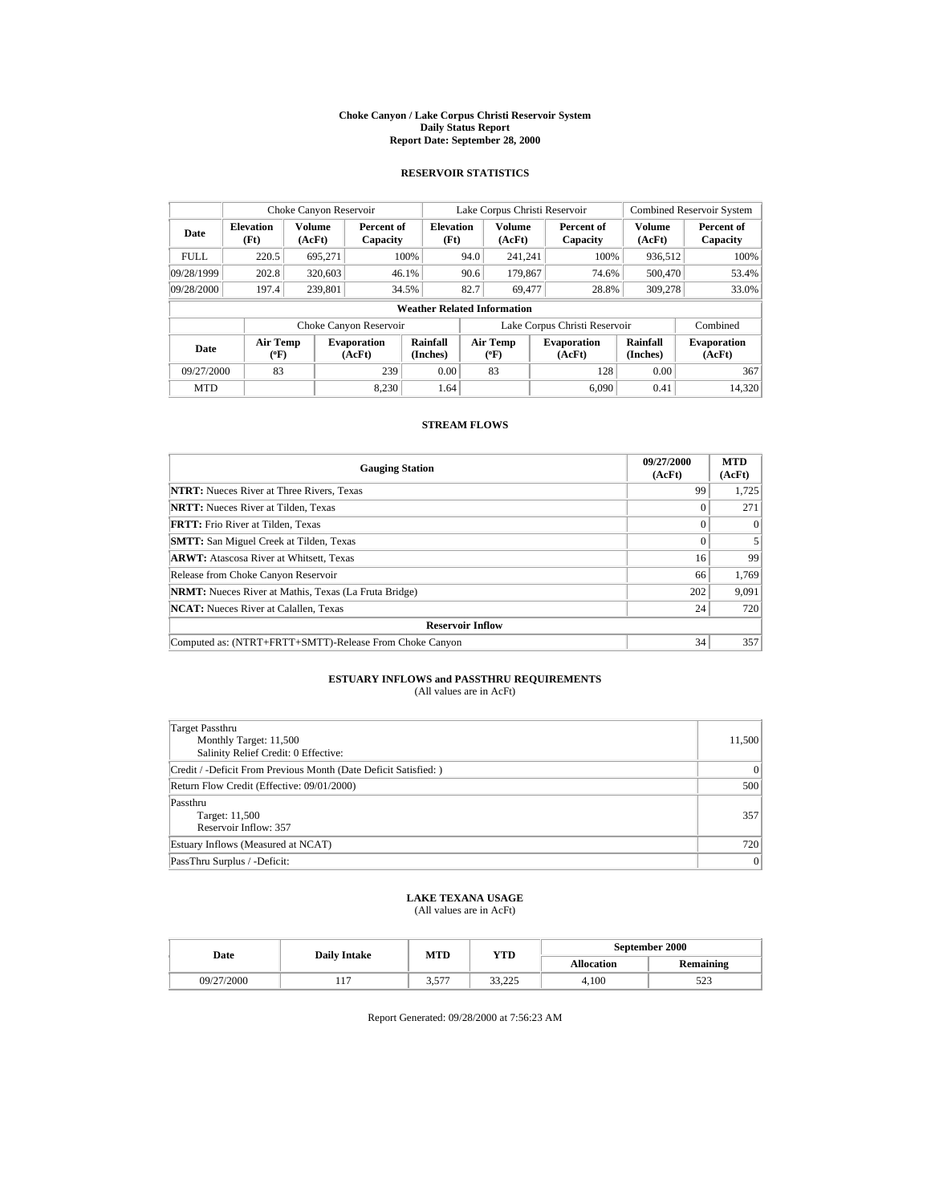#### **Choke Canyon / Lake Corpus Christi Reservoir System Daily Status Report Report Date: September 28, 2000**

## **RESERVOIR STATISTICS**

| Choke Canyon Reservoir |                                                                     |                         |                              |                                    |      |                           | Lake Corpus Christi Reservoir |       | <b>Combined Reservoir System</b> |                              |
|------------------------|---------------------------------------------------------------------|-------------------------|------------------------------|------------------------------------|------|---------------------------|-------------------------------|-------|----------------------------------|------------------------------|
| Date                   | <b>Elevation</b><br>(Ft)                                            | <b>Volume</b><br>(AcFt) | Percent of<br>Capacity       | <b>Elevation</b><br>(Ft)           |      | <b>Volume</b><br>(AcFt)   | Percent of<br>Capacity        |       | Volume<br>(AcFt)                 | Percent of<br>Capacity       |
| <b>FULL</b>            | 220.5                                                               | 695.271                 |                              | 100%                               | 94.0 | 241,241                   |                               | 100%  | 936,512                          | 100%                         |
| 09/28/1999             | 202.8                                                               | 320,603                 |                              | 46.1%                              | 90.6 | 179,867                   |                               | 74.6% | 500,470                          | 53.4%                        |
| 09/28/2000             | 197.4                                                               | 239,801                 |                              | 34.5%                              | 82.7 | 69,477                    |                               | 28.8% | 309,278                          | 33.0%                        |
|                        |                                                                     |                         |                              | <b>Weather Related Information</b> |      |                           |                               |       |                                  |                              |
|                        | Lake Corpus Christi Reservoir<br>Combined<br>Choke Canyon Reservoir |                         |                              |                                    |      |                           |                               |       |                                  |                              |
| Date                   | Air Temp<br>$(^{\circ}F)$                                           |                         | <b>Evaporation</b><br>(AcFt) | Rainfall<br>(Inches)               |      | Air Temp<br>$(^{\circ}F)$ | <b>Evaporation</b><br>(AcFt)  |       | Rainfall<br>(Inches)             | <b>Evaporation</b><br>(AcFt) |
| 09/27/2000             | 83                                                                  |                         | 239                          | 0.00                               |      | 83                        |                               | 128   | 0.00                             | 367                          |
| <b>MTD</b>             |                                                                     |                         | 8.230                        | 1.64                               |      |                           | 6.090                         |       | 0.41                             | 14.320                       |

# **STREAM FLOWS**

| <b>Gauging Station</b>                                       | 09/27/2000<br>(AcFt) | <b>MTD</b><br>(AcFt) |
|--------------------------------------------------------------|----------------------|----------------------|
| <b>NTRT:</b> Nueces River at Three Rivers, Texas             | 99                   | 1.725                |
| <b>NRTT:</b> Nueces River at Tilden, Texas                   | 0                    | 271                  |
| <b>FRTT:</b> Frio River at Tilden, Texas                     | $\Omega$             | $\Omega$             |
| <b>SMTT:</b> San Miguel Creek at Tilden, Texas               | 0                    |                      |
| <b>ARWT:</b> Atascosa River at Whitsett, Texas               | 16                   | 99                   |
| Release from Choke Canyon Reservoir                          | 66                   | 1,769                |
| <b>NRMT:</b> Nueces River at Mathis, Texas (La Fruta Bridge) | 202                  | 9,091                |
| <b>NCAT:</b> Nueces River at Calallen, Texas                 | 24                   | 720                  |
| <b>Reservoir Inflow</b>                                      |                      |                      |
| Computed as: (NTRT+FRTT+SMTT)-Release From Choke Canyon      | 34                   | 357                  |

### **ESTUARY INFLOWS and PASSTHRU REQUIREMENTS** (All values are in AcFt)

| Target Passthru                                                  |                |
|------------------------------------------------------------------|----------------|
| Monthly Target: 11,500                                           | 11,500         |
| Salinity Relief Credit: 0 Effective:                             |                |
| Credit / -Deficit From Previous Month (Date Deficit Satisfied: ) | $\overline{0}$ |
| Return Flow Credit (Effective: 09/01/2000)                       | 500            |
| Passthru                                                         |                |
| Target: 11,500                                                   | 357            |
| Reservoir Inflow: 357                                            |                |
| Estuary Inflows (Measured at NCAT)                               | 720            |
| PassThru Surplus / -Deficit:                                     | $\overline{0}$ |

## **LAKE TEXANA USAGE**

(All values are in AcFt)

|  | Date       | <b>Daily Intake</b> | MTD            | YTD                 | September 2000    |                  |  |
|--|------------|---------------------|----------------|---------------------|-------------------|------------------|--|
|  |            |                     |                |                     | <b>Allocation</b> | <b>Remaining</b> |  |
|  | 09/27/2000 | . .                 | 577<br>، ل د د | 22.225<br>ل عدد د د | 4.100             | د ے د            |  |

Report Generated: 09/28/2000 at 7:56:23 AM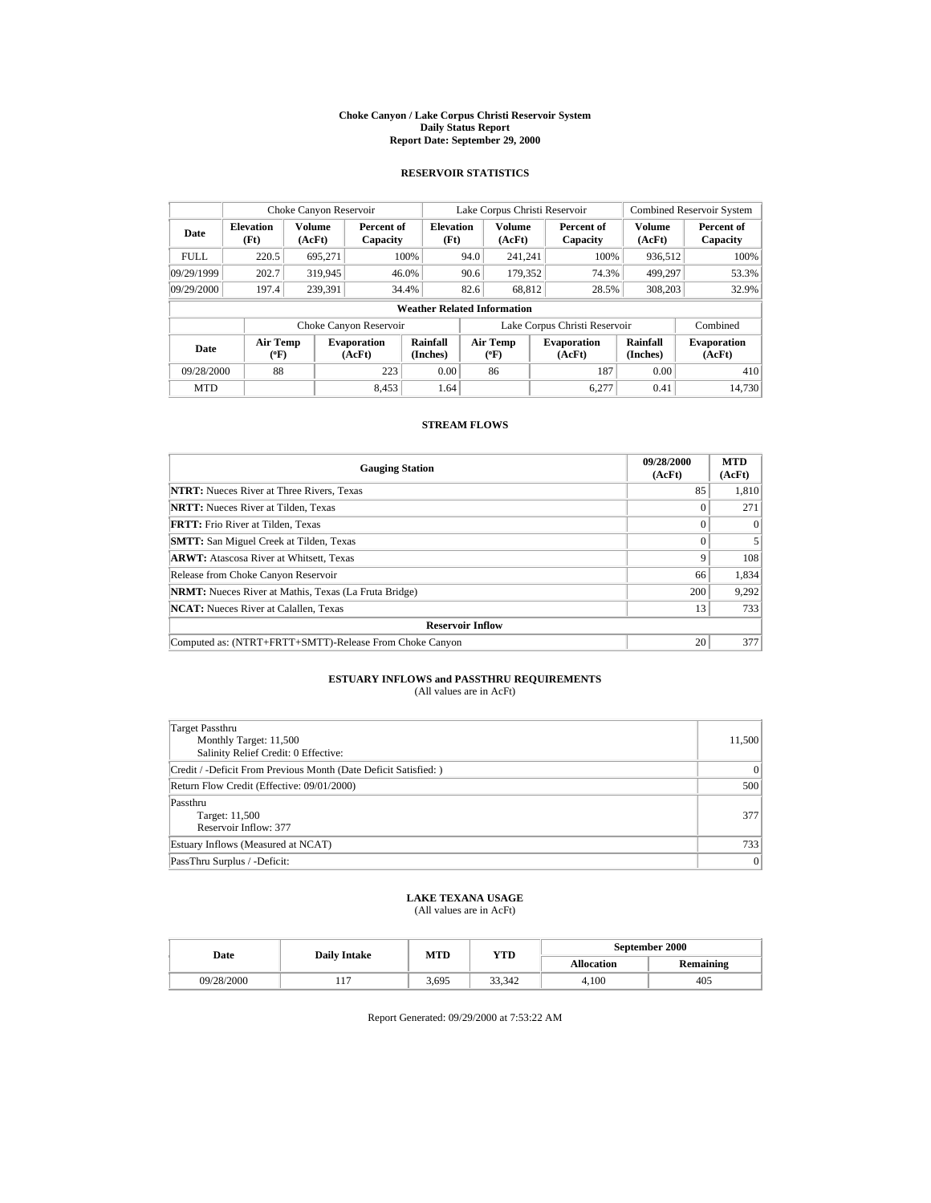#### **Choke Canyon / Lake Corpus Christi Reservoir System Daily Status Report Report Date: September 29, 2000**

## **RESERVOIR STATISTICS**

| Choke Canyon Reservoir  |                                                                     |                                                                                                                       |                        |                                    |                              | Lake Corpus Christi Reservoir |                              |                        | <b>Combined Reservoir System</b> |                        |
|-------------------------|---------------------------------------------------------------------|-----------------------------------------------------------------------------------------------------------------------|------------------------|------------------------------------|------------------------------|-------------------------------|------------------------------|------------------------|----------------------------------|------------------------|
| Date                    | <b>Elevation</b><br>(Ft)                                            | <b>Volume</b><br>(AcFt)                                                                                               | Percent of<br>Capacity | <b>Elevation</b><br>(Ft)           |                              | <b>Volume</b><br>(AcFt)       |                              | Percent of<br>Capacity | <b>Volume</b><br>(AcFt)          | Percent of<br>Capacity |
| <b>FULL</b>             | 220.5                                                               | 695,271                                                                                                               |                        | 100%                               | 94.0                         | 241.241                       |                              | 100%                   | 936,512                          | 100%                   |
| 09/29/1999              | 202.7                                                               | 319,945                                                                                                               |                        | 46.0%                              | 90.6                         | 179,352                       |                              | 74.3%                  | 499,297                          | 53.3%                  |
| 09/29/2000              | 197.4                                                               | 239.391                                                                                                               |                        | 34.4%                              | 82.6                         | 68.812                        |                              | 28.5%                  | 308,203                          | 32.9%                  |
|                         |                                                                     |                                                                                                                       |                        | <b>Weather Related Information</b> |                              |                               |                              |                        |                                  |                        |
|                         | Lake Corpus Christi Reservoir<br>Combined<br>Choke Canyon Reservoir |                                                                                                                       |                        |                                    |                              |                               |                              |                        |                                  |                        |
| Date                    |                                                                     | <b>Rainfall</b><br>Air Temp<br>Air Temp<br><b>Evaporation</b><br>$(^{\circ}F)$<br>(AcFt)<br>(Inches)<br>$(^{\circ}F)$ |                        |                                    | <b>Evaporation</b><br>(AcFt) | <b>Rainfall</b><br>(Inches)   | <b>Evaporation</b><br>(AcFt) |                        |                                  |                        |
| 88<br>09/28/2000<br>223 |                                                                     | 0.00                                                                                                                  |                        | 86                                 |                              | 187                           | 0.00                         | 410                    |                                  |                        |
| <b>MTD</b>              |                                                                     |                                                                                                                       | 8.453                  | 1.64                               |                              |                               |                              | 6.277                  | 0.41                             | 14.730                 |

# **STREAM FLOWS**

| <b>Gauging Station</b>                                       | 09/28/2000<br>(AcFt) | <b>MTD</b><br>(AcFt) |  |  |  |
|--------------------------------------------------------------|----------------------|----------------------|--|--|--|
| <b>NTRT:</b> Nueces River at Three Rivers, Texas             | 85                   | 1,810                |  |  |  |
| <b>NRTT:</b> Nueces River at Tilden, Texas                   | 0                    | 271                  |  |  |  |
| <b>FRTT:</b> Frio River at Tilden, Texas                     | $\Omega$             | $\Omega$             |  |  |  |
| <b>SMTT:</b> San Miguel Creek at Tilden, Texas               | 0                    |                      |  |  |  |
| <b>ARWT:</b> Atascosa River at Whitsett, Texas               | 9                    | 108                  |  |  |  |
| Release from Choke Canyon Reservoir                          | 66                   | 1,834                |  |  |  |
| <b>NRMT:</b> Nueces River at Mathis, Texas (La Fruta Bridge) | 200                  | 9,292                |  |  |  |
| <b>NCAT:</b> Nueces River at Calallen, Texas                 | 13                   | 733                  |  |  |  |
| <b>Reservoir Inflow</b>                                      |                      |                      |  |  |  |
| Computed as: (NTRT+FRTT+SMTT)-Release From Choke Canyon      | 20                   | 377                  |  |  |  |

### **ESTUARY INFLOWS and PASSTHRU REQUIREMENTS** (All values are in AcFt)

| Target Passthru<br>Monthly Target: 11,500<br>Salinity Relief Credit: 0 Effective: | 11,500         |
|-----------------------------------------------------------------------------------|----------------|
| Credit / -Deficit From Previous Month (Date Deficit Satisfied: )                  | $\mathbf{0}$   |
| Return Flow Credit (Effective: 09/01/2000)                                        | 500            |
| Passthru<br>Target: 11,500<br>Reservoir Inflow: 377                               | 377            |
| Estuary Inflows (Measured at NCAT)                                                | 733            |
| PassThru Surplus / -Deficit:                                                      | $\overline{0}$ |

# **LAKE TEXANA USAGE**

(All values are in AcFt)

|  | Date       | <b>Daily Intake</b> | MTD   | YTD    | September 2000    |           |  |
|--|------------|---------------------|-------|--------|-------------------|-----------|--|
|  |            |                     |       |        | <b>Allocation</b> | Remaining |  |
|  | 09/28/2000 | 11.                 | 3.695 | 33.342 | 4.100             | 405       |  |

Report Generated: 09/29/2000 at 7:53:22 AM